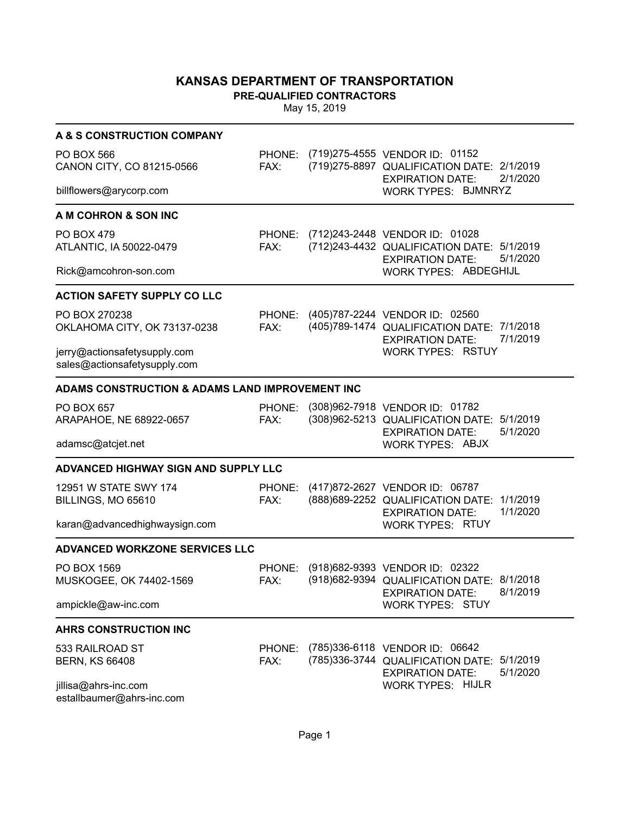**PRE-QUALIFIED CONTRACTORS**

| A & S CONSTRUCTION COMPANY                                   |                |                                                                                                                             |
|--------------------------------------------------------------|----------------|-----------------------------------------------------------------------------------------------------------------------------|
| <b>PO BOX 566</b><br>CANON CITY, CO 81215-0566               | FAX:           | PHONE: (719)275-4555 VENDOR ID: 01152<br>(719) 275-8897 QUALIFICATION DATE: 2/1/2019<br>2/1/2020<br><b>EXPIRATION DATE:</b> |
| billflowers@arycorp.com                                      |                | <b>WORK TYPES: BJMNRYZ</b>                                                                                                  |
| A M COHRON & SON INC                                         |                |                                                                                                                             |
| <b>PO BOX 479</b><br>ATLANTIC, IA 50022-0479                 | FAX:           | PHONE: (712)243-2448 VENDOR ID: 01028<br>(712)243-4432 QUALIFICATION DATE: 5/1/2019<br>5/1/2020<br><b>EXPIRATION DATE:</b>  |
| Rick@amcohron-son.com                                        |                | <b>WORK TYPES: ABDEGHIJL</b>                                                                                                |
| <b>ACTION SAFETY SUPPLY CO LLC</b>                           |                |                                                                                                                             |
| PO BOX 270238<br>OKLAHOMA CITY, OK 73137-0238                | FAX:           | PHONE: (405)787-2244 VENDOR ID: 02560<br>(405)789-1474 QUALIFICATION DATE: 7/1/2018<br>7/1/2019<br><b>EXPIRATION DATE:</b>  |
| jerry@actionsafetysupply.com<br>sales@actionsafetysupply.com |                | <b>WORK TYPES: RSTUY</b>                                                                                                    |
| ADAMS CONSTRUCTION & ADAMS LAND IMPROVEMENT INC              |                |                                                                                                                             |
| PO BOX 657<br>ARAPAHOE, NE 68922-0657                        | PHONE:<br>FAX: | (308)962-7918 VENDOR ID: 01782<br>(308)962-5213 QUALIFICATION DATE: 5/1/2019<br>5/1/2020<br><b>EXPIRATION DATE:</b>         |
| adamsc@atcjet.net                                            |                | <b>WORK TYPES: ABJX</b>                                                                                                     |
| <b>ADVANCED HIGHWAY SIGN AND SUPPLY LLC</b>                  |                |                                                                                                                             |
| 12951 W STATE SWY 174<br>BILLINGS, MO 65610                  | FAX:           | PHONE: (417)872-2627 VENDOR ID: 06787<br>(888) 689-2252 QUALIFICATION DATE: 1/1/2019<br>1/1/2020<br><b>EXPIRATION DATE:</b> |
| karan@advancedhighwaysign.com                                |                | <b>WORK TYPES: RTUY</b>                                                                                                     |
| <b>ADVANCED WORKZONE SERVICES LLC</b>                        |                |                                                                                                                             |
| PO BOX 1569<br>MUSKOGEE, OK 74402-1569                       | PHONE:<br>FAX: | (918) 682-9393 VENDOR ID: 02322<br>(918) 682-9394 QUALIFICATION DATE: 8/1/2018<br>8/1/2019<br><b>EXPIRATION DATE:</b>       |
| ampickle@aw-inc.com                                          |                | <b>WORK TYPES: STUY</b>                                                                                                     |
| <b>AHRS CONSTRUCTION INC</b>                                 |                |                                                                                                                             |
| 533 RAILROAD ST<br><b>BERN, KS 66408</b>                     | PHONE:<br>FAX: | (785)336-6118 VENDOR ID: 06642<br>(785)336-3744 QUALIFICATION DATE: 5/1/2019<br>5/1/2020<br><b>EXPIRATION DATE:</b>         |
| jillisa@ahrs-inc.com<br>estallbaumer@ahrs-inc.com            |                | <b>WORK TYPES: HIJLR</b>                                                                                                    |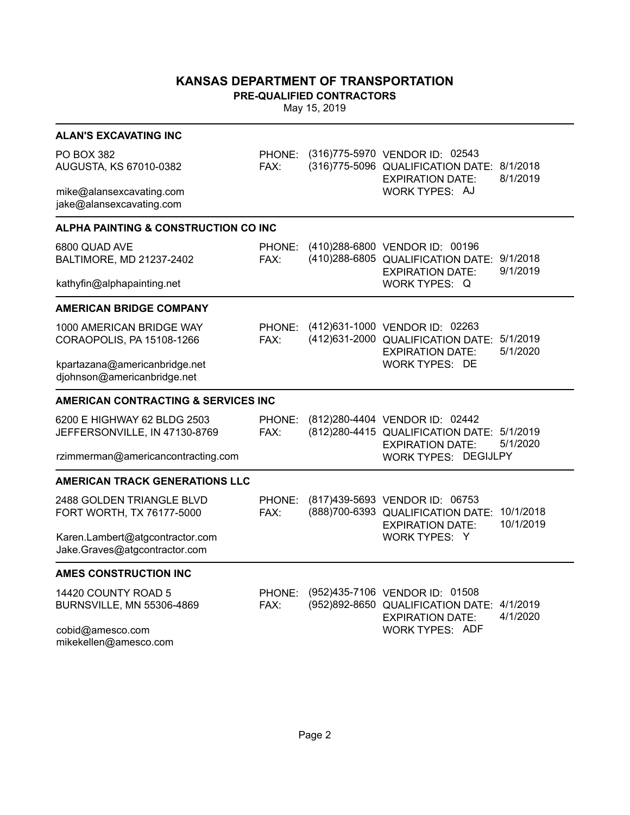**PRE-QUALIFIED CONTRACTORS**

May 15, 2019

| <b>ALAN'S EXCAVATING INC</b>                                                |                |                                                                                                                          |                        |
|-----------------------------------------------------------------------------|----------------|--------------------------------------------------------------------------------------------------------------------------|------------------------|
| <b>PO BOX 382</b><br>AUGUSTA, KS 67010-0382                                 | PHONE:<br>FAX: | (316)775-5970 VENDOR ID: 02543<br>(316)775-5096 QUALIFICATION DATE:<br><b>EXPIRATION DATE:</b>                           | 8/1/2018<br>8/1/2019   |
| mike@alansexcavating.com<br>jake@alansexcavating.com                        |                | WORK TYPES: AJ                                                                                                           |                        |
| <b>ALPHA PAINTING &amp; CONSTRUCTION CO INC</b>                             |                |                                                                                                                          |                        |
| 6800 QUAD AVE<br>BALTIMORE, MD 21237-2402                                   | PHONE:<br>FAX: | (410) 288-6800 VENDOR ID: 00196<br>(410) 288-6805 QUALIFICATION DATE:<br><b>EXPIRATION DATE:</b>                         | 9/1/2018<br>9/1/2019   |
| kathyfin@alphapainting.net                                                  |                | WORK TYPES: Q                                                                                                            |                        |
| <b>AMERICAN BRIDGE COMPANY</b>                                              |                |                                                                                                                          |                        |
| 1000 AMERICAN BRIDGE WAY<br>CORAOPOLIS, PA 15108-1266                       | PHONE:<br>FAX: | (412)631-1000 VENDOR ID: 02263<br>(412) 631-2000 QUALIFICATION DATE: 5/1/2019<br><b>EXPIRATION DATE:</b>                 | 5/1/2020               |
| kpartazana@americanbridge.net<br>djohnson@americanbridge.net                |                | <b>WORK TYPES: DE</b>                                                                                                    |                        |
| <b>AMERICAN CONTRACTING &amp; SERVICES INC</b>                              |                |                                                                                                                          |                        |
| 6200 E HIGHWAY 62 BLDG 2503<br>JEFFERSONVILLE, IN 47130-8769                | PHONE:<br>FAX: | (812) 280-4404 VENDOR ID: 02442<br>(812) 280-4415 QUALIFICATION DATE: 5/1/2019<br><b>EXPIRATION DATE:</b>                | 5/1/2020               |
| rzimmerman@americancontracting.com                                          |                | WORK TYPES: DEGIJLPY                                                                                                     |                        |
| <b>AMERICAN TRACK GENERATIONS LLC</b>                                       |                |                                                                                                                          |                        |
| 2488 GOLDEN TRIANGLE BLVD<br>FORT WORTH, TX 76177-5000                      | PHONE:<br>FAX: | (817) 439-5693 VENDOR ID: 06753<br>(888) 700-6393 QUALIFICATION DATE:<br><b>EXPIRATION DATE:</b>                         | 10/1/2018<br>10/1/2019 |
| Karen.Lambert@atgcontractor.com<br>Jake.Graves@atgcontractor.com            |                | WORK TYPES: Y                                                                                                            |                        |
| <b>AMES CONSTRUCTION INC</b>                                                |                |                                                                                                                          |                        |
| 14420 COUNTY ROAD 5<br><b>BURNSVILLE, MN 55306-4869</b><br>cobid@amesco.com | PHONE:<br>FAX: | (952)435-7106 VENDOR ID: 01508<br>(952)892-8650 QUALIFICATION DATE:<br><b>EXPIRATION DATE:</b><br><b>WORK TYPES: ADF</b> | 4/1/2019<br>4/1/2020   |

mikekellen@amesco.com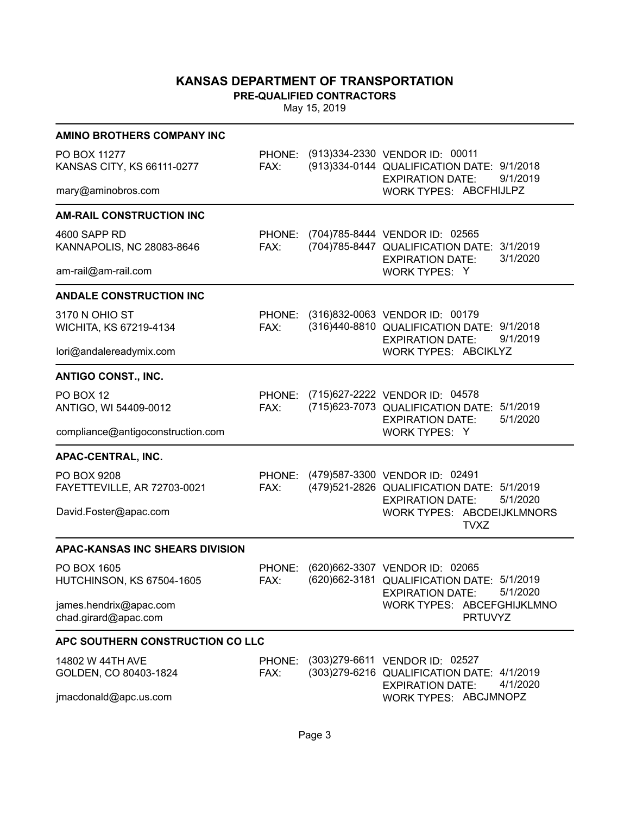**PRE-QUALIFIED CONTRACTORS**

| <b>AMINO BROTHERS COMPANY INC</b>               |                |                                                                                                                            |
|-------------------------------------------------|----------------|----------------------------------------------------------------------------------------------------------------------------|
| PO BOX 11277<br>KANSAS CITY, KS 66111-0277      | FAX:           | PHONE: (913)334-2330 VENDOR ID: 00011<br>(913)334-0144 QUALIFICATION DATE: 9/1/2018<br>9/1/2019<br><b>EXPIRATION DATE:</b> |
| mary@aminobros.com                              |                | WORK TYPES: ABCFHIJLPZ                                                                                                     |
| <b>AM-RAIL CONSTRUCTION INC</b>                 |                |                                                                                                                            |
| 4600 SAPP RD<br>KANNAPOLIS, NC 28083-8646       | PHONE:<br>FAX: | (704) 785-8444 VENDOR ID: 02565<br>(704) 785-8447 QUALIFICATION DATE: 3/1/2019<br>3/1/2020<br><b>EXPIRATION DATE:</b>      |
| am-rail@am-rail.com                             |                | WORK TYPES: Y                                                                                                              |
| <b>ANDALE CONSTRUCTION INC</b>                  |                |                                                                                                                            |
| 3170 N OHIO ST<br>WICHITA, KS 67219-4134        | FAX:           | PHONE: (316)832-0063 VENDOR ID: 00179<br>(316)440-8810 QUALIFICATION DATE: 9/1/2018<br>9/1/2019<br><b>EXPIRATION DATE:</b> |
| lori@andalereadymix.com                         |                | <b>WORK TYPES: ABCIKLYZ</b>                                                                                                |
| <b>ANTIGO CONST., INC.</b>                      |                |                                                                                                                            |
| PO BOX 12<br>ANTIGO, WI 54409-0012              | PHONE:<br>FAX: | (715) 627-2222 VENDOR ID: 04578<br>(715) 623-7073 QUALIFICATION DATE: 5/1/2019<br>5/1/2020<br><b>EXPIRATION DATE:</b>      |
| compliance@antigoconstruction.com               |                | WORK TYPES: Y                                                                                                              |
| APAC-CENTRAL, INC.                              |                |                                                                                                                            |
| PO BOX 9208<br>FAYETTEVILLE, AR 72703-0021      | FAX:           | PHONE: (479)587-3300 VENDOR ID: 02491<br>(479)521-2826 QUALIFICATION DATE: 5/1/2019<br>5/1/2020<br><b>EXPIRATION DATE:</b> |
| David.Foster@apac.com                           |                | <b>WORK TYPES: ABCDEIJKLMNORS</b><br><b>TVXZ</b>                                                                           |
| <b>APAC-KANSAS INC SHEARS DIVISION</b>          |                |                                                                                                                            |
| PO BOX 1605<br><b>HUTCHINSON, KS 67504-1605</b> | PHONE:<br>FAX: | (620) 662-3307 VENDOR ID: 02065<br>(620) 662-3181 QUALIFICATION DATE: 5/1/2019<br>5/1/2020<br><b>EXPIRATION DATE:</b>      |
| james.hendrix@apac.com<br>chad.girard@apac.com  |                | WORK TYPES: ABCEFGHIJKLMNO<br><b>PRTUVYZ</b>                                                                               |
| APC SOUTHERN CONSTRUCTION CO LLC                |                |                                                                                                                            |
| 14802 W 44TH AVE<br>GOLDEN, CO 80403-1824       | PHONE:<br>FAX: | (303) 279-6611 VENDOR ID: 02527<br>(303) 279-6216 QUALIFICATION DATE: 4/1/2019<br>4/1/2020<br><b>EXPIRATION DATE:</b>      |
| jmacdonald@apc.us.com                           |                | WORK TYPES: ABCJMNOPZ                                                                                                      |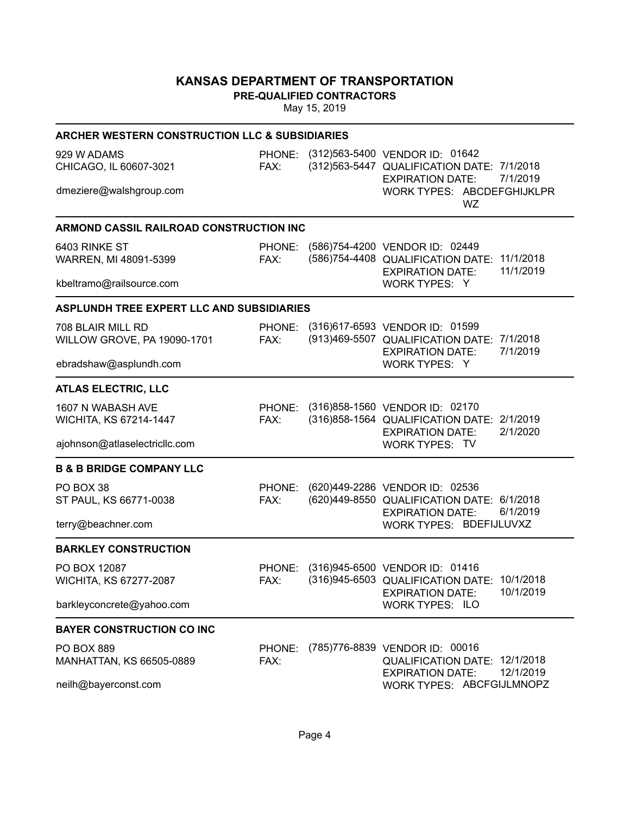**PRE-QUALIFIED CONTRACTORS**

| <b>ARCHER WESTERN CONSTRUCTION LLC &amp; SUBSIDIARIES</b> |                |                                                                                                                             |
|-----------------------------------------------------------|----------------|-----------------------------------------------------------------------------------------------------------------------------|
| 929 W ADAMS<br>CHICAGO, IL 60607-3021                     | FAX:           | PHONE: (312)563-5400 VENDOR ID: 01642<br>(312) 563-5447 QUALIFICATION DATE: 7/1/2018<br>7/1/2019<br><b>EXPIRATION DATE:</b> |
| dmeziere@walshgroup.com                                   |                | WORK TYPES: ABCDEFGHIJKLPR<br>WZ                                                                                            |
| ARMOND CASSIL RAILROAD CONSTRUCTION INC                   |                |                                                                                                                             |
| 6403 RINKE ST<br>WARREN, MI 48091-5399                    | PHONE:<br>FAX: | (586)754-4200 VENDOR ID: 02449<br>11/1/2018<br>(586)754-4408 QUALIFICATION DATE:<br>11/1/2019<br><b>EXPIRATION DATE:</b>    |
| kbeltramo@railsource.com                                  |                | WORK TYPES: Y                                                                                                               |
| ASPLUNDH TREE EXPERT LLC AND SUBSIDIARIES                 |                |                                                                                                                             |
| 708 BLAIR MILL RD<br>WILLOW GROVE, PA 19090-1701          | PHONE:<br>FAX: | (316)617-6593 VENDOR ID: 01599<br>(913)469-5507 QUALIFICATION DATE: 7/1/2018<br>7/1/2019<br><b>EXPIRATION DATE:</b>         |
| ebradshaw@asplundh.com                                    |                | WORK TYPES: Y                                                                                                               |
| <b>ATLAS ELECTRIC, LLC</b>                                |                |                                                                                                                             |
| 1607 N WABASH AVE<br>WICHITA, KS 67214-1447               | PHONE:<br>FAX: | (316)858-1560 VENDOR ID: 02170<br>(316) 858-1564 QUALIFICATION DATE: 2/1/2019<br>2/1/2020<br><b>EXPIRATION DATE:</b>        |
| ajohnson@atlaselectricllc.com                             |                | WORK TYPES: TV                                                                                                              |
| <b>B &amp; B BRIDGE COMPANY LLC</b>                       |                |                                                                                                                             |
| PO BOX 38<br>ST PAUL, KS 66771-0038                       | PHONE:<br>FAX: | (620)449-2286 VENDOR ID: 02536<br>(620)449-8550 QUALIFICATION DATE: 6/1/2018<br>6/1/2019<br><b>EXPIRATION DATE:</b>         |
| terry@beachner.com                                        |                | WORK TYPES: BDEFIJLUVXZ                                                                                                     |
| <b>BARKLEY CONSTRUCTION</b>                               |                |                                                                                                                             |
| PO BOX 12087<br>WICHITA, KS 67277-2087                    | PHONE:<br>FAX: | (316)945-6500 VENDOR ID: 01416<br>(316)945-6503 QUALIFICATION DATE: 10/1/2018<br><b>EXPIRATION DATE:</b><br>10/1/2019       |
| barkleyconcrete@yahoo.com                                 |                | <b>WORK TYPES: ILO</b>                                                                                                      |
| <b>BAYER CONSTRUCTION CO INC</b>                          |                |                                                                                                                             |
| <b>PO BOX 889</b><br><b>MANHATTAN, KS 66505-0889</b>      | PHONE:<br>FAX: | (785)776-8839 VENDOR ID: 00016<br>12/1/2018<br><b>QUALIFICATION DATE:</b><br>12/1/2019<br><b>EXPIRATION DATE:</b>           |
| neilh@bayerconst.com                                      |                | WORK TYPES: ABCFGIJLMNOPZ                                                                                                   |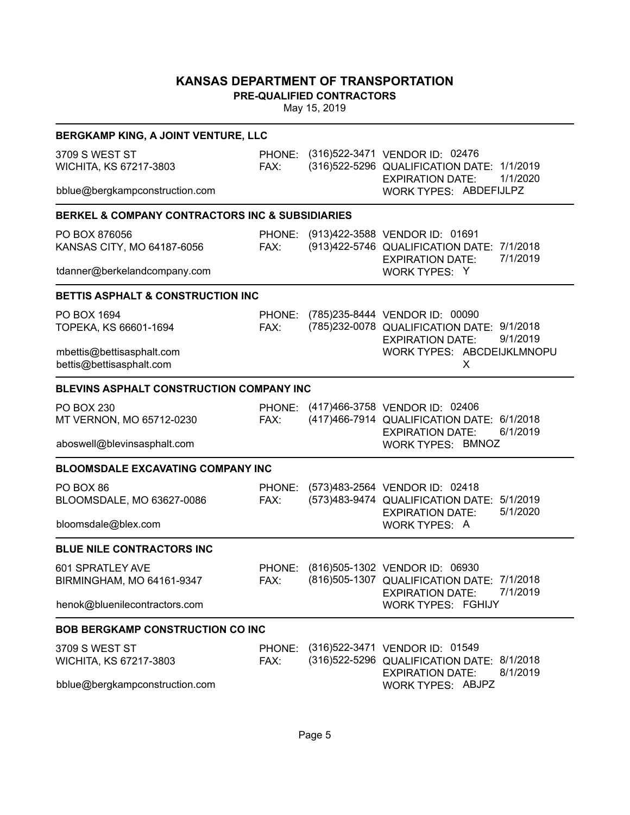**PRE-QUALIFIED CONTRACTORS**

| BERGKAMP KING, A JOINT VENTURE, LLC                            |                |                                                                                                                             |
|----------------------------------------------------------------|----------------|-----------------------------------------------------------------------------------------------------------------------------|
| 3709 S WEST ST<br>WICHITA, KS 67217-3803                       | FAX:           | PHONE: (316)522-3471 VENDOR ID: 02476<br>(316) 522-5296 QUALIFICATION DATE: 1/1/2019<br>1/1/2020<br><b>EXPIRATION DATE:</b> |
| bblue@bergkampconstruction.com                                 |                | WORK TYPES: ABDEFIJLPZ                                                                                                      |
| <b>BERKEL &amp; COMPANY CONTRACTORS INC &amp; SUBSIDIARIES</b> |                |                                                                                                                             |
| PO BOX 876056<br>KANSAS CITY, MO 64187-6056                    | PHONE:<br>FAX: | (913)422-3588 VENDOR ID: 01691<br>(913)422-5746 QUALIFICATION DATE: 7/1/2018<br>7/1/2019<br><b>EXPIRATION DATE:</b>         |
| tdanner@berkelandcompany.com                                   |                | WORK TYPES: Y                                                                                                               |
| <b>BETTIS ASPHALT &amp; CONSTRUCTION INC</b>                   |                |                                                                                                                             |
| PO BOX 1694<br>TOPEKA, KS 66601-1694                           | FAX:           | PHONE: (785)235-8444 VENDOR ID: 00090<br>(785)232-0078 QUALIFICATION DATE: 9/1/2018<br>9/1/2019<br><b>EXPIRATION DATE:</b>  |
| mbettis@bettisasphalt.com<br>bettis@bettisasphalt.com          |                | WORK TYPES: ABCDEIJKLMNOPU<br>X                                                                                             |
| <b>BLEVINS ASPHALT CONSTRUCTION COMPANY INC</b>                |                |                                                                                                                             |
| <b>PO BOX 230</b><br>MT VERNON, MO 65712-0230                  | FAX:           | PHONE: (417)466-3758 VENDOR ID: 02406<br>(417) 466-7914 QUALIFICATION DATE: 6/1/2018<br>6/1/2019<br><b>EXPIRATION DATE:</b> |
| aboswell@blevinsasphalt.com                                    |                | <b>WORK TYPES: BMNOZ</b>                                                                                                    |
| <b>BLOOMSDALE EXCAVATING COMPANY INC</b>                       |                |                                                                                                                             |
| PO BOX 86<br>BLOOMSDALE, MO 63627-0086                         | PHONE:<br>FAX: | (573)483-2564 VENDOR ID: 02418<br>(573)483-9474 QUALIFICATION DATE: 5/1/2019<br>5/1/2020<br><b>EXPIRATION DATE:</b>         |
| bloomsdale@blex.com                                            |                | WORK TYPES: A                                                                                                               |
| <b>BLUE NILE CONTRACTORS INC</b>                               |                |                                                                                                                             |
| 601 SPRATLEY AVE<br>BIRMINGHAM, MO 64161-9347                  | PHONE:<br>FAX: | (816)505-1302 VENDOR ID: 06930<br>(816) 505-1307 QUALIFICATION DATE: 7/1/2018<br>7/1/2019<br><b>EXPIRATION DATE:</b>        |
| henok@bluenilecontractors.com                                  |                | WORK TYPES: FGHIJY                                                                                                          |
| <b>BOB BERGKAMP CONSTRUCTION CO INC</b>                        |                |                                                                                                                             |
| 3709 S WEST ST                                                 |                | PHONE: (316)522-3471 VENDOR ID: 01549                                                                                       |
| WICHITA, KS 67217-3803                                         | FAX:           | (316) 522-5296 QUALIFICATION DATE: 8/1/2018<br>8/1/2019<br><b>EXPIRATION DATE:</b>                                          |
| bblue@bergkampconstruction.com                                 |                | WORK TYPES: ABJPZ                                                                                                           |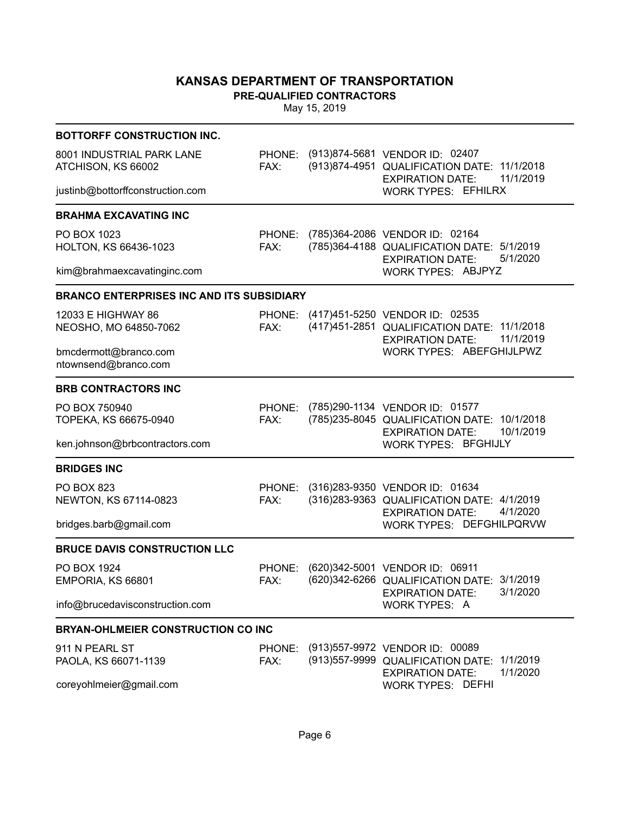**PRE-QUALIFIED CONTRACTORS**

| <b>BOTTORFF CONSTRUCTION INC.</b>                |                |                                                                                                                               |
|--------------------------------------------------|----------------|-------------------------------------------------------------------------------------------------------------------------------|
| 8001 INDUSTRIAL PARK LANE<br>ATCHISON, KS 66002  | FAX:           | PHONE: (913)874-5681 VENDOR ID: 02407<br>(913)874-4951 QUALIFICATION DATE: 11/1/2018<br>11/1/2019<br><b>EXPIRATION DATE:</b>  |
| justinb@bottorffconstruction.com                 |                | <b>WORK TYPES: EFHILRX</b>                                                                                                    |
| <b>BRAHMA EXCAVATING INC</b>                     |                |                                                                                                                               |
| PO BOX 1023<br>HOLTON, KS 66436-1023             | PHONE:<br>FAX: | (785)364-2086 VENDOR ID: 02164<br>(785)364-4188 QUALIFICATION DATE: 5/1/2019<br>5/1/2020<br><b>EXPIRATION DATE:</b>           |
| kim@brahmaexcavatinginc.com                      |                | WORK TYPES: ABJPYZ                                                                                                            |
| <b>BRANCO ENTERPRISES INC AND ITS SUBSIDIARY</b> |                |                                                                                                                               |
| 12033 E HIGHWAY 86<br>NEOSHO, MO 64850-7062      | FAX:           | PHONE: (417)451-5250 VENDOR ID: 02535<br>(417) 451-2851 QUALIFICATION DATE: 11/1/2018<br>11/1/2019<br><b>EXPIRATION DATE:</b> |
| bmcdermott@branco.com<br>ntownsend@branco.com    |                | WORK TYPES: ABEFGHIJLPWZ                                                                                                      |
| <b>BRB CONTRACTORS INC</b>                       |                |                                                                                                                               |
| PO BOX 750940<br>TOPEKA, KS 66675-0940           | PHONE:<br>FAX: | (785) 290-1134 VENDOR ID: 01577<br>(785) 235-8045 QUALIFICATION DATE: 10/1/2018<br>10/1/2019<br><b>EXPIRATION DATE:</b>       |
| ken.johnson@brbcontractors.com                   |                | WORK TYPES: BFGHIJLY                                                                                                          |
| <b>BRIDGES INC</b>                               |                |                                                                                                                               |
| PO BOX 823<br>NEWTON, KS 67114-0823              | PHONE:<br>FAX: | (316)283-9350 VENDOR ID: 01634<br>(316) 283-9363 QUALIFICATION DATE: 4/1/2019<br>4/1/2020<br><b>EXPIRATION DATE:</b>          |
| bridges.barb@gmail.com                           |                | WORK TYPES: DEFGHILPQRVW                                                                                                      |
| <b>BRUCE DAVIS CONSTRUCTION LLC</b>              |                |                                                                                                                               |
| PO BOX 1924<br>EMPORIA, KS 66801                 | PHONE:<br>FAX: | (620)342-5001 VENDOR ID: 06911<br>(620)342-6266 QUALIFICATION DATE: 3/1/2019<br>3/1/2020<br><b>EXPIRATION DATE:</b>           |
| info@brucedavisconstruction.com                  |                | WORK TYPES: A                                                                                                                 |
| <b>BRYAN-OHLMEIER CONSTRUCTION CO INC</b>        |                |                                                                                                                               |
| 911 N PEARL ST<br>PAOLA, KS 66071-1139           | FAX:           | PHONE: (913)557-9972 VENDOR ID: 00089<br>(913) 557-9999 QUALIFICATION DATE: 1/1/2019<br>1/1/2020<br><b>EXPIRATION DATE:</b>   |
| coreyohlmeier@gmail.com                          |                | <b>WORK TYPES: DEFHI</b>                                                                                                      |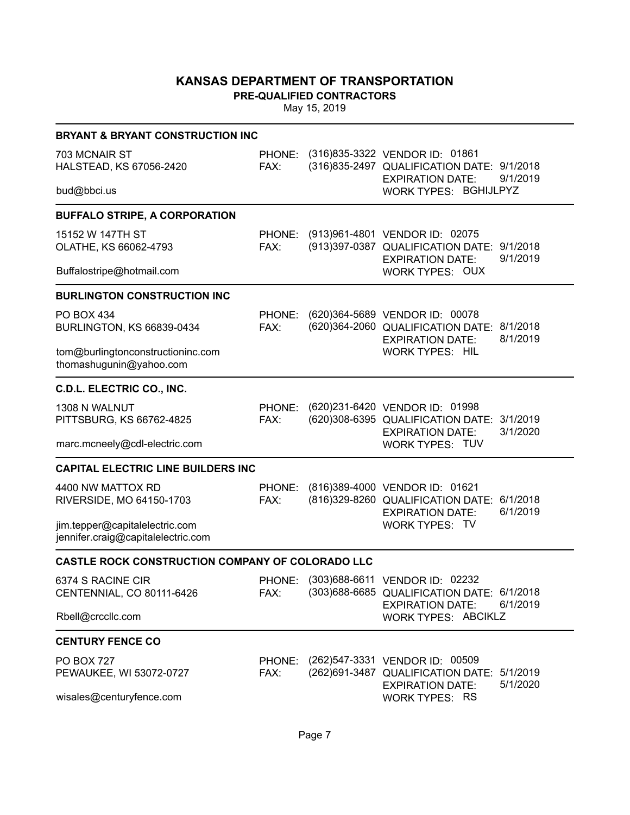**PRE-QUALIFIED CONTRACTORS**

|                                                                      | <b>BRYANT &amp; BRYANT CONSTRUCTION INC</b> |  |                                                                                                                             |  |  |  |  |
|----------------------------------------------------------------------|---------------------------------------------|--|-----------------------------------------------------------------------------------------------------------------------------|--|--|--|--|
| 703 MCNAIR ST<br>HALSTEAD, KS 67056-2420                             | FAX:                                        |  | PHONE: (316)835-3322 VENDOR ID: 01861<br>(316) 835-2497 QUALIFICATION DATE: 9/1/2018<br>9/1/2019<br><b>EXPIRATION DATE:</b> |  |  |  |  |
| bud@bbci.us                                                          |                                             |  | WORK TYPES: BGHIJLPYZ                                                                                                       |  |  |  |  |
| <b>BUFFALO STRIPE, A CORPORATION</b>                                 |                                             |  |                                                                                                                             |  |  |  |  |
| 15152 W 147TH ST<br>OLATHE, KS 66062-4793                            | FAX:                                        |  | PHONE: (913)961-4801 VENDOR ID: 02075<br>(913) 397-0387 QUALIFICATION DATE: 9/1/2018<br>9/1/2019<br><b>EXPIRATION DATE:</b> |  |  |  |  |
| Buffalostripe@hotmail.com                                            |                                             |  | WORK TYPES: OUX                                                                                                             |  |  |  |  |
| <b>BURLINGTON CONSTRUCTION INC</b>                                   |                                             |  |                                                                                                                             |  |  |  |  |
| <b>PO BOX 434</b><br><b>BURLINGTON, KS 66839-0434</b>                | PHONE:<br>FAX:                              |  | (620)364-5689 VENDOR ID: 00078<br>(620)364-2060 QUALIFICATION DATE: 8/1/2018<br>8/1/2019<br><b>EXPIRATION DATE:</b>         |  |  |  |  |
| tom@burlingtonconstructioninc.com<br>thomashugunin@yahoo.com         |                                             |  | <b>WORK TYPES: HIL</b>                                                                                                      |  |  |  |  |
| C.D.L. ELECTRIC CO., INC.                                            |                                             |  |                                                                                                                             |  |  |  |  |
| 1308 N WALNUT<br>PITTSBURG, KS 66762-4825                            | PHONE:<br>FAX:                              |  | (620)231-6420 VENDOR ID: 01998<br>(620)308-6395 QUALIFICATION DATE: 3/1/2019<br>3/1/2020<br><b>EXPIRATION DATE:</b>         |  |  |  |  |
| marc.mcneely@cdl-electric.com                                        |                                             |  | <b>WORK TYPES: TUV</b>                                                                                                      |  |  |  |  |
| <b>CAPITAL ELECTRIC LINE BUILDERS INC</b>                            |                                             |  |                                                                                                                             |  |  |  |  |
| 4400 NW MATTOX RD<br>RIVERSIDE, MO 64150-1703                        | PHONE:<br>FAX:                              |  | (816)389-4000 VENDOR ID: 01621<br>(816) 329-8260 QUALIFICATION DATE: 6/1/2018<br>6/1/2019<br><b>EXPIRATION DATE:</b>        |  |  |  |  |
| jim.tepper@capitalelectric.com<br>jennifer.craig@capitalelectric.com |                                             |  | WORK TYPES: TV                                                                                                              |  |  |  |  |
| CASTLE ROCK CONSTRUCTION COMPANY OF COLORADO LLC                     |                                             |  |                                                                                                                             |  |  |  |  |
| 6374 S RACINE CIR<br>CENTENNIAL, CO 80111-6426                       | FAX:                                        |  | PHONE: (303)688-6611 VENDOR ID: 02232<br>(303) 688-6685 QUALIFICATION DATE: 6/1/2018<br>6/1/2019<br><b>EXPIRATION DATE:</b> |  |  |  |  |
| Rbell@crccllc.com                                                    |                                             |  | WORK TYPES: ABCIKLZ                                                                                                         |  |  |  |  |
| <b>CENTURY FENCE CO</b>                                              |                                             |  |                                                                                                                             |  |  |  |  |
| <b>PO BOX 727</b><br>PEWAUKEE, WI 53072-0727                         | FAX:                                        |  | PHONE: (262)547-3331 VENDOR ID: 00509<br>(262) 691-3487 QUALIFICATION DATE: 5/1/2019<br>5/1/2020<br><b>EXPIRATION DATE:</b> |  |  |  |  |
| wisales@centuryfence.com                                             |                                             |  | <b>WORK TYPES: RS</b>                                                                                                       |  |  |  |  |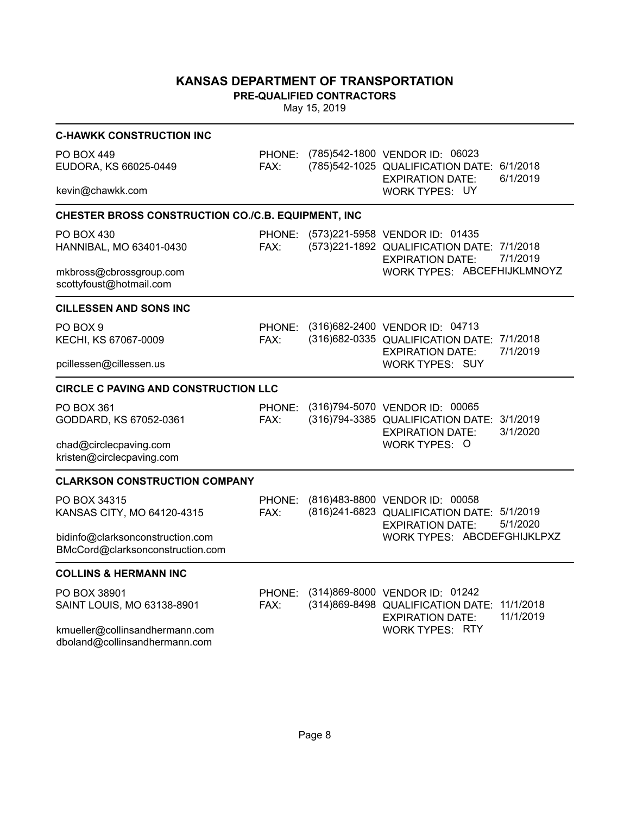**PRE-QUALIFIED CONTRACTORS**

| <b>C-HAWKK CONSTRUCTION INC</b>                                      |                       |                                                                                                                        |
|----------------------------------------------------------------------|-----------------------|------------------------------------------------------------------------------------------------------------------------|
| <b>PO BOX 449</b><br>EUDORA, KS 66025-0449                           | <b>PHONE:</b><br>FAX: | (785)542-1800 VENDOR ID: 06023<br>6/1/2018<br>(785)542-1025 QUALIFICATION DATE:<br>6/1/2019<br><b>EXPIRATION DATE:</b> |
| kevin@chawkk.com                                                     |                       | <b>WORK TYPES: UY</b>                                                                                                  |
| CHESTER BROSS CONSTRUCTION CO./C.B. EQUIPMENT, INC                   |                       |                                                                                                                        |
| PO BOX 430<br>HANNIBAL, MO 63401-0430                                | PHONE:<br>FAX:        | (573)221-5958 VENDOR ID: 01435<br>(573)221-1892 QUALIFICATION DATE: 7/1/2018<br>7/1/2019<br><b>EXPIRATION DATE:</b>    |
| mkbross@cbrossgroup.com<br>scottyfoust@hotmail.com                   |                       | WORK TYPES: ABCEFHIJKLMNOYZ                                                                                            |
| <b>CILLESSEN AND SONS INC</b>                                        |                       |                                                                                                                        |
| PO BOX 9<br>KECHI, KS 67067-0009                                     | PHONE:<br>FAX:        | (316)682-2400 VENDOR ID: 04713<br>(316) 682-0335 QUALIFICATION DATE: 7/1/2018<br>7/1/2019<br><b>EXPIRATION DATE:</b>   |
| pcillessen@cillessen.us                                              |                       | <b>WORK TYPES: SUY</b>                                                                                                 |
| <b>CIRCLE C PAVING AND CONSTRUCTION LLC</b>                          |                       |                                                                                                                        |
| PO BOX 361<br>GODDARD, KS 67052-0361                                 | PHONE:<br>FAX:        | (316)794-5070 VENDOR ID: 00065<br>(316) 794-3385 QUALIFICATION DATE: 3/1/2019<br>3/1/2020<br><b>EXPIRATION DATE:</b>   |
| chad@circlecpaving.com<br>kristen@circlecpaving.com                  |                       | WORK TYPES: O                                                                                                          |
| <b>CLARKSON CONSTRUCTION COMPANY</b>                                 |                       |                                                                                                                        |
| PO BOX 34315<br>KANSAS CITY, MO 64120-4315                           | PHONE:<br>FAX:        | (816)483-8800 VENDOR ID: 00058<br>(816) 241-6823 QUALIFICATION DATE: 5/1/2019<br>5/1/2020<br><b>EXPIRATION DATE:</b>   |
| bidinfo@clarksonconstruction.com<br>BMcCord@clarksonconstruction.com |                       | WORK TYPES: ABCDEFGHIJKLPXZ                                                                                            |
| <b>COLLINS &amp; HERMANN INC</b>                                     |                       |                                                                                                                        |
| PO BOX 38901<br>SAINT LOUIS, MO 63138-8901                           | PHONE:<br>FAX:        | (314)869-8000 VENDOR ID: 01242<br>(314)869-8498 QUALIFICATION DATE: 11/1/2018<br>11/1/2019<br><b>EXPIRATION DATE:</b>  |
| kmueller@collinsandhermann.com<br>dboland@collinsandhermann.com      |                       | <b>WORK TYPES: RTY</b>                                                                                                 |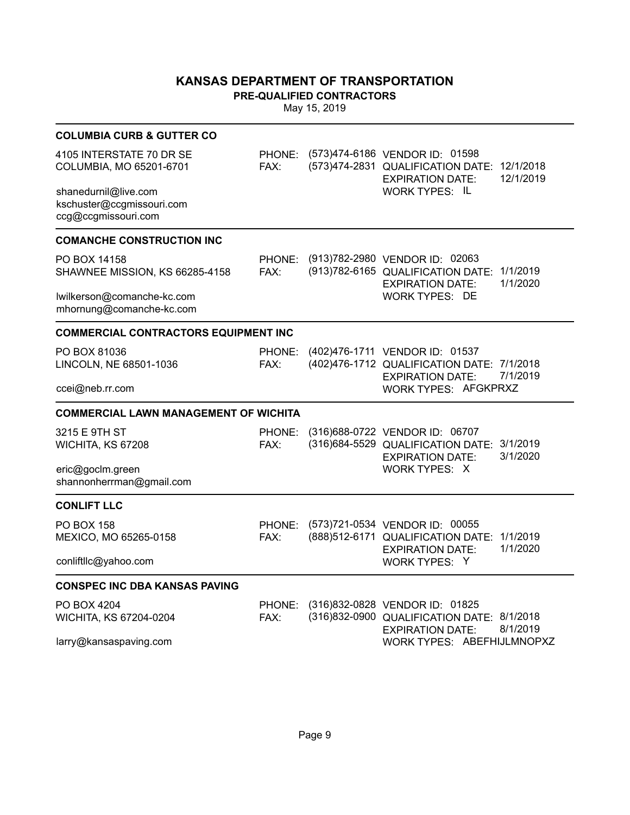**PRE-QUALIFIED CONTRACTORS**

| <b>COLUMBIA CURB &amp; GUTTER CO</b>                                     |                |                                                                                                          |                        |
|--------------------------------------------------------------------------|----------------|----------------------------------------------------------------------------------------------------------|------------------------|
| 4105 INTERSTATE 70 DR SE<br>COLUMBIA, MO 65201-6701                      | PHONE:<br>FAX: | (573)474-6186 VENDOR ID: 01598<br>(573)474-2831 QUALIFICATION DATE:<br><b>EXPIRATION DATE:</b>           | 12/1/2018<br>12/1/2019 |
| shanedurnil@live.com<br>kschuster@ccgmissouri.com<br>ccg@ccgmissouri.com |                | <b>WORK TYPES: IL</b>                                                                                    |                        |
| <b>COMANCHE CONSTRUCTION INC</b>                                         |                |                                                                                                          |                        |
| PO BOX 14158<br>SHAWNEE MISSION, KS 66285-4158                           | PHONE:<br>FAX: | (913)782-2980 VENDOR ID: 02063<br>(913) 782-6165 QUALIFICATION DATE: 1/1/2019<br><b>EXPIRATION DATE:</b> | 1/1/2020               |
| lwilkerson@comanche-kc.com<br>mhornung@comanche-kc.com                   |                | <b>WORK TYPES: DE</b>                                                                                    |                        |
| <b>COMMERCIAL CONTRACTORS EQUIPMENT INC</b>                              |                |                                                                                                          |                        |
| PO BOX 81036<br>LINCOLN, NE 68501-1036                                   | PHONE:<br>FAX: | (402) 476-1711 VENDOR ID: 01537<br>(402)476-1712 QUALIFICATION DATE: 7/1/2018<br><b>EXPIRATION DATE:</b> | 7/1/2019               |
| ccei@neb.rr.com                                                          |                | WORK TYPES: AFGKPRXZ                                                                                     |                        |
| <b>COMMERCIAL LAWN MANAGEMENT OF WICHITA</b>                             |                |                                                                                                          |                        |
| 3215 E 9TH ST<br>WICHITA, KS 67208                                       | PHONE:<br>FAX: | (316)688-0722 VENDOR ID: 06707<br>(316)684-5529 QUALIFICATION DATE:<br><b>EXPIRATION DATE:</b>           | 3/1/2019<br>3/1/2020   |
| eric@goclm.green<br>shannonherrman@gmail.com                             |                | WORK TYPES: X                                                                                            |                        |
| <b>CONLIFT LLC</b>                                                       |                |                                                                                                          |                        |
| PO BOX 158<br>MEXICO, MO 65265-0158                                      | PHONE:<br>FAX: | (573)721-0534 VENDOR ID: 00055<br>(888) 512-6171 QUALIFICATION DATE: 1/1/2019<br><b>EXPIRATION DATE:</b> | 1/1/2020               |
| conliftllc@yahoo.com                                                     |                | WORK TYPES: Y                                                                                            |                        |
| <b>CONSPEC INC DBA KANSAS PAVING</b>                                     |                |                                                                                                          |                        |
| PO BOX 4204<br>WICHITA, KS 67204-0204                                    | PHONE:<br>FAX: | (316)832-0828 VENDOR ID: 01825<br>(316) 832-0900 QUALIFICATION DATE: 8/1/2018<br><b>EXPIRATION DATE:</b> | 8/1/2019               |
|                                                                          |                | WORK TYPES: ABEFHIJLMNOPXZ                                                                               |                        |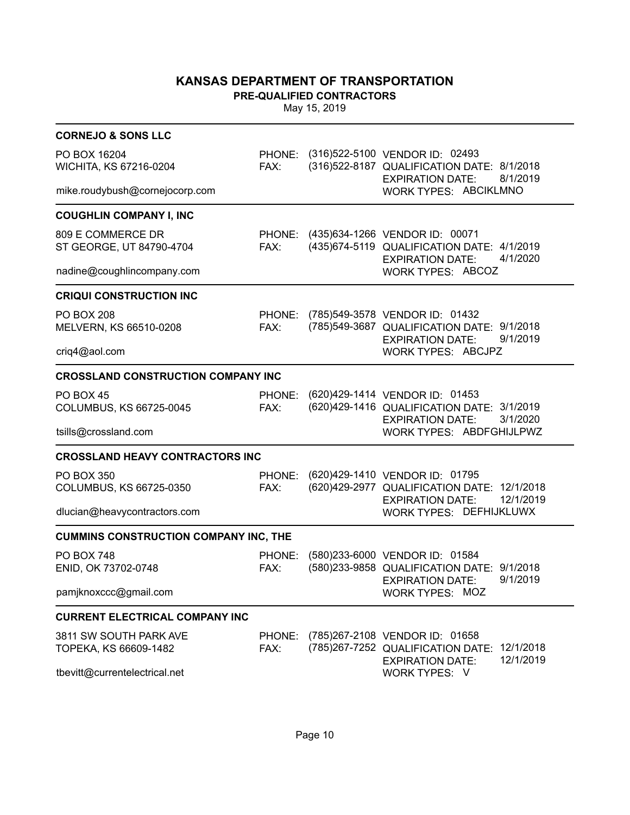**PRE-QUALIFIED CONTRACTORS**

| <b>CORNEJO &amp; SONS LLC</b>                   |                |  |                                                                                                                             |  |  |  |
|-------------------------------------------------|----------------|--|-----------------------------------------------------------------------------------------------------------------------------|--|--|--|
| PO BOX 16204<br>WICHITA, KS 67216-0204          | FAX:           |  | PHONE: (316)522-5100 VENDOR ID: 02493<br>(316) 522-8187 QUALIFICATION DATE: 8/1/2018<br>8/1/2019<br><b>EXPIRATION DATE:</b> |  |  |  |
| mike.roudybush@cornejocorp.com                  |                |  | WORK TYPES: ABCIKLMNO                                                                                                       |  |  |  |
| <b>COUGHLIN COMPANY I, INC</b>                  |                |  |                                                                                                                             |  |  |  |
| 809 E COMMERCE DR<br>ST GEORGE, UT 84790-4704   | FAX:           |  | PHONE: (435)634-1266 VENDOR ID: 00071<br>(435) 674-5119 QUALIFICATION DATE: 4/1/2019<br>4/1/2020<br><b>EXPIRATION DATE:</b> |  |  |  |
| nadine@coughlincompany.com                      |                |  | <b>WORK TYPES: ABCOZ</b>                                                                                                    |  |  |  |
| <b>CRIQUI CONSTRUCTION INC</b>                  |                |  |                                                                                                                             |  |  |  |
| <b>PO BOX 208</b><br>MELVERN, KS 66510-0208     | PHONE:<br>FAX: |  | (785) 549-3578 VENDOR ID: 01432<br>(785) 549-3687 QUALIFICATION DATE: 9/1/2018<br>9/1/2019<br><b>EXPIRATION DATE:</b>       |  |  |  |
| criq4@aol.com                                   |                |  | <b>WORK TYPES: ABCJPZ</b>                                                                                                   |  |  |  |
| <b>CROSSLAND CONSTRUCTION COMPANY INC</b>       |                |  |                                                                                                                             |  |  |  |
| <b>PO BOX 45</b><br>COLUMBUS, KS 66725-0045     | PHONE:<br>FAX: |  | (620)429-1414 VENDOR ID: 01453<br>(620)429-1416 QUALIFICATION DATE: 3/1/2019<br><b>EXPIRATION DATE:</b><br>3/1/2020         |  |  |  |
| tsills@crossland.com                            |                |  | WORK TYPES: ABDFGHIJLPWZ                                                                                                    |  |  |  |
| <b>CROSSLAND HEAVY CONTRACTORS INC</b>          |                |  |                                                                                                                             |  |  |  |
| <b>PO BOX 350</b><br>COLUMBUS, KS 66725-0350    | PHONE:<br>FAX: |  | (620)429-1410 VENDOR ID: 01795<br>(620) 429-2977 QUALIFICATION DATE: 12/1/2018<br>12/1/2019<br><b>EXPIRATION DATE:</b>      |  |  |  |
| dlucian@heavycontractors.com                    |                |  | WORK TYPES: DEFHIJKLUWX                                                                                                     |  |  |  |
| <b>CUMMINS CONSTRUCTION COMPANY INC, THE</b>    |                |  |                                                                                                                             |  |  |  |
| <b>PO BOX 748</b><br>ENID, OK 73702-0748        | PHONE:<br>FAX: |  | (580)233-6000 VENDOR ID: 01584<br>(580)233-9858 QUALIFICATION DATE: 9/1/2018<br>9/1/2019<br><b>EXPIRATION DATE:</b>         |  |  |  |
| pamjknoxccc@gmail.com                           |                |  | <b>WORK TYPES: MOZ</b>                                                                                                      |  |  |  |
| <b>CURRENT ELECTRICAL COMPANY INC</b>           |                |  |                                                                                                                             |  |  |  |
| 3811 SW SOUTH PARK AVE<br>TOPEKA, KS 66609-1482 | PHONE:<br>FAX: |  | (785)267-2108 VENDOR ID: 01658<br>(785)267-7252 QUALIFICATION DATE:<br>12/1/2018<br>12/1/2019<br><b>EXPIRATION DATE:</b>    |  |  |  |
| tbevitt@currentelectrical.net                   |                |  | WORK TYPES: V                                                                                                               |  |  |  |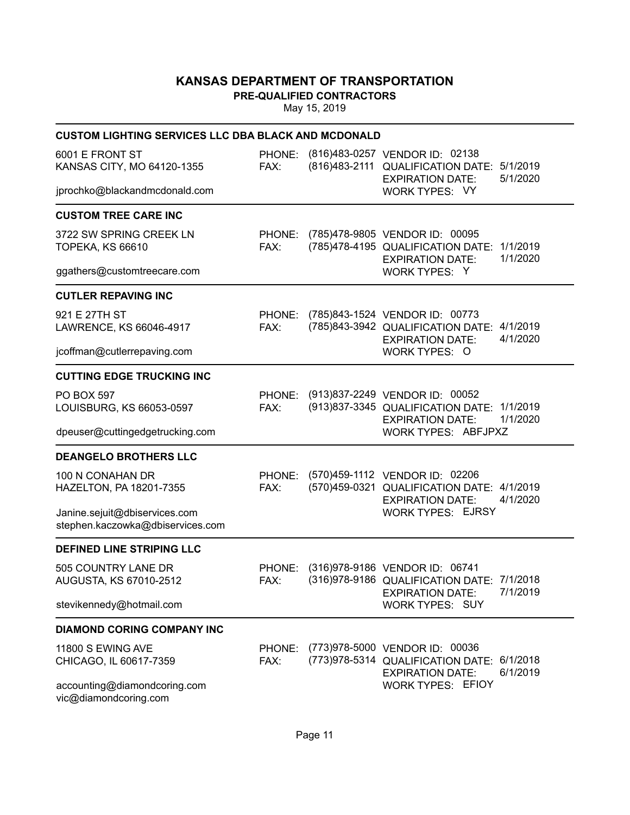**PRE-QUALIFIED CONTRACTORS**

| <b>CUSTOM LIGHTING SERVICES LLC DBA BLACK AND MCDONALD</b>        |                |                                                                                                                             |
|-------------------------------------------------------------------|----------------|-----------------------------------------------------------------------------------------------------------------------------|
| 6001 E FRONT ST<br>KANSAS CITY, MO 64120-1355                     | FAX:           | PHONE: (816)483-0257 VENDOR ID: 02138<br>(816)483-2111 QUALIFICATION DATE: 5/1/2019<br>5/1/2020<br><b>EXPIRATION DATE:</b>  |
| jprochko@blackandmcdonald.com                                     |                | WORK TYPES: VY                                                                                                              |
| <b>CUSTOM TREE CARE INC</b>                                       |                |                                                                                                                             |
| 3722 SW SPRING CREEK LN<br><b>TOPEKA, KS 66610</b>                | FAX:           | PHONE: (785)478-9805 VENDOR ID: 00095<br>(785)478-4195 QUALIFICATION DATE: 1/1/2019<br>1/1/2020<br><b>EXPIRATION DATE:</b>  |
| ggathers@customtreecare.com                                       |                | WORK TYPES: Y                                                                                                               |
| <b>CUTLER REPAVING INC</b>                                        |                |                                                                                                                             |
| 921 E 27TH ST<br>LAWRENCE, KS 66046-4917                          | FAX:           | PHONE: (785)843-1524 VENDOR ID: 00773<br>(785)843-3942 QUALIFICATION DATE: 4/1/2019<br>4/1/2020<br><b>EXPIRATION DATE:</b>  |
| jcoffman@cutlerrepaving.com                                       |                | WORK TYPES: O                                                                                                               |
| <b>CUTTING EDGE TRUCKING INC</b>                                  |                |                                                                                                                             |
| <b>PO BOX 597</b><br>LOUISBURG, KS 66053-0597                     | FAX:           | PHONE: (913)837-2249 VENDOR ID: 00052<br>(913) 837-3345 QUALIFICATION DATE: 1/1/2019<br>1/1/2020<br><b>EXPIRATION DATE:</b> |
| dpeuser@cuttingedgetrucking.com                                   |                | WORK TYPES: ABFJPXZ                                                                                                         |
| <b>DEANGELO BROTHERS LLC</b>                                      |                |                                                                                                                             |
| 100 N CONAHAN DR<br>HAZELTON, PA 18201-7355                       | FAX:           | PHONE: (570)459-1112 VENDOR ID: 02206<br>(570)459-0321 QUALIFICATION DATE: 4/1/2019<br>4/1/2020<br><b>EXPIRATION DATE:</b>  |
| Janine.sejuit@dbiservices.com<br>stephen.kaczowka@dbiservices.com |                | <b>WORK TYPES: EJRSY</b>                                                                                                    |
| <b>DEFINED LINE STRIPING LLC</b>                                  |                |                                                                                                                             |
| 505 COUNTRY LANE DR<br>AUGUSTA, KS 67010-2512                     | PHONE:<br>FAX: | (316)978-9186 VENDOR ID: 06741<br>(316)978-9186 QUALIFICATION DATE: 7/1/2018<br>7/1/2019<br><b>EXPIRATION DATE:</b>         |
| stevikennedy@hotmail.com                                          |                | <b>WORK TYPES: SUY</b>                                                                                                      |
| <b>DIAMOND CORING COMPANY INC</b>                                 |                |                                                                                                                             |
| 11800 S EWING AVE<br>CHICAGO, IL 60617-7359                       | PHONE:<br>FAX: | (773)978-5000 VENDOR ID: 00036<br>(773)978-5314 QUALIFICATION DATE: 6/1/2018<br>6/1/2019<br><b>EXPIRATION DATE:</b>         |
| accounting@diamondcoring.com<br>vic@diamondcoring.com             |                | <b>WORK TYPES: EFIOY</b>                                                                                                    |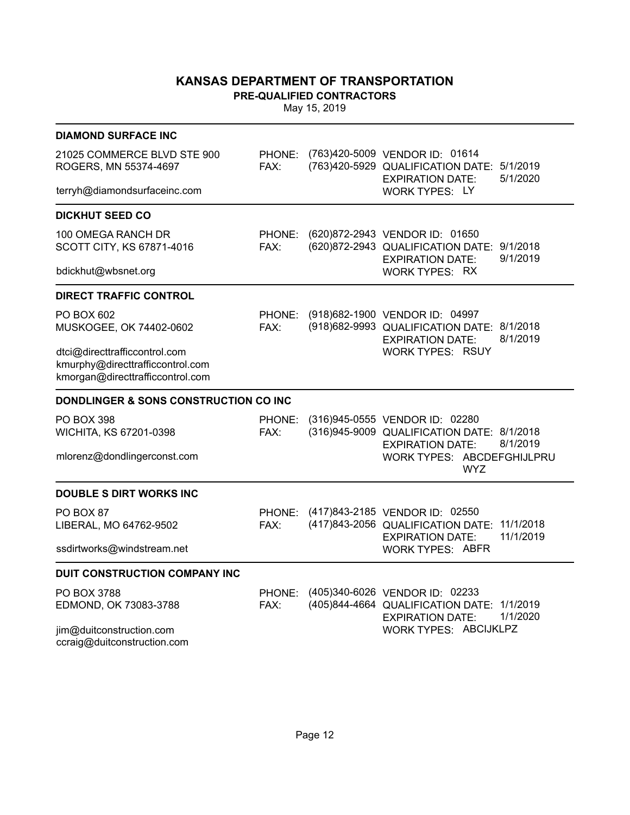**PRE-QUALIFIED CONTRACTORS**

| <b>DIAMOND SURFACE INC</b>                                                                            |                |                                                                                                           |                      |
|-------------------------------------------------------------------------------------------------------|----------------|-----------------------------------------------------------------------------------------------------------|----------------------|
| 21025 COMMERCE BLVD STE 900<br>ROGERS, MN 55374-4697                                                  | PHONE:<br>FAX: | (763)420-5009 VENDOR ID: 01614<br>(763)420-5929 QUALIFICATION DATE:<br><b>EXPIRATION DATE:</b>            | 5/1/2019<br>5/1/2020 |
| terryh@diamondsurfaceinc.com                                                                          |                | <b>WORK TYPES: LY</b>                                                                                     |                      |
| <b>DICKHUT SEED CO</b>                                                                                |                |                                                                                                           |                      |
| 100 OMEGA RANCH DR<br>SCOTT CITY, KS 67871-4016                                                       | PHONE:<br>FAX: | (620)872-2943 VENDOR ID: 01650<br>(620) 872-2943 QUALIFICATION DATE: 9/1/2018<br><b>EXPIRATION DATE:</b>  | 9/1/2019             |
| bdickhut@wbsnet.org                                                                                   |                | <b>WORK TYPES: RX</b>                                                                                     |                      |
| <b>DIRECT TRAFFIC CONTROL</b>                                                                         |                |                                                                                                           |                      |
| PO BOX 602<br>MUSKOGEE, OK 74402-0602                                                                 | PHONE:<br>FAX: | (918) 682-1900 VENDOR ID: 04997<br>(918) 682-9993 QUALIFICATION DATE: 8/1/2018<br><b>EXPIRATION DATE:</b> | 8/1/2019             |
| dtci@directtrafficcontrol.com<br>kmurphy@directtrafficcontrol.com<br>kmorgan@directtrafficcontrol.com |                | <b>WORK TYPES: RSUY</b>                                                                                   |                      |
| DONDLINGER & SONS CONSTRUCTION CO INC                                                                 |                |                                                                                                           |                      |
| <b>PO BOX 398</b><br>WICHITA, KS 67201-0398                                                           | PHONE:<br>FAX: | (316)945-0555 VENDOR ID: 02280<br>(316)945-9009 QUALIFICATION DATE: 8/1/2018<br><b>EXPIRATION DATE:</b>   | 8/1/2019             |
| mlorenz@dondlingerconst.com                                                                           |                | WORK TYPES: ABCDEFGHIJLPRU<br><b>WYZ</b>                                                                  |                      |
| <b>DOUBLE S DIRT WORKS INC</b>                                                                        |                |                                                                                                           |                      |
| PO BOX 87<br>LIBERAL, MO 64762-9502                                                                   | PHONE:<br>FAX: | (417)843-2185 VENDOR ID: 02550<br>(417)843-2056 QUALIFICATION DATE: 11/1/2018<br><b>EXPIRATION DATE:</b>  | 11/1/2019            |
| ssdirtworks@windstream.net                                                                            |                | <b>WORK TYPES: ABFR</b>                                                                                   |                      |
| DUIT CONSTRUCTION COMPANY INC                                                                         |                |                                                                                                           |                      |
| PO BOX 3788<br>EDMOND, OK 73083-3788                                                                  | PHONE:<br>FAX: | (405)340-6026 VENDOR ID: 02233<br>(405)844-4664 QUALIFICATION DATE: 1/1/2019<br><b>EXPIRATION DATE:</b>   | 1/1/2020             |
| jim@duitconstruction.com<br>ccraig@duitconstruction.com                                               |                | WORK TYPES: ABCIJKLPZ                                                                                     |                      |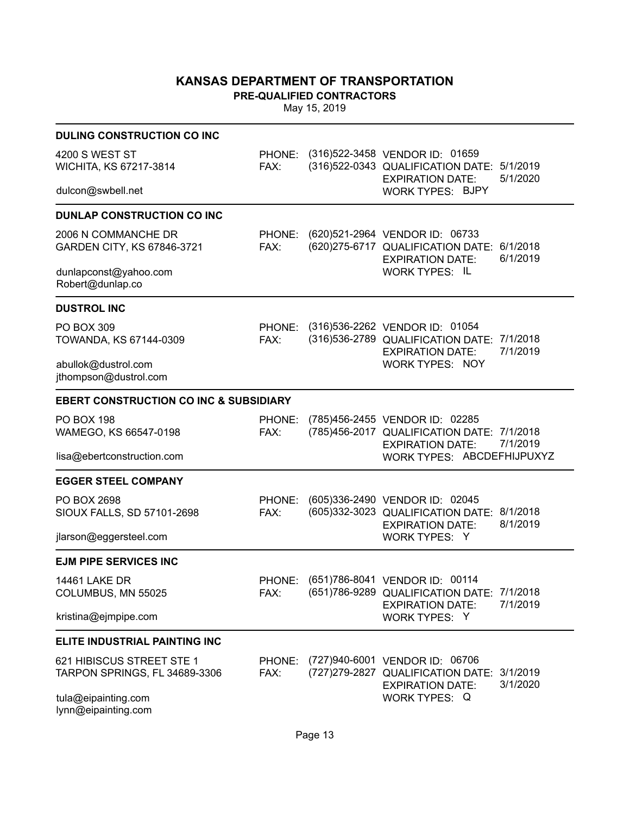**PRE-QUALIFIED CONTRACTORS**

| <b>DULING CONSTRUCTION CO INC</b>                          |                |                                                                                                                 |          |
|------------------------------------------------------------|----------------|-----------------------------------------------------------------------------------------------------------------|----------|
| 4200 S WEST ST<br>WICHITA, KS 67217-3814                   | FAX:           | PHONE: (316)522-3458 VENDOR ID: 01659<br>(316) 522-0343 QUALIFICATION DATE: 5/1/2019<br><b>EXPIRATION DATE:</b> | 5/1/2020 |
| dulcon@swbell.net                                          |                | <b>WORK TYPES: BJPY</b>                                                                                         |          |
| <b>DUNLAP CONSTRUCTION CO INC</b>                          |                |                                                                                                                 |          |
| 2006 N COMMANCHE DR<br>GARDEN CITY, KS 67846-3721          | FAX:           | PHONE: (620)521-2964 VENDOR ID: 06733<br>(620) 275-6717 QUALIFICATION DATE: 6/1/2018<br><b>EXPIRATION DATE:</b> | 6/1/2019 |
| dunlapconst@yahoo.com<br>Robert@dunlap.co                  |                | <b>WORK TYPES: IL</b>                                                                                           |          |
| <b>DUSTROL INC</b>                                         |                |                                                                                                                 |          |
| <b>PO BOX 309</b><br>TOWANDA, KS 67144-0309                | FAX:           | PHONE: (316)536-2262 VENDOR ID: 01054<br>(316) 536-2789 QUALIFICATION DATE: 7/1/2018<br><b>EXPIRATION DATE:</b> | 7/1/2019 |
| abullok@dustrol.com<br>jthompson@dustrol.com               |                | <b>WORK TYPES: NOY</b>                                                                                          |          |
| <b>EBERT CONSTRUCTION CO INC &amp; SUBSIDIARY</b>          |                |                                                                                                                 |          |
| <b>PO BOX 198</b><br>WAMEGO, KS 66547-0198                 | PHONE:<br>FAX: | (785)456-2455 VENDOR ID: 02285<br>(785)456-2017 QUALIFICATION DATE: 7/1/2018<br><b>EXPIRATION DATE:</b>         | 7/1/2019 |
| lisa@ebertconstruction.com                                 |                | WORK TYPES: ABCDEFHIJPUXYZ                                                                                      |          |
| <b>EGGER STEEL COMPANY</b>                                 |                |                                                                                                                 |          |
| PO BOX 2698<br>SIOUX FALLS, SD 57101-2698                  | PHONE:<br>FAX: | (605)336-2490 VENDOR ID: 02045<br>(605)332-3023 QUALIFICATION DATE: 8/1/2018<br><b>EXPIRATION DATE:</b>         | 8/1/2019 |
| jlarson@eggersteel.com                                     |                | WORK TYPES: Y                                                                                                   |          |
| <b>EJM PIPE SERVICES INC</b>                               |                |                                                                                                                 |          |
| <b>14461 LAKE DR</b><br>COLUMBUS, MN 55025                 | PHONE:<br>FAX: | (651)786-8041 VENDOR ID: 00114<br>(651) 786-9289 QUALIFICATION DATE: 7/1/2018<br><b>EXPIRATION DATE:</b>        | 7/1/2019 |
| kristina@ejmpipe.com                                       |                | WORK TYPES: Y                                                                                                   |          |
| ELITE INDUSTRIAL PAINTING INC                              |                |                                                                                                                 |          |
| 621 HIBISCUS STREET STE 1<br>TARPON SPRINGS, FL 34689-3306 | PHONE:<br>FAX: | (727)940-6001 VENDOR ID: 06706<br>(727) 279-2827 QUALIFICATION DATE: 3/1/2019<br><b>EXPIRATION DATE:</b>        | 3/1/2020 |
| tula@eipainting.com<br>lynn@eipainting.com                 |                | WORK TYPES: Q                                                                                                   |          |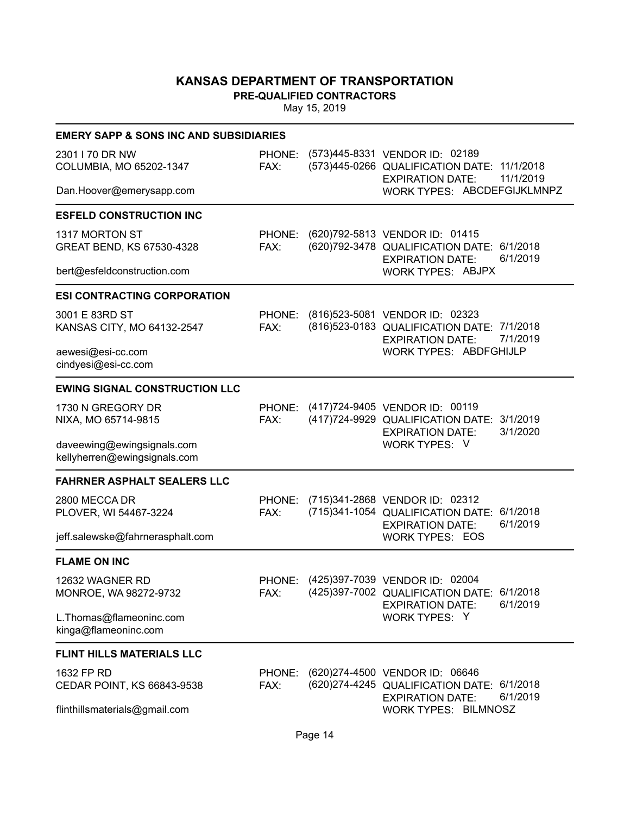**PRE-QUALIFIED CONTRACTORS**

| <b>EMERY SAPP &amp; SONS INC AND SUBSIDIARIES</b>          |                |                                                                                                                          |
|------------------------------------------------------------|----------------|--------------------------------------------------------------------------------------------------------------------------|
| 2301   70 DR NW<br>COLUMBIA, MO 65202-1347                 | PHONE:<br>FAX: | (573)445-8331 VENDOR ID: 02189<br>(573)445-0266 QUALIFICATION DATE: 11/1/2018<br>11/1/2019<br><b>EXPIRATION DATE:</b>    |
| Dan.Hoover@emerysapp.com                                   |                | WORK TYPES: ABCDEFGIJKLMNPZ                                                                                              |
| <b>ESFELD CONSTRUCTION INC</b>                             |                |                                                                                                                          |
| 1317 MORTON ST<br>GREAT BEND, KS 67530-4328                | PHONE:<br>FAX: | (620) 792-5813 VENDOR ID: 01415<br>(620) 792-3478 QUALIFICATION DATE: 6/1/2018<br>6/1/2019<br><b>EXPIRATION DATE:</b>    |
| bert@esfeldconstruction.com                                |                | <b>WORK TYPES: ABJPX</b>                                                                                                 |
| <b>ESI CONTRACTING CORPORATION</b>                         |                |                                                                                                                          |
| 3001 E 83RD ST<br>KANSAS CITY, MO 64132-2547               | PHONE:<br>FAX: | (816) 523-5081 VENDOR ID: 02323<br>(816) 523-0183 QUALIFICATION DATE: 7/1/2018<br><b>EXPIRATION DATE:</b><br>7/1/2019    |
| aewesi@esi-cc.com<br>cindyesi@esi-cc.com                   |                | <b>WORK TYPES: ABDFGHIJLP</b>                                                                                            |
| <b>EWING SIGNAL CONSTRUCTION LLC</b>                       |                |                                                                                                                          |
| 1730 N GREGORY DR<br>NIXA, MO 65714-9815                   | PHONE:<br>FAX: | (417) 724-9405 VENDOR ID: 00119<br>(417) 724-9929 QUALIFICATION DATE:<br>3/1/2019<br>3/1/2020<br><b>EXPIRATION DATE:</b> |
| daveewing@ewingsignals.com<br>kellyherren@ewingsignals.com |                | WORK TYPES: V                                                                                                            |
| <b>FAHRNER ASPHALT SEALERS LLC</b>                         |                |                                                                                                                          |
| 2800 MECCA DR<br>PLOVER, WI 54467-3224                     | PHONE:<br>FAX: | (715)341-2868 VENDOR ID: 02312<br>(715)341-1054 QUALIFICATION DATE:<br>6/1/2018<br>6/1/2019<br><b>EXPIRATION DATE:</b>   |
| jeff.salewske@fahrnerasphalt.com                           |                | <b>WORK TYPES: EOS</b>                                                                                                   |
| <b>FLAME ON INC</b>                                        |                |                                                                                                                          |
| 12632 WAGNER RD<br>MONROE, WA 98272-9732                   | PHONE:<br>FAX: | (425)397-7039 VENDOR ID: 02004<br>(425)397-7002 QUALIFICATION DATE: 6/1/2018<br>6/1/2019<br><b>EXPIRATION DATE:</b>      |
| L.Thomas@flameoninc.com<br>kinga@flameoninc.com            |                | WORK TYPES: Y                                                                                                            |
| <b>FLINT HILLS MATERIALS LLC</b>                           |                |                                                                                                                          |
| 1632 FP RD<br>CEDAR POINT, KS 66843-9538                   | PHONE:<br>FAX: | (620) 274-4500 VENDOR ID: 06646<br>(620) 274-4245 QUALIFICATION DATE:<br>6/1/2018<br>6/1/2019<br><b>EXPIRATION DATE:</b> |
| flinthillsmaterials@gmail.com                              |                | <b>WORK TYPES: BILMNOSZ</b>                                                                                              |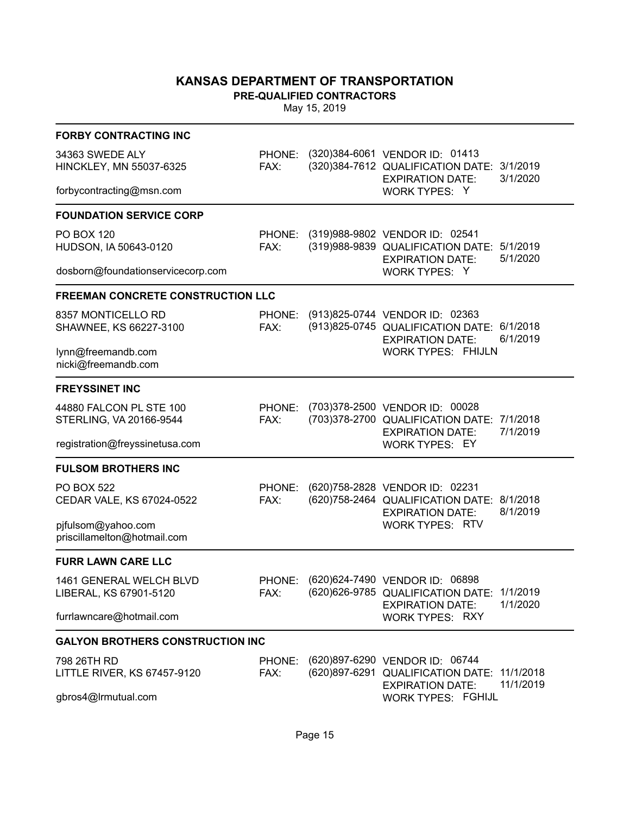**PRE-QUALIFIED CONTRACTORS**

| <b>FORBY CONTRACTING INC</b>                       |                |                                                                                                           |                      |  |
|----------------------------------------------------|----------------|-----------------------------------------------------------------------------------------------------------|----------------------|--|
| 34363 SWEDE ALY<br>HINCKLEY, MN 55037-6325         | PHONE:<br>FAX: | (320) 384-6061 VENDOR ID: 01413<br>(320) 384-7612 QUALIFICATION DATE: 3/1/2019<br><b>EXPIRATION DATE:</b> | 3/1/2020             |  |
| forbycontracting@msn.com                           |                | WORK TYPES: Y                                                                                             |                      |  |
| <b>FOUNDATION SERVICE CORP</b>                     |                |                                                                                                           |                      |  |
| <b>PO BOX 120</b><br>HUDSON, IA 50643-0120         | PHONE:<br>FAX: | (319)988-9802 VENDOR ID: 02541<br>(319)988-9839 QUALIFICATION DATE:<br><b>EXPIRATION DATE:</b>            | 5/1/2019<br>5/1/2020 |  |
| dosborn@foundationservicecorp.com                  |                | WORK TYPES: Y                                                                                             |                      |  |
| <b>FREEMAN CONCRETE CONSTRUCTION LLC</b>           |                |                                                                                                           |                      |  |
| 8357 MONTICELLO RD<br>SHAWNEE, KS 66227-3100       | PHONE:<br>FAX: | (913)825-0744 VENDOR ID: 02363<br>(913) 825-0745 QUALIFICATION DATE: 6/1/2018<br><b>EXPIRATION DATE:</b>  | 6/1/2019             |  |
| lynn@freemandb.com<br>nicki@freemandb.com          |                | <b>WORK TYPES: FHIJLN</b>                                                                                 |                      |  |
| <b>FREYSSINET INC</b>                              |                |                                                                                                           |                      |  |
| 44880 FALCON PL STE 100<br>STERLING, VA 20166-9544 | PHONE:<br>FAX: | (703)378-2500 VENDOR ID: 00028<br>(703)378-2700 QUALIFICATION DATE: 7/1/2018<br><b>EXPIRATION DATE:</b>   | 7/1/2019             |  |
| registration@freyssinetusa.com                     |                | <b>WORK TYPES: EY</b>                                                                                     |                      |  |
| <b>FULSOM BROTHERS INC</b>                         |                |                                                                                                           |                      |  |
| <b>PO BOX 522</b><br>CEDAR VALE, KS 67024-0522     | PHONE:<br>FAX: | (620) 758-2828 VENDOR ID: 02231<br>(620) 758-2464 QUALIFICATION DATE: 8/1/2018<br><b>EXPIRATION DATE:</b> | 8/1/2019             |  |
| pjfulsom@yahoo.com<br>priscillamelton@hotmail.com  |                | <b>WORK TYPES: RTV</b>                                                                                    |                      |  |
| <b>FURR LAWN CARE LLC</b>                          |                |                                                                                                           |                      |  |
| 1461 GENERAL WELCH BLVD<br>LIBERAL, KS 67901-5120  | PHONE:<br>FAX: | (620) 624-7490 VENDOR ID: 06898<br>(620) 626-9785 QUALIFICATION DATE: 1/1/2019<br><b>EXPIRATION DATE:</b> | 1/1/2020             |  |
| furrlawncare@hotmail.com                           |                | <b>WORK TYPES: RXY</b>                                                                                    |                      |  |
| <b>GALYON BROTHERS CONSTRUCTION INC</b>            |                |                                                                                                           |                      |  |
| 798 26TH RD<br>LITTLE RIVER, KS 67457-9120         | PHONE:<br>FAX: | (620)897-6290 VENDOR ID: 06744<br>(620) 897-6291 QUALIFICATION DATE: 11/1/2018<br><b>EXPIRATION DATE:</b> | 11/1/2019            |  |
| gbros4@Irmutual.com                                |                | <b>WORK TYPES: FGHIJL</b>                                                                                 |                      |  |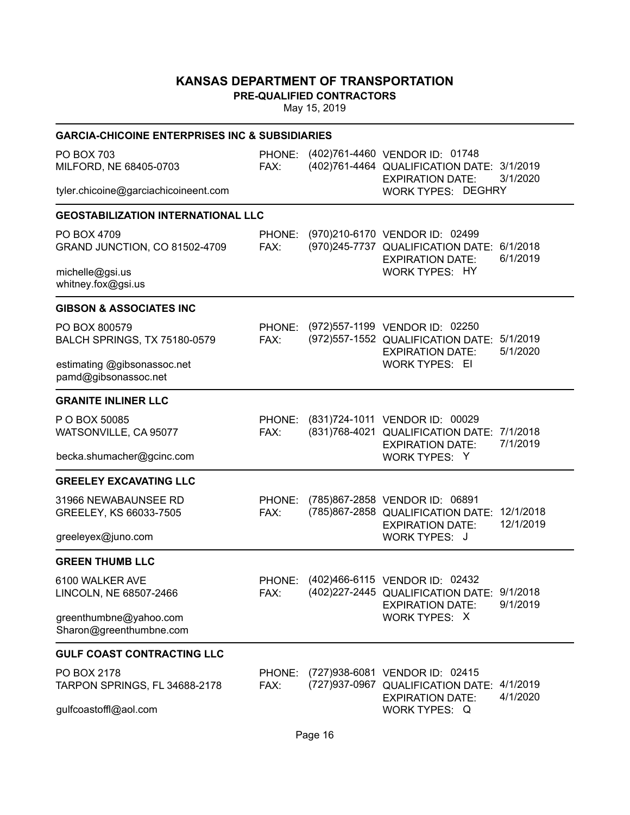**PRE-QUALIFIED CONTRACTORS**

|                                                     | <b>GARCIA-CHICOINE ENTERPRISES INC &amp; SUBSIDIARIES</b> |  |                                                                                                           |                        |  |  |  |
|-----------------------------------------------------|-----------------------------------------------------------|--|-----------------------------------------------------------------------------------------------------------|------------------------|--|--|--|
| PO BOX 703<br>MILFORD, NE 68405-0703                | PHONE:<br>FAX:                                            |  | (402)761-4460 VENDOR ID: 01748<br>(402)761-4464 QUALIFICATION DATE: 3/1/2019<br><b>EXPIRATION DATE:</b>   | 3/1/2020               |  |  |  |
| tyler.chicoine@garciachicoineent.com                |                                                           |  | <b>WORK TYPES: DEGHRY</b>                                                                                 |                        |  |  |  |
| <b>GEOSTABILIZATION INTERNATIONAL LLC</b>           |                                                           |  |                                                                                                           |                        |  |  |  |
| PO BOX 4709<br>GRAND JUNCTION, CO 81502-4709        | PHONE:<br>FAX:                                            |  | (970)210-6170 VENDOR ID: 02499<br>(970)245-7737 QUALIFICATION DATE:<br><b>EXPIRATION DATE:</b>            | 6/1/2018<br>6/1/2019   |  |  |  |
| michelle@gsi.us<br>whitney.fox@gsi.us               |                                                           |  | <b>WORK TYPES: HY</b>                                                                                     |                        |  |  |  |
| <b>GIBSON &amp; ASSOCIATES INC</b>                  |                                                           |  |                                                                                                           |                        |  |  |  |
| PO BOX 800579<br>BALCH SPRINGS, TX 75180-0579       | PHONE:<br>FAX:                                            |  | (972) 557-1199 VENDOR ID: 02250<br>(972) 557-1552 QUALIFICATION DATE: 5/1/2019<br><b>EXPIRATION DATE:</b> | 5/1/2020               |  |  |  |
| estimating @gibsonassoc.net<br>pamd@gibsonassoc.net |                                                           |  | <b>WORK TYPES: EI</b>                                                                                     |                        |  |  |  |
| <b>GRANITE INLINER LLC</b>                          |                                                           |  |                                                                                                           |                        |  |  |  |
| P O BOX 50085<br>WATSONVILLE, CA 95077              | PHONE:<br>FAX:                                            |  | (831)724-1011 VENDOR ID: 00029<br>(831)768-4021 QUALIFICATION DATE:<br><b>EXPIRATION DATE:</b>            | 7/1/2018<br>7/1/2019   |  |  |  |
| becka.shumacher@gcinc.com                           |                                                           |  | WORK TYPES: Y                                                                                             |                        |  |  |  |
| <b>GREELEY EXCAVATING LLC</b>                       |                                                           |  |                                                                                                           |                        |  |  |  |
| 31966 NEWABAUNSEE RD<br>GREELEY, KS 66033-7505      | PHONE:<br>FAX:                                            |  | (785)867-2858 VENDOR ID: 06891<br>(785)867-2858 QUALIFICATION DATE:<br><b>EXPIRATION DATE:</b>            | 12/1/2018<br>12/1/2019 |  |  |  |
| greeleyex@juno.com                                  |                                                           |  | <b>WORK TYPES: J</b>                                                                                      |                        |  |  |  |
| <b>GREEN THUMB LLC</b>                              |                                                           |  |                                                                                                           |                        |  |  |  |
| 6100 WALKER AVE<br>LINCOLN, NE 68507-2466           | PHONE:<br>FAX:                                            |  | (402)466-6115 VENDOR ID: 02432<br>(402) 227-2445 QUALIFICATION DATE: 9/1/2018<br><b>EXPIRATION DATE:</b>  | 9/1/2019               |  |  |  |
| greenthumbne@yahoo.com<br>Sharon@greenthumbne.com   |                                                           |  | WORK TYPES: X                                                                                             |                        |  |  |  |
| <b>GULF COAST CONTRACTING LLC</b>                   |                                                           |  |                                                                                                           |                        |  |  |  |
| PO BOX 2178<br>TARPON SPRINGS, FL 34688-2178        | PHONE:<br>FAX:                                            |  | (727) 938-6081 VENDOR ID: 02415<br>(727)937-0967 QUALIFICATION DATE:<br><b>EXPIRATION DATE:</b>           | 4/1/2019<br>4/1/2020   |  |  |  |
| gulfcoastoffl@aol.com                               |                                                           |  | <b>WORK TYPES: Q</b>                                                                                      |                        |  |  |  |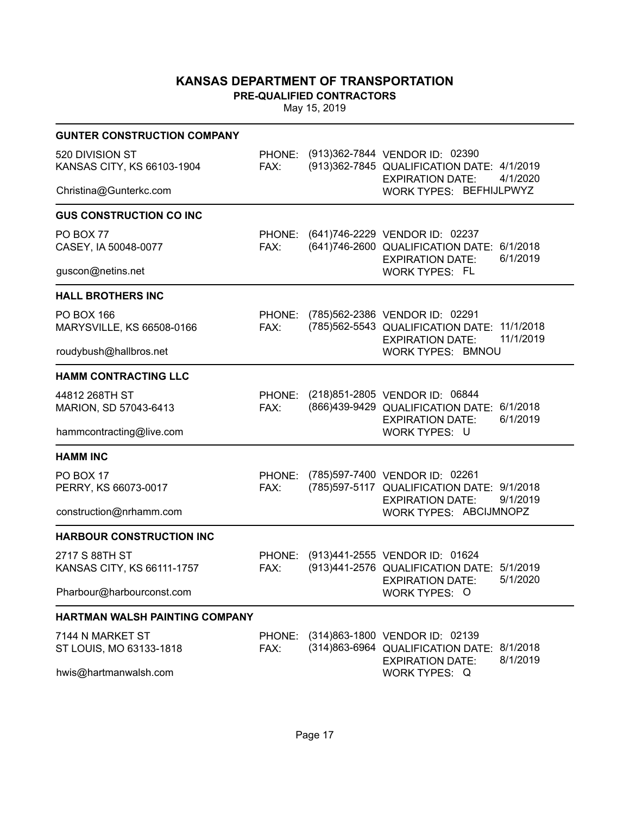**PRE-QUALIFIED CONTRACTORS**

| <b>GUNTER CONSTRUCTION COMPANY</b>             |                |                                                                                                                             |
|------------------------------------------------|----------------|-----------------------------------------------------------------------------------------------------------------------------|
| 520 DIVISION ST<br>KANSAS CITY, KS 66103-1904  | FAX:           | PHONE: (913)362-7844 VENDOR ID: 02390<br>(913) 362-7845 QUALIFICATION DATE: 4/1/2019<br>4/1/2020<br><b>EXPIRATION DATE:</b> |
| Christina@Gunterkc.com                         |                | WORK TYPES: BEFHIJLPWYZ                                                                                                     |
| <b>GUS CONSTRUCTION CO INC</b>                 |                |                                                                                                                             |
| PO BOX 77<br>CASEY, IA 50048-0077              | PHONE:<br>FAX: | (641)746-2229 VENDOR ID: 02237<br>(641)746-2600 QUALIFICATION DATE: 6/1/2018<br>6/1/2019<br><b>EXPIRATION DATE:</b>         |
| guscon@netins.net                              |                | <b>WORK TYPES: FL</b>                                                                                                       |
| <b>HALL BROTHERS INC</b>                       |                |                                                                                                                             |
| <b>PO BOX 166</b><br>MARYSVILLE, KS 66508-0166 | PHONE:<br>FAX: | (785)562-2386 VENDOR ID: 02291<br>(785) 562-5543 QUALIFICATION DATE: 11/1/2018<br>11/1/2019<br><b>EXPIRATION DATE:</b>      |
| roudybush@hallbros.net                         |                | WORK TYPES: BMNOU                                                                                                           |
| <b>HAMM CONTRACTING LLC</b>                    |                |                                                                                                                             |
| 44812 268TH ST<br>MARION, SD 57043-6413        | PHONE:<br>FAX: | (218)851-2805 VENDOR ID: 06844<br>(866) 439-9429 QUALIFICATION DATE: 6/1/2018<br>6/1/2019<br><b>EXPIRATION DATE:</b>        |
| hammcontracting@live.com                       |                | WORK TYPES: U                                                                                                               |
| <b>HAMM INC</b>                                |                |                                                                                                                             |
| PO BOX 17<br>PERRY, KS 66073-0017              | PHONE:<br>FAX: | (785)597-7400 VENDOR ID: 02261<br>(785) 597-5117 QUALIFICATION DATE: 9/1/2018<br>9/1/2019<br><b>EXPIRATION DATE:</b>        |
| construction@nrhamm.com                        |                | WORK TYPES: ABCIJMNOPZ                                                                                                      |
| <b>HARBOUR CONSTRUCTION INC</b>                |                |                                                                                                                             |
| 2717 S 88TH ST<br>KANSAS CITY, KS 66111-1757   | PHONE:<br>FAX: | (913)441-2555 VENDOR ID: 01624<br>(913)441-2576 QUALIFICATION DATE: 5/1/2019<br>5/1/2020<br><b>EXPIRATION DATE:</b>         |
| Pharbour@harbourconst.com                      |                | WORK TYPES: O                                                                                                               |
| HARTMAN WALSH PAINTING COMPANY                 |                |                                                                                                                             |
| 7144 N MARKET ST                               |                | PHONE: (314)863-1800 VENDOR ID: 02139                                                                                       |
| ST LOUIS, MO 63133-1818                        | FAX:           | (314) 863-6964 QUALIFICATION DATE: 8/1/2018<br>8/1/2019<br><b>EXPIRATION DATE:</b>                                          |
| hwis@hartmanwalsh.com                          |                | <b>WORK TYPES: Q</b>                                                                                                        |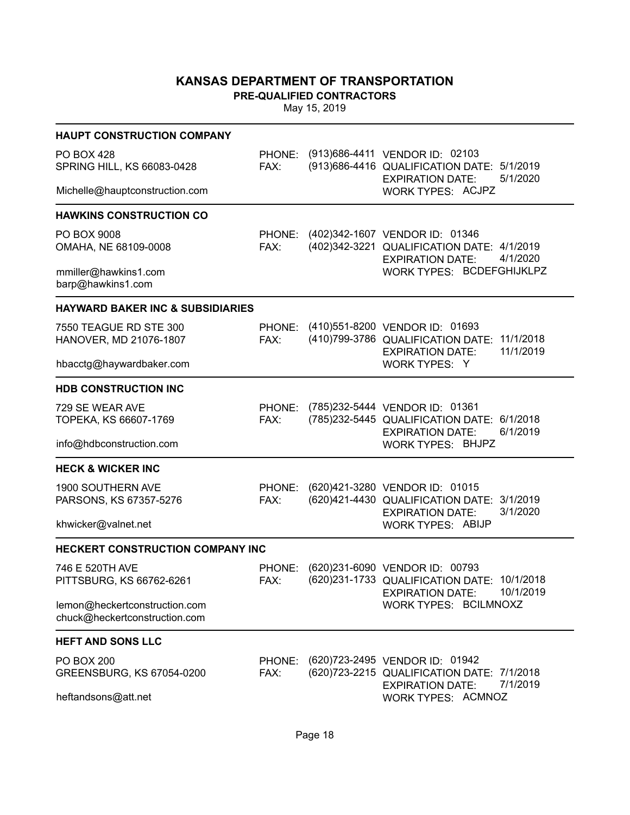**PRE-QUALIFIED CONTRACTORS**

| <b>HAUPT CONSTRUCTION COMPANY</b>                              |                |                                                                                                                              |
|----------------------------------------------------------------|----------------|------------------------------------------------------------------------------------------------------------------------------|
| <b>PO BOX 428</b><br>SPRING HILL, KS 66083-0428                | FAX:           | PHONE: (913)686-4411 VENDOR ID: 02103<br>(913) 686-4416 QUALIFICATION DATE: 5/1/2019<br>5/1/2020<br><b>EXPIRATION DATE:</b>  |
| Michelle@hauptconstruction.com                                 |                | WORK TYPES: ACJPZ                                                                                                            |
| <b>HAWKINS CONSTRUCTION CO</b>                                 |                |                                                                                                                              |
| PO BOX 9008<br>OMAHA, NE 68109-0008                            | FAX:           | PHONE: (402)342-1607 VENDOR ID: 01346<br>(402)342-3221 QUALIFICATION DATE: 4/1/2019<br><b>EXPIRATION DATE:</b><br>4/1/2020   |
| mmiller@hawkins1.com<br>barp@hawkins1.com                      |                | WORK TYPES: BCDEFGHIJKLPZ                                                                                                    |
| <b>HAYWARD BAKER INC &amp; SUBSIDIARIES</b>                    |                |                                                                                                                              |
| 7550 TEAGUE RD STE 300<br>HANOVER, MD 21076-1807               | FAX:           | PHONE: (410)551-8200 VENDOR ID: 01693<br>(410)799-3786 QUALIFICATION DATE: 11/1/2018<br>11/1/2019<br><b>EXPIRATION DATE:</b> |
| hbacctg@haywardbaker.com                                       |                | WORK TYPES: Y                                                                                                                |
| <b>HDB CONSTRUCTION INC</b>                                    |                |                                                                                                                              |
| 729 SE WEAR AVE<br>TOPEKA, KS 66607-1769                       | PHONE:<br>FAX: | (785)232-5444 VENDOR ID: 01361<br>(785)232-5445 QUALIFICATION DATE: 6/1/2018<br>6/1/2019<br><b>EXPIRATION DATE:</b>          |
| info@hdbconstruction.com                                       |                | <b>WORK TYPES: BHJPZ</b>                                                                                                     |
| <b>HECK &amp; WICKER INC</b>                                   |                |                                                                                                                              |
| 1900 SOUTHERN AVE<br>PARSONS, KS 67357-5276                    | PHONE:<br>FAX: | (620)421-3280 VENDOR ID: 01015<br>(620)421-4430 QUALIFICATION DATE: 3/1/2019<br>3/1/2020<br><b>EXPIRATION DATE:</b>          |
| khwicker@valnet.net                                            |                | <b>WORK TYPES: ABIJP</b>                                                                                                     |
| <b>HECKERT CONSTRUCTION COMPANY INC</b>                        |                |                                                                                                                              |
| 746 E 520TH AVE<br>PITTSBURG, KS 66762-6261                    | PHONE:<br>FAX: | (620)231-6090 VENDOR ID: 00793<br>(620) 231-1733 QUALIFICATION DATE: 10/1/2018<br>10/1/2019<br><b>EXPIRATION DATE:</b>       |
| lemon@heckertconstruction.com<br>chuck@heckertconstruction.com |                | WORK TYPES: BCILMNOXZ                                                                                                        |
| <b>HEFT AND SONS LLC</b>                                       |                |                                                                                                                              |
| <b>PO BOX 200</b><br>GREENSBURG, KS 67054-0200                 | PHONE:<br>FAX: | (620) 723-2495 VENDOR ID: 01942<br>(620) 723-2215 QUALIFICATION DATE: 7/1/2018<br>7/1/2019<br><b>EXPIRATION DATE:</b>        |
| heftandsons@att.net                                            |                | WORK TYPES: ACMNOZ                                                                                                           |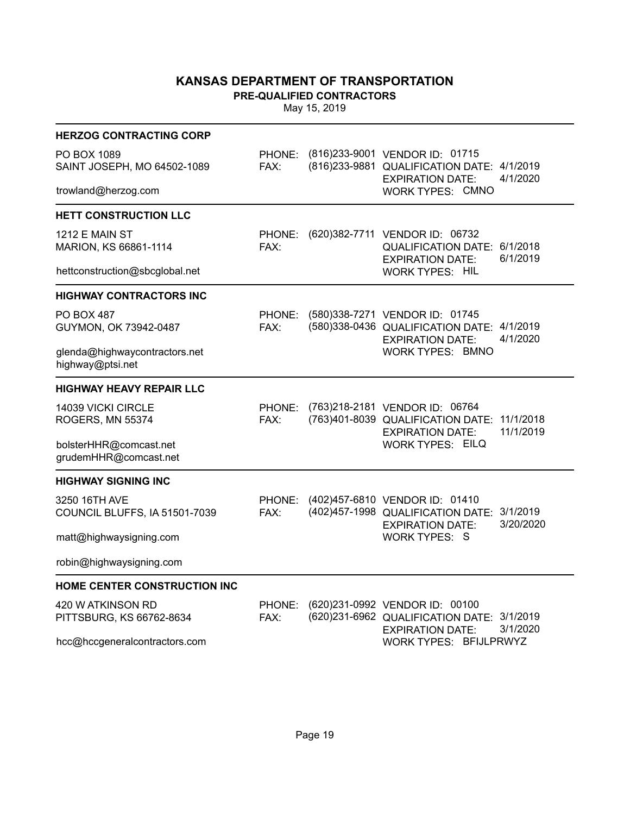**PRE-QUALIFIED CONTRACTORS**

| <b>HERZOG CONTRACTING CORP</b>                    |                |                                                                                                           |                        |
|---------------------------------------------------|----------------|-----------------------------------------------------------------------------------------------------------|------------------------|
| PO BOX 1089<br>SAINT JOSEPH, MO 64502-1089        | PHONE:<br>FAX: | (816) 233-9001 VENDOR ID: 01715<br>(816) 233-9881 QUALIFICATION DATE: 4/1/2019<br><b>EXPIRATION DATE:</b> | 4/1/2020               |
| trowland@herzog.com                               |                | WORK TYPES: CMNO                                                                                          |                        |
| HETT CONSTRUCTION LLC                             |                |                                                                                                           |                        |
| <b>1212 E MAIN ST</b><br>MARION, KS 66861-1114    | PHONE:<br>FAX: | (620) 382-7711 VENDOR ID: 06732<br>QUALIFICATION DATE: 6/1/2018<br><b>EXPIRATION DATE:</b>                | 6/1/2019               |
| hettconstruction@sbcglobal.net                    |                | <b>WORK TYPES: HIL</b>                                                                                    |                        |
| <b>HIGHWAY CONTRACTORS INC</b>                    |                |                                                                                                           |                        |
| PO BOX 487<br>GUYMON, OK 73942-0487               | PHONE:<br>FAX: | (580)338-7271 VENDOR ID: 01745<br>(580)338-0436 QUALIFICATION DATE: 4/1/2019<br><b>EXPIRATION DATE:</b>   | 4/1/2020               |
| glenda@highwaycontractors.net<br>highway@ptsi.net |                | <b>WORK TYPES: BMNO</b>                                                                                   |                        |
| <b>HIGHWAY HEAVY REPAIR LLC</b>                   |                |                                                                                                           |                        |
| 14039 VICKI CIRCLE<br>ROGERS, MN 55374            | PHONE:<br>FAX: | (763)218-2181 VENDOR ID: 06764<br>(763)401-8039 QUALIFICATION DATE:<br><b>EXPIRATION DATE:</b>            | 11/1/2018<br>11/1/2019 |
| bolsterHHR@comcast.net<br>grudemHHR@comcast.net   |                | <b>WORK TYPES: EILQ</b>                                                                                   |                        |
| <b>HIGHWAY SIGNING INC</b>                        |                |                                                                                                           |                        |
| 3250 16TH AVE<br>COUNCIL BLUFFS, IA 51501-7039    | PHONE:<br>FAX: | (402)457-6810 VENDOR ID: 01410<br>(402) 457-1998 QUALIFICATION DATE: 3/1/2019<br><b>EXPIRATION DATE:</b>  | 3/20/2020              |
| matt@highwaysigning.com                           |                | <b>WORK TYPES: S</b>                                                                                      |                        |
| robin@highwaysigning.com                          |                |                                                                                                           |                        |
| HOME CENTER CONSTRUCTION INC                      |                |                                                                                                           |                        |
| 420 W ATKINSON RD<br>PITTSBURG, KS 66762-8634     | PHONE:<br>FAX: | (620)231-0992 VENDOR ID: 00100<br>(620) 231-6962 QUALIFICATION DATE: 3/1/2019<br><b>EXPIRATION DATE:</b>  | 3/1/2020               |
| hcc@hccgeneralcontractors.com                     |                | WORK TYPES: BFIJLPRWYZ                                                                                    |                        |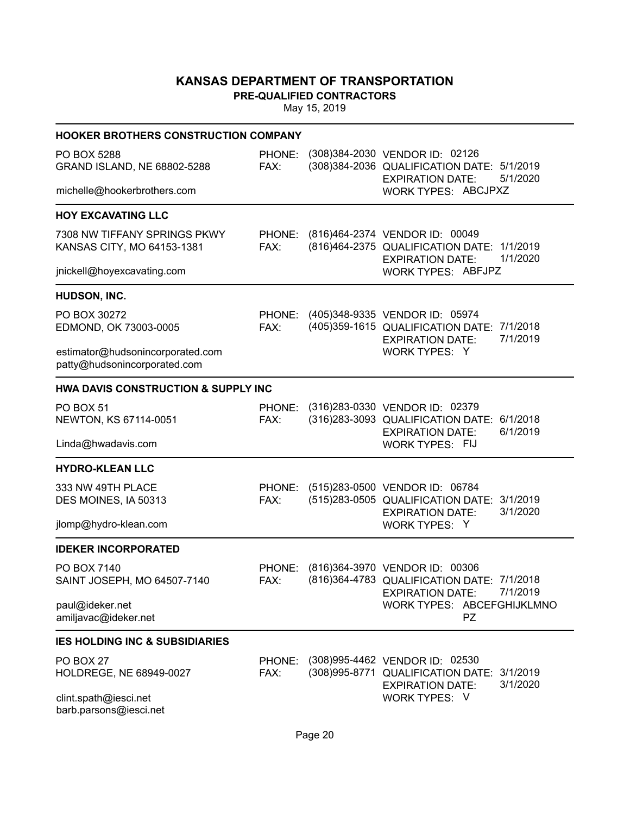**PRE-QUALIFIED CONTRACTORS**

| <b>HOOKER BROTHERS CONSTRUCTION COMPANY</b>                      |                |                                                                                                                             |
|------------------------------------------------------------------|----------------|-----------------------------------------------------------------------------------------------------------------------------|
| PO BOX 5288<br>GRAND ISLAND, NE 68802-5288                       | PHONE:<br>FAX: | (308) 384-2030 VENDOR ID: 02126<br>(308) 384-2036 QUALIFICATION DATE: 5/1/2019<br>5/1/2020<br><b>EXPIRATION DATE:</b>       |
| michelle@hookerbrothers.com                                      |                | WORK TYPES: ABCJPXZ                                                                                                         |
| <b>HOY EXCAVATING LLC</b>                                        |                |                                                                                                                             |
| 7308 NW TIFFANY SPRINGS PKWY<br>KANSAS CITY, MO 64153-1381       | FAX:           | PHONE: (816)464-2374 VENDOR ID: 00049<br>(816)464-2375 QUALIFICATION DATE: 1/1/2019<br>1/1/2020<br><b>EXPIRATION DATE:</b>  |
| jnickell@hoyexcavating.com                                       |                | WORK TYPES: ABFJPZ                                                                                                          |
| HUDSON, INC.                                                     |                |                                                                                                                             |
| PO BOX 30272<br>EDMOND, OK 73003-0005                            | FAX:           | PHONE: (405)348-9335 VENDOR ID: 05974<br>(405)359-1615 QUALIFICATION DATE: 7/1/2018<br>7/1/2019<br><b>EXPIRATION DATE:</b>  |
| estimator@hudsonincorporated.com<br>patty@hudsonincorporated.com |                | WORK TYPES: Y                                                                                                               |
| <b>HWA DAVIS CONSTRUCTION &amp; SUPPLY INC</b>                   |                |                                                                                                                             |
| PO BOX 51<br>NEWTON, KS 67114-0051                               | FAX:           | PHONE: (316)283-0330 VENDOR ID: 02379<br>(316) 283-3093 QUALIFICATION DATE: 6/1/2018<br>6/1/2019<br><b>EXPIRATION DATE:</b> |
| Linda@hwadavis.com                                               |                | <b>WORK TYPES: FIJ</b>                                                                                                      |
| <b>HYDRO-KLEAN LLC</b>                                           |                |                                                                                                                             |
| 333 NW 49TH PLACE<br>DES MOINES, IA 50313                        | FAX:           | PHONE: (515)283-0500 VENDOR ID: 06784<br>(515)283-0505 QUALIFICATION DATE: 3/1/2019<br>3/1/2020<br><b>EXPIRATION DATE:</b>  |
| jlomp@hydro-klean.com                                            |                | WORK TYPES: Y                                                                                                               |
| <b>IDEKER INCORPORATED</b>                                       |                |                                                                                                                             |
| PO BOX 7140<br>SAINT JOSEPH, MO 64507-7140                       | PHONE:<br>FAX: | (816)364-3970 VENDOR ID: 00306<br>(816)364-4783 QUALIFICATION DATE: 7/1/2018<br><b>EXPIRATION DATE:</b><br>7/1/2019         |
| paul@ideker.net<br>amiljavac@ideker.net                          |                | WORK TYPES: ABCEFGHIJKLMNO<br>PZ                                                                                            |
| <b>IES HOLDING INC &amp; SUBSIDIARIES</b>                        |                |                                                                                                                             |
| PO BOX 27<br>HOLDREGE, NE 68949-0027                             | PHONE:<br>FAX: | (308)995-4462 VENDOR ID: 02530<br>(308)995-8771 QUALIFICATION DATE:<br>3/1/2019<br>3/1/2020<br><b>EXPIRATION DATE:</b>      |
| clint.spath@iesci.net<br>barb.parsons@iesci.net                  |                | WORK TYPES: V                                                                                                               |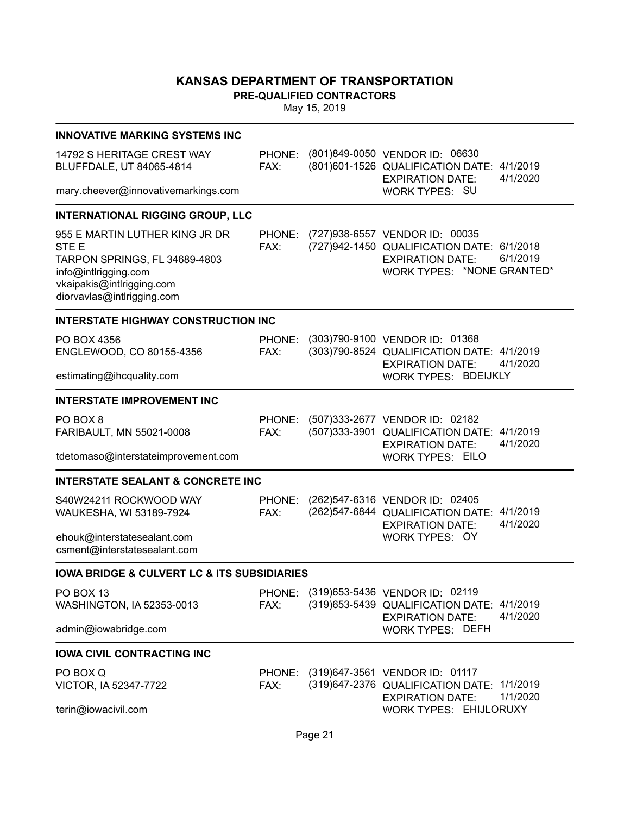**PRE-QUALIFIED CONTRACTORS**

| <b>INNOVATIVE MARKING SYSTEMS INC</b>                                                                                                                                  |                |                                                                                                                                                   |
|------------------------------------------------------------------------------------------------------------------------------------------------------------------------|----------------|---------------------------------------------------------------------------------------------------------------------------------------------------|
| 14792 S HERITAGE CREST WAY<br>BLUFFDALE, UT 84065-4814                                                                                                                 | PHONE:<br>FAX: | (801)849-0050 VENDOR ID: 06630<br>(801)601-1526 QUALIFICATION DATE: 4/1/2019<br>4/1/2020<br><b>EXPIRATION DATE:</b>                               |
| mary.cheever@innovativemarkings.com                                                                                                                                    |                | <b>WORK TYPES: SU</b>                                                                                                                             |
| <b>INTERNATIONAL RIGGING GROUP, LLC</b>                                                                                                                                |                |                                                                                                                                                   |
| 955 E MARTIN LUTHER KING JR DR<br>STE <sub>E</sub><br>TARPON SPRINGS, FL 34689-4803<br>info@intlrigging.com<br>vkaipakis@intlrigging.com<br>diorvavlas@intlrigging.com | PHONE:<br>FAX: | (727)938-6557 VENDOR ID: 00035<br>(727)942-1450 QUALIFICATION DATE: 6/1/2018<br>6/1/2019<br><b>EXPIRATION DATE:</b><br>WORK TYPES: *NONE GRANTED* |
| <b>INTERSTATE HIGHWAY CONSTRUCTION INC</b>                                                                                                                             |                |                                                                                                                                                   |
| PO BOX 4356<br>ENGLEWOOD, CO 80155-4356                                                                                                                                | PHONE:<br>FAX: | (303)790-9100 VENDOR ID: 01368<br>(303)790-8524 QUALIFICATION DATE: 4/1/2019<br><b>EXPIRATION DATE:</b><br>4/1/2020                               |
| estimating@ihcquality.com                                                                                                                                              |                | WORK TYPES: BDEIJKLY                                                                                                                              |
| <b>INTERSTATE IMPROVEMENT INC</b>                                                                                                                                      |                |                                                                                                                                                   |
| PO BOX 8<br>FARIBAULT, MN 55021-0008<br>tdetomaso@interstateimprovement.com                                                                                            | PHONE:<br>FAX: | (507) 333-2677 VENDOR ID: 02182<br>(507)333-3901 QUALIFICATION DATE: 4/1/2019<br>4/1/2020<br><b>EXPIRATION DATE:</b><br><b>WORK TYPES: EILO</b>   |
| <b>INTERSTATE SEALANT &amp; CONCRETE INC</b>                                                                                                                           |                |                                                                                                                                                   |
| S40W24211 ROCKWOOD WAY<br>WAUKESHA, WI 53189-7924<br>ehouk@interstatesealant.com                                                                                       | PHONE:<br>FAX: | (262) 547-6316 VENDOR ID: 02405<br>(262) 547-6844 QUALIFICATION DATE: 4/1/2019<br>4/1/2020<br><b>EXPIRATION DATE:</b><br><b>WORK TYPES: OY</b>    |
| csment@interstatesealant.com                                                                                                                                           |                |                                                                                                                                                   |
| <b>IOWA BRIDGE &amp; CULVERT LC &amp; ITS SUBSIDIARIES</b>                                                                                                             |                |                                                                                                                                                   |
| PO BOX 13<br>WASHINGTON, IA 52353-0013                                                                                                                                 | FAX:           | PHONE: (319)653-5436 VENDOR ID: 02119<br>(319) 653-5439 QUALIFICATION DATE: 4/1/2019<br>4/1/2020<br><b>EXPIRATION DATE:</b>                       |
| admin@iowabridge.com                                                                                                                                                   |                | <b>WORK TYPES: DEFH</b>                                                                                                                           |
| <b>IOWA CIVIL CONTRACTING INC</b>                                                                                                                                      |                |                                                                                                                                                   |
| PO BOX Q<br>VICTOR, IA 52347-7722                                                                                                                                      | PHONE:<br>FAX: | (319)647-3561 VENDOR ID: 01117<br>(319)647-2376 QUALIFICATION DATE: 1/1/2019<br>1/1/2020<br><b>EXPIRATION DATE:</b>                               |
| terin@iowacivil.com                                                                                                                                                    |                | WORK TYPES: EHIJLORUXY                                                                                                                            |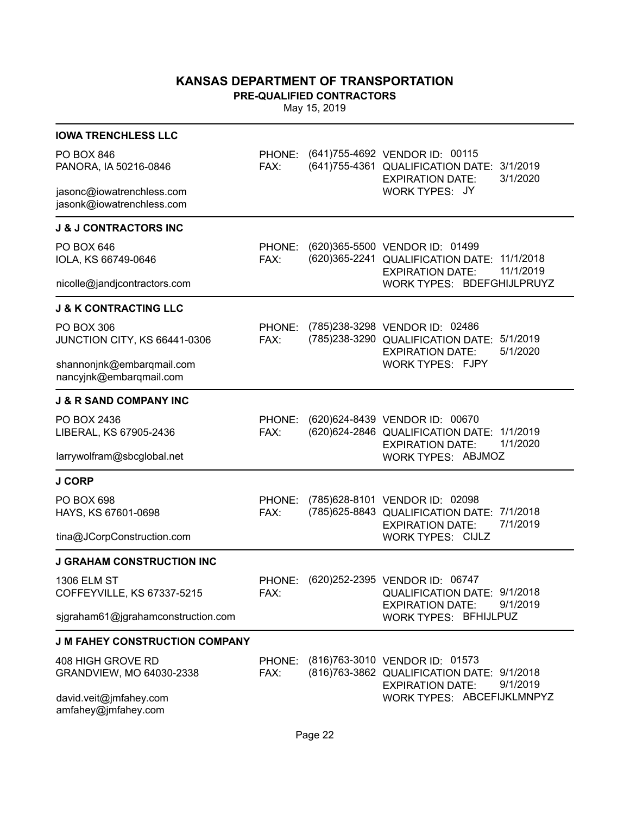**PRE-QUALIFIED CONTRACTORS**

| <b>IOWA TRENCHLESS LLC</b>                             |                |                                                                                                                       |
|--------------------------------------------------------|----------------|-----------------------------------------------------------------------------------------------------------------------|
| <b>PO BOX 846</b><br>PANORA, IA 50216-0846             | PHONE:<br>FAX: | (641) 755-4692 VENDOR ID: 00115<br>(641) 755-4361 QUALIFICATION DATE: 3/1/2019<br>3/1/2020<br><b>EXPIRATION DATE:</b> |
| jasonc@iowatrenchless.com<br>jasonk@iowatrenchless.com |                | WORK TYPES: JY                                                                                                        |
| <b>J &amp; J CONTRACTORS INC</b>                       |                |                                                                                                                       |
| PO BOX 646<br>IOLA, KS 66749-0646                      | PHONE:<br>FAX: | (620)365-5500 VENDOR ID: 01499<br>(620)365-2241 QUALIFICATION DATE: 11/1/2018<br>11/1/2019<br><b>EXPIRATION DATE:</b> |
| nicolle@jandjcontractors.com                           |                | WORK TYPES: BDEFGHIJLPRUYZ                                                                                            |
| <b>J &amp; K CONTRACTING LLC</b>                       |                |                                                                                                                       |
| <b>PO BOX 306</b><br>JUNCTION CITY, KS 66441-0306      | PHONE:<br>FAX: | (785)238-3298 VENDOR ID: 02486<br>(785)238-3290 QUALIFICATION DATE: 5/1/2019<br>5/1/2020<br><b>EXPIRATION DATE:</b>   |
| shannonjnk@embarqmail.com<br>nancyjnk@embarqmail.com   |                | WORK TYPES: FJPY                                                                                                      |
| <b>J &amp; R SAND COMPANY INC</b>                      |                |                                                                                                                       |
| PO BOX 2436<br>LIBERAL, KS 67905-2436                  | PHONE:<br>FAX: | (620) 624-8439 VENDOR ID: 00670<br>(620) 624-2846 QUALIFICATION DATE: 1/1/2019<br>1/1/2020<br><b>EXPIRATION DATE:</b> |
| larrywolfram@sbcglobal.net                             |                | <b>WORK TYPES: ABJMOZ</b>                                                                                             |
| <b>J CORP</b>                                          |                |                                                                                                                       |
| PO BOX 698<br>HAYS, KS 67601-0698                      | PHONE:<br>FAX: | (785) 628-8101 VENDOR ID: 02098<br>(785) 625-8843 QUALIFICATION DATE: 7/1/2018<br>7/1/2019<br><b>EXPIRATION DATE:</b> |
| tina@JCorpConstruction.com                             |                | <b>WORK TYPES: CIJLZ</b>                                                                                              |
| <b>J GRAHAM CONSTRUCTION INC</b>                       |                |                                                                                                                       |
| <b>1306 ELM ST</b><br>COFFEYVILLE, KS 67337-5215       | PHONE:<br>FAX: | (620) 252-2395 VENDOR ID: 06747<br>QUALIFICATION DATE: 9/1/2018<br>9/1/2019<br><b>EXPIRATION DATE:</b>                |
| sigraham61@jgrahamconstruction.com                     |                | <b>WORK TYPES: BFHIJLPUZ</b>                                                                                          |
| <b>J M FAHEY CONSTRUCTION COMPANY</b>                  |                |                                                                                                                       |
| 408 HIGH GROVE RD<br>GRANDVIEW, MO 64030-2338          | PHONE:<br>FAX: | (816)763-3010 VENDOR ID: 01573<br>(816)763-3862 QUALIFICATION DATE: 9/1/2018<br>9/1/2019<br><b>EXPIRATION DATE:</b>   |
| david.veit@jmfahey.com<br>amfahey@jmfahey.com          |                | WORK TYPES: ABCEFIJKLMNPYZ                                                                                            |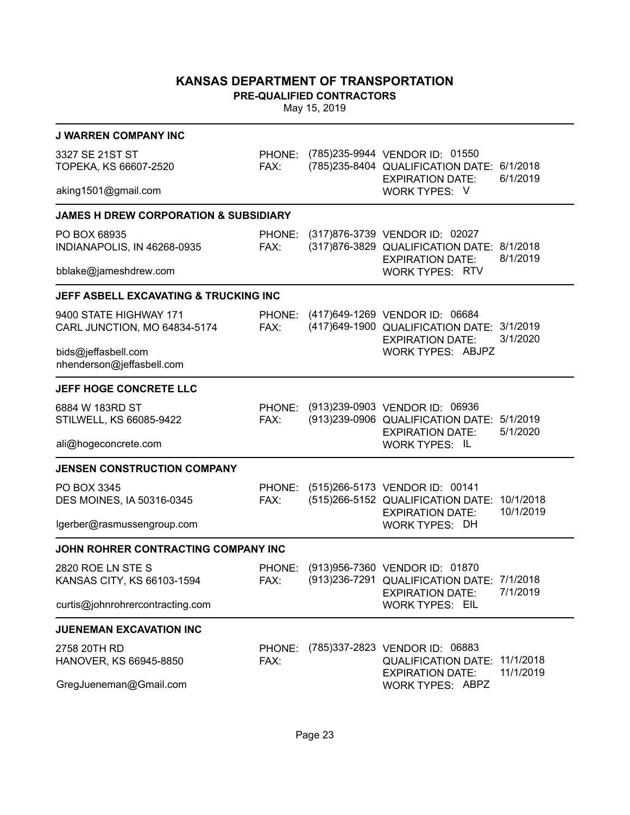**PRE-QUALIFIED CONTRACTORS**

| <b>J WARREN COMPANY INC</b>                            |                |                                                                                                                 |                      |
|--------------------------------------------------------|----------------|-----------------------------------------------------------------------------------------------------------------|----------------------|
| 3327 SE 21ST ST<br>TOPEKA, KS 66607-2520               | PHONE:<br>FAX: | (785)235-9944 VENDOR ID: 01550<br>(785)235-8404 QUALIFICATION DATE: 6/1/2018<br><b>EXPIRATION DATE:</b>         | 6/1/2019             |
| aking1501@gmail.com                                    |                | <b>WORK TYPES: V</b>                                                                                            |                      |
| <b>JAMES H DREW CORPORATION &amp; SUBSIDIARY</b>       |                |                                                                                                                 |                      |
| PO BOX 68935<br>INDIANAPOLIS, IN 46268-0935            | PHONE:<br>FAX: | (317)876-3739 VENDOR ID: 02027<br>(317)876-3829 QUALIFICATION DATE: 8/1/2018<br><b>EXPIRATION DATE:</b>         | 8/1/2019             |
| bblake@jameshdrew.com                                  |                | <b>WORK TYPES: RTV</b>                                                                                          |                      |
| JEFF ASBELL EXCAVATING & TRUCKING INC                  |                |                                                                                                                 |                      |
| 9400 STATE HIGHWAY 171<br>CARL JUNCTION, MO 64834-5174 | FAX:           | PHONE: (417)649-1269 VENDOR ID: 06684<br>(417) 649-1900 QUALIFICATION DATE: 3/1/2019<br><b>EXPIRATION DATE:</b> | 3/1/2020             |
| bids@jeffasbell.com<br>nhenderson@jeffasbell.com       |                | <b>WORK TYPES: ABJPZ</b>                                                                                        |                      |
| JEFF HOGE CONCRETE LLC                                 |                |                                                                                                                 |                      |
| 6884 W 183RD ST<br>STILWELL, KS 66085-9422             | PHONE:<br>FAX: | (913)239-0903 VENDOR ID: 06936<br>(913)239-0906 QUALIFICATION DATE:<br><b>EXPIRATION DATE:</b>                  | 5/1/2019<br>5/1/2020 |
| ali@hogeconcrete.com                                   |                | <b>WORK TYPES: IL</b>                                                                                           |                      |
| <b>JENSEN CONSTRUCTION COMPANY</b>                     |                |                                                                                                                 |                      |
| PO BOX 3345<br>DES MOINES, IA 50316-0345               | FAX:           | PHONE: (515)266-5173 VENDOR ID: 00141<br>(515)266-5152 QUALIFICATION DATE: 10/1/2018<br><b>EXPIRATION DATE:</b> | 10/1/2019            |
| lgerber@rasmussengroup.com                             |                | <b>WORK TYPES: DH</b>                                                                                           |                      |
| JOHN ROHRER CONTRACTING COMPANY INC                    |                |                                                                                                                 |                      |
| 2820 ROE LN STE S<br>KANSAS CITY, KS 66103-1594        | PHONE:<br>FAX: | (913) 956-7360 VENDOR ID: 01870<br>(913) 236-7291 QUALIFICATION DATE: 7/1/2018<br><b>EXPIRATION DATE:</b>       | 7/1/2019             |
| curtis@johnrohrercontracting.com                       |                | <b>WORK TYPES: EIL</b>                                                                                          |                      |
| <b>JUENEMAN EXCAVATION INC</b>                         |                |                                                                                                                 |                      |
| 2758 20TH RD<br>HANOVER, KS 66945-8850                 | PHONE:<br>FAX: | (785)337-2823 VENDOR ID: 06883<br><b>QUALIFICATION DATE:</b>                                                    | 11/1/2018            |
| GregJueneman@Gmail.com                                 |                | <b>EXPIRATION DATE:</b><br><b>WORK TYPES: ABPZ</b>                                                              | 11/1/2019            |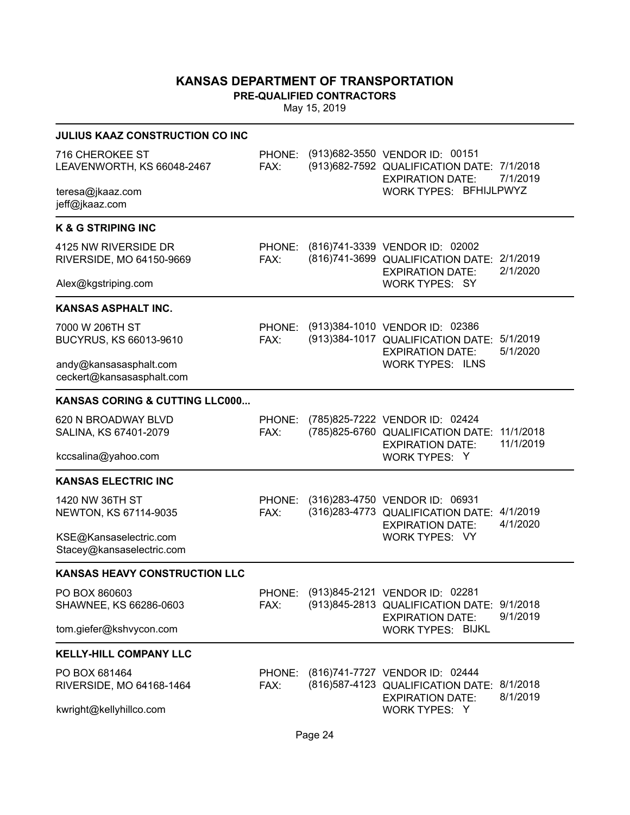**PRE-QUALIFIED CONTRACTORS**

| <b>JULIUS KAAZ CONSTRUCTION CO INC</b>              |                |                                                                                                                   |           |
|-----------------------------------------------------|----------------|-------------------------------------------------------------------------------------------------------------------|-----------|
| 716 CHEROKEE ST<br>LEAVENWORTH, KS 66048-2467       | FAX:           | PHONE: (913)682-3550 VENDOR ID: 00151<br>(913) 682-7592 QUALIFICATION DATE: 7/1/2018<br>EXPIRATION DATE: 7/1/2019 |           |
| teresa@jkaaz.com<br>jeff@jkaaz.com                  |                | WORK TYPES: BFHIJLPWYZ                                                                                            |           |
| <b>K &amp; G STRIPING INC</b>                       |                |                                                                                                                   |           |
| 4125 NW RIVERSIDE DR<br>RIVERSIDE, MO 64150-9669    | FAX:           | PHONE: (816)741-3339 VENDOR ID: 02002<br>(816)741-3699 QUALIFICATION DATE: 2/1/2019<br><b>EXPIRATION DATE:</b>    | 2/1/2020  |
| Alex@kgstriping.com                                 |                | <b>WORK TYPES: SY</b>                                                                                             |           |
| <b>KANSAS ASPHALT INC.</b>                          |                |                                                                                                                   |           |
| 7000 W 206TH ST<br>BUCYRUS, KS 66013-9610           | FAX:           | PHONE: (913)384-1010 VENDOR ID: 02386<br>(913)384-1017 QUALIFICATION DATE: 5/1/2019<br><b>EXPIRATION DATE:</b>    | 5/1/2020  |
| andy@kansasasphalt.com<br>ceckert@kansasasphalt.com |                | <b>WORK TYPES: ILNS</b>                                                                                           |           |
| KANSAS CORING & CUTTING LLC000                      |                |                                                                                                                   |           |
| 620 N BROADWAY BLVD<br>SALINA, KS 67401-2079        | PHONE:<br>FAX: | (785)825-7222 VENDOR ID: 02424<br>(785)825-6760 QUALIFICATION DATE: 11/1/2018<br><b>EXPIRATION DATE:</b>          | 11/1/2019 |
| kccsalina@yahoo.com                                 |                | WORK TYPES: Y                                                                                                     |           |
| <b>KANSAS ELECTRIC INC</b>                          |                |                                                                                                                   |           |
| 1420 NW 36TH ST<br>NEWTON, KS 67114-9035            | FAX:           | PHONE: (316)283-4750 VENDOR ID: 06931<br>(316) 283-4773 QUALIFICATION DATE: 4/1/2019<br><b>EXPIRATION DATE:</b>   | 4/1/2020  |
| KSE@Kansaselectric.com<br>Stacey@kansaselectric.com |                | <b>WORK TYPES: VY</b>                                                                                             |           |
| <b>KANSAS HEAVY CONSTRUCTION LLC</b>                |                |                                                                                                                   |           |
| PO BOX 860603<br>SHAWNEE, KS 66286-0603             | FAX:           | PHONE: (913)845-2121 VENDOR ID: 02281<br>(913)845-2813 QUALIFICATION DATE: 9/1/2018<br><b>EXPIRATION DATE:</b>    | 9/1/2019  |
| tom.giefer@kshvycon.com                             |                | <b>WORK TYPES: BIJKL</b>                                                                                          |           |
| <b>KELLY-HILL COMPANY LLC</b>                       |                |                                                                                                                   |           |
| PO BOX 681464<br>RIVERSIDE, MO 64168-1464           | FAX:           | PHONE: (816)741-7727 VENDOR ID: 02444<br>(816) 587-4123 QUALIFICATION DATE: 8/1/2018<br><b>EXPIRATION DATE:</b>   | 8/1/2019  |
| kwright@kellyhillco.com                             |                | WORK TYPES: Y                                                                                                     |           |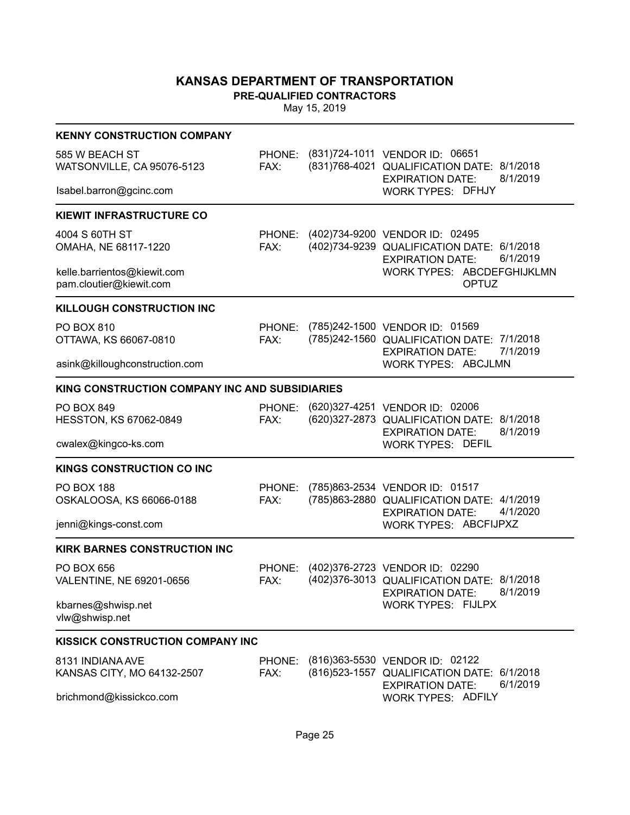**PRE-QUALIFIED CONTRACTORS**

| <b>KENNY CONSTRUCTION COMPANY</b>                      |                |                                                                                                                            |
|--------------------------------------------------------|----------------|----------------------------------------------------------------------------------------------------------------------------|
| 585 W BEACH ST<br>WATSONVILLE, CA 95076-5123           | FAX:           | PHONE: (831)724-1011 VENDOR ID: 06651<br>(831)768-4021 QUALIFICATION DATE: 8/1/2018<br>8/1/2019<br><b>EXPIRATION DATE:</b> |
| Isabel.barron@gcinc.com                                |                | <b>WORK TYPES: DFHJY</b>                                                                                                   |
| <b>KIEWIT INFRASTRUCTURE CO</b>                        |                |                                                                                                                            |
| 4004 S 60TH ST<br>OMAHA, NE 68117-1220                 | PHONE:<br>FAX: | (402)734-9200 VENDOR ID: 02495<br>(402)734-9239 QUALIFICATION DATE: 6/1/2018<br>6/1/2019<br><b>EXPIRATION DATE:</b>        |
| kelle.barrientos@kiewit.com<br>pam.cloutier@kiewit.com |                | WORK TYPES: ABCDEFGHIJKLMN<br><b>OPTUZ</b>                                                                                 |
| <b>KILLOUGH CONSTRUCTION INC</b>                       |                |                                                                                                                            |
| PO BOX 810<br>OTTAWA, KS 66067-0810                    | PHONE:<br>FAX: | (785)242-1500 VENDOR ID: 01569<br>(785)242-1560 QUALIFICATION DATE: 7/1/2018<br>7/1/2019<br><b>EXPIRATION DATE:</b>        |
| asink@killoughconstruction.com                         |                | WORK TYPES: ABCJLMN                                                                                                        |
| KING CONSTRUCTION COMPANY INC AND SUBSIDIARIES         |                |                                                                                                                            |
| PO BOX 849<br>HESSTON, KS 67062-0849                   | PHONE:<br>FAX: | (620) 327-4251 VENDOR ID: 02006<br>(620) 327-2873 QUALIFICATION DATE: 8/1/2018<br>8/1/2019<br><b>EXPIRATION DATE:</b>      |
| cwalex@kingco-ks.com                                   |                | <b>WORK TYPES: DEFIL</b>                                                                                                   |
| <b>KINGS CONSTRUCTION CO INC</b>                       |                |                                                                                                                            |
| <b>PO BOX 188</b><br>OSKALOOSA, KS 66066-0188          | PHONE:<br>FAX: | (785)863-2534 VENDOR ID: 01517<br>(785)863-2880 QUALIFICATION DATE: 4/1/2019<br>4/1/2020<br><b>EXPIRATION DATE:</b>        |
| jenni@kings-const.com                                  |                | WORK TYPES: ABCFIJPXZ                                                                                                      |
| <b>KIRK BARNES CONSTRUCTION INC</b>                    |                |                                                                                                                            |
| PO BOX 656<br>VALENTINE, NE 69201-0656                 | PHONE:<br>FAX: | (402)376-2723 VENDOR ID: 02290<br>(402) 376-3013 QUALIFICATION DATE: 8/1/2018<br>8/1/2019<br><b>EXPIRATION DATE:</b>       |
| kbarnes@shwisp.net<br>vlw@shwisp.net                   |                | <b>WORK TYPES: FIJLPX</b>                                                                                                  |
| <b>KISSICK CONSTRUCTION COMPANY INC</b>                |                |                                                                                                                            |
| 8131 INDIANA AVE<br>KANSAS CITY, MO 64132-2507         | PHONE:<br>FAX: | (816)363-5530 VENDOR ID: 02122<br>(816) 523-1557 QUALIFICATION DATE: 6/1/2018<br>6/1/2019<br><b>EXPIRATION DATE:</b>       |
| brichmond@kissickco.com                                |                | <b>WORK TYPES: ADFILY</b>                                                                                                  |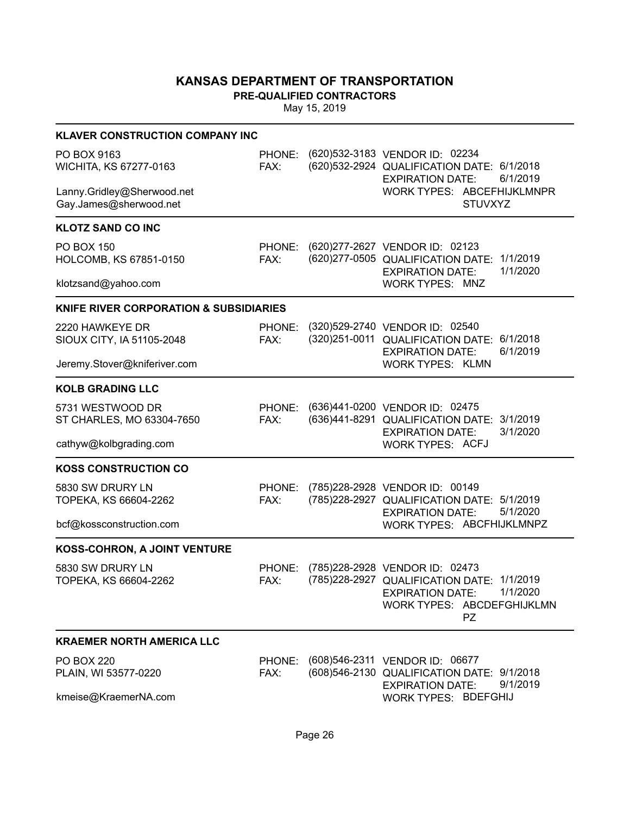**PRE-QUALIFIED CONTRACTORS**

| <b>KLAVER CONSTRUCTION COMPANY INC</b>               |                |                                                                                                                                                                |
|------------------------------------------------------|----------------|----------------------------------------------------------------------------------------------------------------------------------------------------------------|
| PO BOX 9163<br>WICHITA, KS 67277-0163                | FAX:           | PHONE: (620)532-3183 VENDOR ID: 02234<br>(620) 532-2924 QUALIFICATION DATE: 6/1/2018<br>6/1/2019<br><b>EXPIRATION DATE:</b>                                    |
| Lanny.Gridley@Sherwood.net<br>Gay.James@sherwood.net |                | WORK TYPES: ABCEFHIJKLMNPR<br><b>STUVXYZ</b>                                                                                                                   |
| <b>KLOTZ SAND CO INC</b>                             |                |                                                                                                                                                                |
| <b>PO BOX 150</b><br>HOLCOMB, KS 67851-0150          | FAX:           | PHONE: (620)277-2627 VENDOR ID: 02123<br>(620) 277-0505 QUALIFICATION DATE: 1/1/2019<br>1/1/2020<br><b>EXPIRATION DATE:</b>                                    |
| klotzsand@yahoo.com                                  |                | <b>WORK TYPES: MNZ</b>                                                                                                                                         |
| <b>KNIFE RIVER CORPORATION &amp; SUBSIDIARIES</b>    |                |                                                                                                                                                                |
| 2220 HAWKEYE DR<br>SIOUX CITY, IA 51105-2048         | PHONE:<br>FAX: | (320) 529-2740 VENDOR ID: 02540<br>(320) 251-0011 QUALIFICATION DATE: 6/1/2018<br>6/1/2019<br><b>EXPIRATION DATE:</b>                                          |
| Jeremy.Stover@kniferiver.com                         |                | <b>WORK TYPES: KLMN</b>                                                                                                                                        |
| <b>KOLB GRADING LLC</b>                              |                |                                                                                                                                                                |
| 5731 WESTWOOD DR<br>ST CHARLES, MO 63304-7650        | FAX:           | PHONE: (636)441-0200 VENDOR ID: 02475<br>(636)441-8291 QUALIFICATION DATE: 3/1/2019<br>3/1/2020<br><b>EXPIRATION DATE:</b>                                     |
| cathyw@kolbgrading.com                               |                | <b>WORK TYPES: ACFJ</b>                                                                                                                                        |
| <b>KOSS CONSTRUCTION CO</b>                          |                |                                                                                                                                                                |
| 5830 SW DRURY LN<br>TOPEKA, KS 66604-2262            | PHONE:<br>FAX: | (785) 228-2928 VENDOR ID: 00149<br>(785) 228-2927 QUALIFICATION DATE: 5/1/2019<br>5/1/2020<br><b>EXPIRATION DATE:</b>                                          |
| bcf@kossconstruction.com                             |                | WORK TYPES: ABCFHIJKLMNPZ                                                                                                                                      |
| KOSS-COHRON, A JOINT VENTURE                         |                |                                                                                                                                                                |
| 5830 SW DRURY LN<br>TOPEKA, KS 66604-2262            | PHONE:<br>FAX: | (785)228-2928 VENDOR ID: 02473<br>(785)228-2927 QUALIFICATION DATE: 1/1/2019<br><b>EXPIRATION DATE:</b><br>1/1/2020<br>WORK TYPES: ABCDEFGHIJKLMN<br><b>PZ</b> |
| <b>KRAEMER NORTH AMERICA LLC</b>                     |                |                                                                                                                                                                |
| <b>PO BOX 220</b><br>PLAIN, WI 53577-0220            | PHONE:<br>FAX: | (608) 546-2311 VENDOR ID: 06677<br>(608) 546-2130 QUALIFICATION DATE: 9/1/2018<br>9/1/2019                                                                     |
| kmeise@KraemerNA.com                                 |                | <b>EXPIRATION DATE:</b><br>WORK TYPES: BDEFGHIJ                                                                                                                |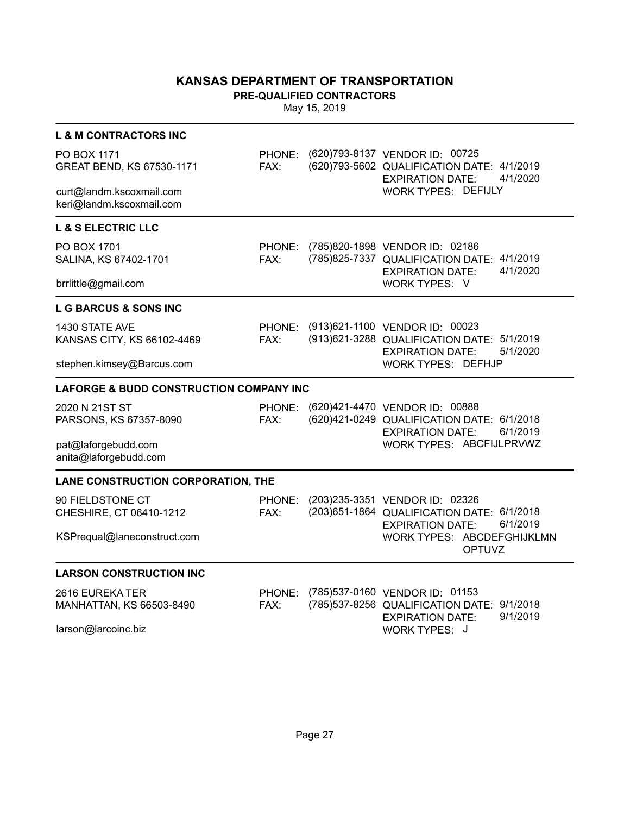**PRE-QUALIFIED CONTRACTORS**

| <b>L &amp; M CONTRACTORS INC</b>                                          |                |                                                                                                                                       |
|---------------------------------------------------------------------------|----------------|---------------------------------------------------------------------------------------------------------------------------------------|
| PO BOX 1171<br>GREAT BEND, KS 67530-1171                                  | PHONE:<br>FAX: | (620) 793-8137 VENDOR ID: 00725<br>(620)793-5602 QUALIFICATION DATE: 4/1/2019<br>4/1/2020<br><b>EXPIRATION DATE:</b>                  |
| curt@landm.kscoxmail.com<br>keri@landm.kscoxmail.com                      |                | <b>WORK TYPES: DEFIJLY</b>                                                                                                            |
| <b>L &amp; S ELECTRIC LLC</b>                                             |                |                                                                                                                                       |
| PO BOX 1701<br>SALINA, KS 67402-1701                                      | PHONE:<br>FAX: | (785)820-1898 VENDOR ID: 02186<br>(785)825-7337 QUALIFICATION DATE:<br>4/1/2019<br>4/1/2020<br><b>EXPIRATION DATE:</b>                |
| brrlittle@gmail.com                                                       |                | WORK TYPES: V                                                                                                                         |
| <b>L G BARCUS &amp; SONS INC</b>                                          |                |                                                                                                                                       |
| 1430 STATE AVE<br>KANSAS CITY, KS 66102-4469                              | PHONE:<br>FAX: | (913)621-1100 VENDOR ID: 00023<br>(913) 621-3288 QUALIFICATION DATE: 5/1/2019<br>5/1/2020<br><b>EXPIRATION DATE:</b>                  |
| stephen.kimsey@Barcus.com                                                 |                | <b>WORK TYPES: DEFHJP</b>                                                                                                             |
| <b>LAFORGE &amp; BUDD CONSTRUCTION COMPANY INC</b>                        |                |                                                                                                                                       |
| 2020 N 21ST ST<br>PARSONS, KS 67357-8090                                  | PHONE:<br>FAX: | (620)421-4470 VENDOR ID: 00888<br>(620)421-0249 QUALIFICATION DATE: 6/1/2018<br>6/1/2019<br><b>EXPIRATION DATE:</b>                   |
| pat@laforgebudd.com<br>anita@laforgebudd.com                              |                | WORK TYPES: ABCFIJLPRVWZ                                                                                                              |
| LANE CONSTRUCTION CORPORATION, THE                                        |                |                                                                                                                                       |
| 90 FIELDSTONE CT<br>CHESHIRE, CT 06410-1212                               | PHONE:<br>FAX: | (203)235-3351 VENDOR ID: 02326<br>(203) 651-1864 QUALIFICATION DATE: 6/1/2018<br>6/1/2019<br><b>EXPIRATION DATE:</b>                  |
| KSPrequal@laneconstruct.com                                               |                | WORK TYPES: ABCDEFGHIJKLMN<br><b>OPTUVZ</b>                                                                                           |
| <b>LARSON CONSTRUCTION INC</b>                                            |                |                                                                                                                                       |
| 2616 EUREKA TER<br><b>MANHATTAN, KS 66503-8490</b><br>larson@larcoinc.biz | PHONE:<br>FAX: | (785)537-0160 VENDOR ID: 01153<br>(785) 537-8256 QUALIFICATION DATE: 9/1/2018<br>9/1/2019<br><b>EXPIRATION DATE:</b><br>WORK TYPES: J |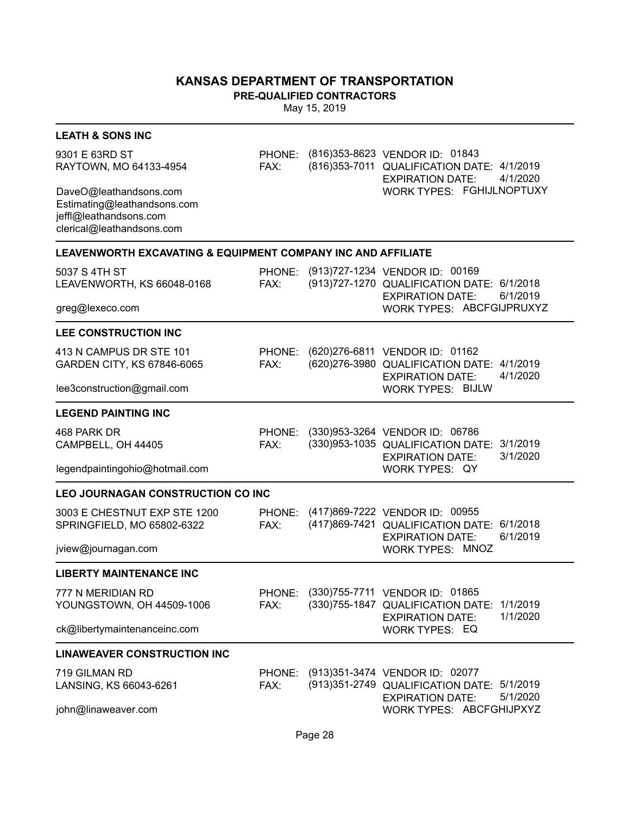**PRE-QUALIFIED CONTRACTORS**

| <b>LEATH &amp; SONS INC</b>                                                                                  |                |                                                                                                                             |  |
|--------------------------------------------------------------------------------------------------------------|----------------|-----------------------------------------------------------------------------------------------------------------------------|--|
| 9301 E 63RD ST<br>RAYTOWN, MO 64133-4954                                                                     | PHONE:<br>FAX: | (816) 353-8623 VENDOR ID: 01843<br>(816) 353-7011 QUALIFICATION DATE: 4/1/2019<br>4/1/2020<br><b>EXPIRATION DATE:</b>       |  |
| DaveO@leathandsons.com<br>Estimating@leathandsons.com<br>jeffl@leathandsons.com<br>clerical@leathandsons.com |                | WORK TYPES: FGHIJLNOPTUXY                                                                                                   |  |
| LEAVENWORTH EXCAVATING & EQUIPMENT COMPANY INC AND AFFILIATE                                                 |                |                                                                                                                             |  |
| 5037 S 4TH ST<br>LEAVENWORTH, KS 66048-0168                                                                  | PHONE:<br>FAX: | (913)727-1234 VENDOR ID: 00169<br>(913) 727-1270 QUALIFICATION DATE: 6/1/2018<br>6/1/2019<br><b>EXPIRATION DATE:</b>        |  |
| greg@lexeco.com                                                                                              |                | WORK TYPES: ABCFGIJPRUXYZ                                                                                                   |  |
| <b>LEE CONSTRUCTION INC</b>                                                                                  |                |                                                                                                                             |  |
| 413 N CAMPUS DR STE 101<br>GARDEN CITY, KS 67846-6065                                                        | PHONE:<br>FAX: | (620) 276-6811 VENDOR ID: 01162<br>(620) 276-3980 QUALIFICATION DATE: 4/1/2019<br>4/1/2020<br><b>EXPIRATION DATE:</b>       |  |
| lee3construction@gmail.com                                                                                   |                | <b>WORK TYPES: BIJLW</b>                                                                                                    |  |
| <b>LEGEND PAINTING INC</b>                                                                                   |                |                                                                                                                             |  |
| 468 PARK DR<br>CAMPBELL, OH 44405                                                                            | PHONE:<br>FAX: | (330)953-3264 VENDOR ID: 06786<br>(330)953-1035 QUALIFICATION DATE:<br>3/1/2019<br>3/1/2020<br><b>EXPIRATION DATE:</b>      |  |
| legendpaintingohio@hotmail.com                                                                               |                | WORK TYPES: QY                                                                                                              |  |
| <b>LEO JOURNAGAN CONSTRUCTION CO INC</b>                                                                     |                |                                                                                                                             |  |
| 3003 E CHESTNUT EXP STE 1200<br>SPRINGFIELD, MO 65802-6322                                                   | PHONE:<br>FAX: | (417)869-7222 VENDOR ID: 00955<br>(417)869-7421 QUALIFICATION DATE: 6/1/2018<br>6/1/2019<br><b>EXPIRATION DATE:</b>         |  |
| jview@journagan.com                                                                                          |                | WORK TYPES: MNOZ                                                                                                            |  |
| <b>LIBERTY MAINTENANCE INC</b>                                                                               |                |                                                                                                                             |  |
| 777 N MERIDIAN RD<br>YOUNGSTOWN, OH 44509-1006                                                               | PHONE:<br>FAX: | (330) 755-7711 VENDOR ID: 01865<br>1/1/2019<br>(330)755-1847 QUALIFICATION DATE:<br>1/1/2020<br><b>EXPIRATION DATE:</b>     |  |
| ck@libertymaintenanceinc.com                                                                                 |                | <b>WORK TYPES: EQ</b>                                                                                                       |  |
| <b>LINAWEAVER CONSTRUCTION INC</b>                                                                           |                |                                                                                                                             |  |
| 719 GILMAN RD<br>LANSING, KS 66043-6261                                                                      | FAX:           | PHONE: (913)351-3474 VENDOR ID: 02077<br>(913) 351-2749 QUALIFICATION DATE: 5/1/2019<br>5/1/2020<br><b>EXPIRATION DATE:</b> |  |
| john@linaweaver.com                                                                                          |                | WORK TYPES: ABCFGHIJPXYZ                                                                                                    |  |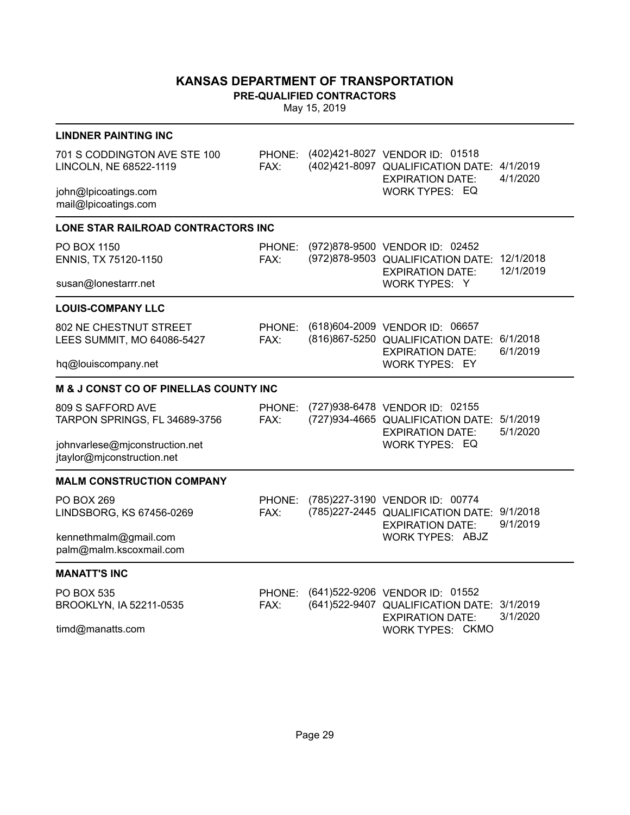**PRE-QUALIFIED CONTRACTORS**

| <b>LINDNER PAINTING INC</b>                                  |                |  |                                                                                                       |                        |  |  |  |
|--------------------------------------------------------------|----------------|--|-------------------------------------------------------------------------------------------------------|------------------------|--|--|--|
| 701 S CODDINGTON AVE STE 100<br>LINCOLN, NE 68522-1119       | FAX:           |  | PHONE: (402)421-8027 VENDOR ID: 01518<br>(402)421-8097 QUALIFICATION DATE:<br><b>EXPIRATION DATE:</b> | 4/1/2019<br>4/1/2020   |  |  |  |
| john@lpicoatings.com<br>mail@lpicoatings.com                 |                |  | <b>WORK TYPES: EQ</b>                                                                                 |                        |  |  |  |
| <b>LONE STAR RAILROAD CONTRACTORS INC</b>                    |                |  |                                                                                                       |                        |  |  |  |
| PO BOX 1150<br>ENNIS, TX 75120-1150                          | PHONE:<br>FAX: |  | (972)878-9500 VENDOR ID: 02452<br>(972)878-9503 QUALIFICATION DATE:<br><b>EXPIRATION DATE:</b>        | 12/1/2018<br>12/1/2019 |  |  |  |
| susan@lonestarrr.net                                         |                |  | WORK TYPES: Y                                                                                         |                        |  |  |  |
| <b>LOUIS-COMPANY LLC</b>                                     |                |  |                                                                                                       |                        |  |  |  |
| 802 NE CHESTNUT STREET<br>LEES SUMMIT, MO 64086-5427         | PHONE:<br>FAX: |  | (618) 604-2009 VENDOR ID: 06657<br>(816)867-5250 QUALIFICATION DATE:<br><b>EXPIRATION DATE:</b>       | 6/1/2018<br>6/1/2019   |  |  |  |
| hq@louiscompany.net                                          |                |  | <b>WORK TYPES: EY</b>                                                                                 |                        |  |  |  |
| <b>M &amp; J CONST CO OF PINELLAS COUNTY INC</b>             |                |  |                                                                                                       |                        |  |  |  |
| 809 S SAFFORD AVE<br>TARPON SPRINGS, FL 34689-3756           | PHONE:<br>FAX: |  | (727) 938-6478 VENDOR ID: 02155<br>(727)934-4665 QUALIFICATION DATE:<br><b>EXPIRATION DATE:</b>       | 5/1/2019<br>5/1/2020   |  |  |  |
| johnvarlese@mjconstruction.net<br>jtaylor@mjconstruction.net |                |  | <b>WORK TYPES: EQ</b>                                                                                 |                        |  |  |  |
| <b>MALM CONSTRUCTION COMPANY</b>                             |                |  |                                                                                                       |                        |  |  |  |
| <b>PO BOX 269</b><br>LINDSBORG, KS 67456-0269                | PHONE:<br>FAX: |  | (785)227-3190 VENDOR ID: 00774<br>(785) 227-2445 QUALIFICATION DATE:<br><b>EXPIRATION DATE:</b>       | 9/1/2018<br>9/1/2019   |  |  |  |
| kennethmalm@gmail.com<br>palm@malm.kscoxmail.com             |                |  | <b>WORK TYPES: ABJZ</b>                                                                               |                        |  |  |  |
| <b>MANATT'S INC</b>                                          |                |  |                                                                                                       |                        |  |  |  |
| <b>PO BOX 535</b><br>BROOKLYN, IA 52211-0535                 | PHONE:<br>FAX: |  | (641) 522-9206 VENDOR ID: 01552<br>(641)522-9407 QUALIFICATION DATE:<br><b>EXPIRATION DATE:</b>       | 3/1/2019<br>3/1/2020   |  |  |  |
| timd@manatts.com                                             |                |  | <b>WORK TYPES: CKMO</b>                                                                               |                        |  |  |  |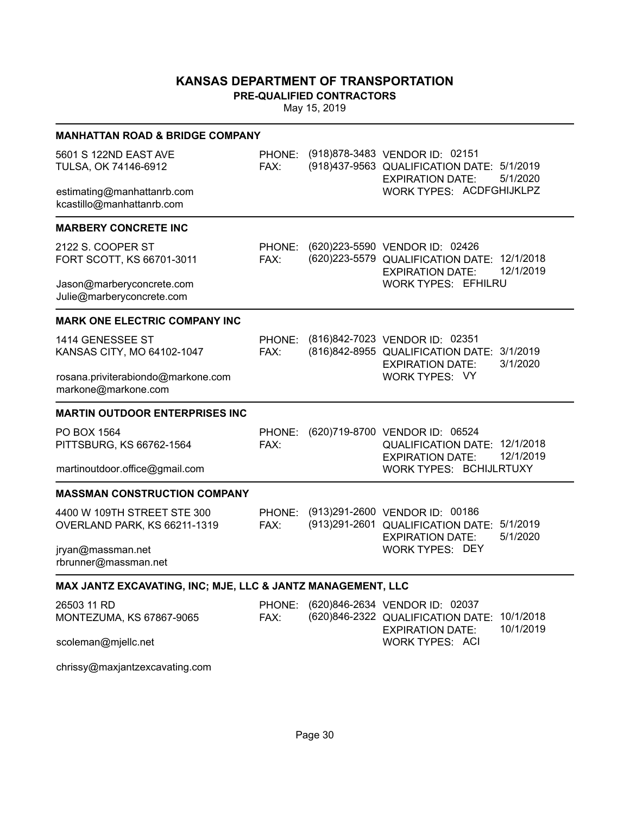**PRE-QUALIFIED CONTRACTORS**

| <b>MANHATTAN ROAD &amp; BRIDGE COMPANY</b>                  |                |  |                                                                                                                          |  |  |
|-------------------------------------------------------------|----------------|--|--------------------------------------------------------------------------------------------------------------------------|--|--|
| 5601 S 122ND EAST AVE<br>TULSA, OK 74146-6912               | PHONE:<br>FAX: |  | (918) 878-3483 VENDOR ID: 02151<br>(918)437-9563 QUALIFICATION DATE: 5/1/2019<br>5/1/2020<br><b>EXPIRATION DATE:</b>     |  |  |
| estimating@manhattanrb.com<br>kcastillo@manhattanrb.com     |                |  | WORK TYPES: ACDFGHIJKLPZ                                                                                                 |  |  |
| <b>MARBERY CONCRETE INC</b>                                 |                |  |                                                                                                                          |  |  |
| 2122 S. COOPER ST<br>FORT SCOTT, KS 66701-3011              | PHONE:<br>FAX: |  | (620) 223-5590 VENDOR ID: 02426<br>(620) 223-5579 QUALIFICATION DATE: 12/1/2018<br>12/1/2019<br><b>EXPIRATION DATE:</b>  |  |  |
| Jason@marberyconcrete.com<br>Julie@marberyconcrete.com      |                |  | <b>WORK TYPES: EFHILRU</b>                                                                                               |  |  |
| <b>MARK ONE ELECTRIC COMPANY INC</b>                        |                |  |                                                                                                                          |  |  |
| 1414 GENESSEE ST<br>KANSAS CITY, MO 64102-1047              | PHONE:<br>FAX: |  | (816)842-7023 VENDOR ID: 02351<br>(816) 842-8955 QUALIFICATION DATE:<br>3/1/2019<br>3/1/2020<br><b>EXPIRATION DATE:</b>  |  |  |
| rosana.priviterabiondo@markone.com<br>markone@markone.com   |                |  | WORK TYPES: VY                                                                                                           |  |  |
| <b>MARTIN OUTDOOR ENTERPRISES INC</b>                       |                |  |                                                                                                                          |  |  |
| PO BOX 1564<br>PITTSBURG, KS 66762-1564                     | PHONE:<br>FAX: |  | (620)719-8700 VENDOR ID: 06524<br>QUALIFICATION DATE: 12/1/2018<br>12/1/2019<br><b>EXPIRATION DATE:</b>                  |  |  |
| martinoutdoor.office@gmail.com                              |                |  | WORK TYPES: BCHIJLRTUXY                                                                                                  |  |  |
| <b>MASSMAN CONSTRUCTION COMPANY</b>                         |                |  |                                                                                                                          |  |  |
| 4400 W 109TH STREET STE 300<br>OVERLAND PARK, KS 66211-1319 | PHONE:<br>FAX: |  | (913) 291-2600 VENDOR ID: 00186<br>(913) 291-2601 QUALIFICATION DATE: 5/1/2019<br>5/1/2020<br><b>EXPIRATION DATE:</b>    |  |  |
| jryan@massman.net<br>rbrunner@massman.net                   |                |  | <b>WORK TYPES: DEY</b>                                                                                                   |  |  |
| MAX JANTZ EXCAVATING, INC; MJE, LLC & JANTZ MANAGEMENT, LLC |                |  |                                                                                                                          |  |  |
| 26503 11 RD<br>MONTEZUMA, KS 67867-9065                     | PHONE:<br>FAX: |  | (620)846-2634 VENDOR ID: 02037<br>(620)846-2322 QUALIFICATION DATE:<br>10/1/2018<br>10/1/2019<br><b>EXPIRATION DATE:</b> |  |  |
| scoleman@mjellc.net                                         |                |  | WORK TYPES: ACI                                                                                                          |  |  |
| chrissy@maxjantzexcavating.com                              |                |  |                                                                                                                          |  |  |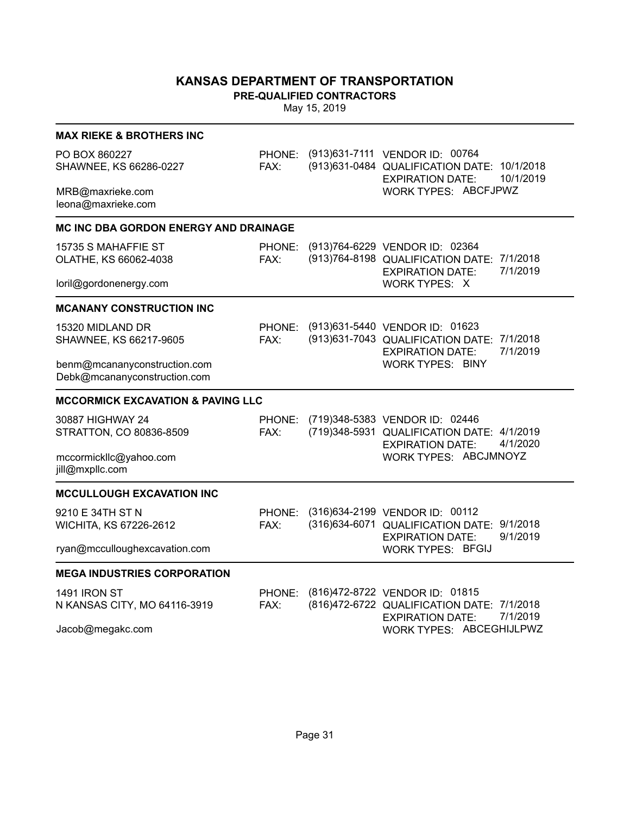**PRE-QUALIFIED CONTRACTORS**

| <b>MAX RIEKE &amp; BROTHERS INC</b>                          |                |                                                                                                                         |
|--------------------------------------------------------------|----------------|-------------------------------------------------------------------------------------------------------------------------|
| PO BOX 860227<br>SHAWNEE, KS 66286-0227                      | PHONE:<br>FAX: | (913) 631-7111 VENDOR ID: 00764<br>(913) 631-0484 QUALIFICATION DATE: 10/1/2018<br>10/1/2019<br><b>EXPIRATION DATE:</b> |
| MRB@maxrieke.com<br>leona@maxrieke.com                       |                | WORK TYPES: ABCFJPWZ                                                                                                    |
| <b>MC INC DBA GORDON ENERGY AND DRAINAGE</b>                 |                |                                                                                                                         |
| 15735 S MAHAFFIE ST<br>OLATHE, KS 66062-4038                 | PHONE:<br>FAX: | (913)764-6229 VENDOR ID: 02364<br>(913) 764-8198 QUALIFICATION DATE: 7/1/2018<br>7/1/2019<br><b>EXPIRATION DATE:</b>    |
| loril@gordonenergy.com                                       |                | WORK TYPES: X                                                                                                           |
| <b>MCANANY CONSTRUCTION INC</b>                              |                |                                                                                                                         |
| 15320 MIDLAND DR<br>SHAWNEE, KS 66217-9605                   | PHONE:<br>FAX: | (913) 631-5440 VENDOR ID: 01623<br>7/1/2018<br>(913)631-7043 QUALIFICATION DATE:<br>7/1/2019<br><b>EXPIRATION DATE:</b> |
| benm@mcananyconstruction.com<br>Debk@mcananyconstruction.com |                | <b>WORK TYPES: BINY</b>                                                                                                 |
| <b>MCCORMICK EXCAVATION &amp; PAVING LLC</b>                 |                |                                                                                                                         |
| 30887 HIGHWAY 24<br>STRATTON, CO 80836-8509                  | PHONE:<br>FAX: | (719)348-5383 VENDOR ID: 02446<br>(719)348-5931 QUALIFICATION DATE: 4/1/2019<br>4/1/2020<br><b>EXPIRATION DATE:</b>     |
| mccormickllc@yahoo.com<br>jill@mxpllc.com                    |                | WORK TYPES: ABCJMNOYZ                                                                                                   |
| <b>MCCULLOUGH EXCAVATION INC</b>                             |                |                                                                                                                         |
| 9210 E 34TH ST N<br>WICHITA, KS 67226-2612                   | PHONE:<br>FAX: | (316)634-2199 VENDOR ID: 00112<br>(316)634-6071 QUALIFICATION DATE: 9/1/2018<br>9/1/2019<br><b>EXPIRATION DATE:</b>     |
| ryan@mcculloughexcavation.com                                |                | <b>WORK TYPES: BFGIJ</b>                                                                                                |
| <b>MEGA INDUSTRIES CORPORATION</b>                           |                |                                                                                                                         |
| <b>1491 IRON ST</b>                                          | PHONE:         | (816)472-8722 VENDOR ID: 01815                                                                                          |
| N KANSAS CITY, MO 64116-3919                                 | FAX:           | (816)472-6722 QUALIFICATION DATE: 7/1/2018<br>7/1/2019<br><b>EXPIRATION DATE:</b>                                       |
| Jacob@megakc.com                                             |                | WORK TYPES: ABCEGHIJLPWZ                                                                                                |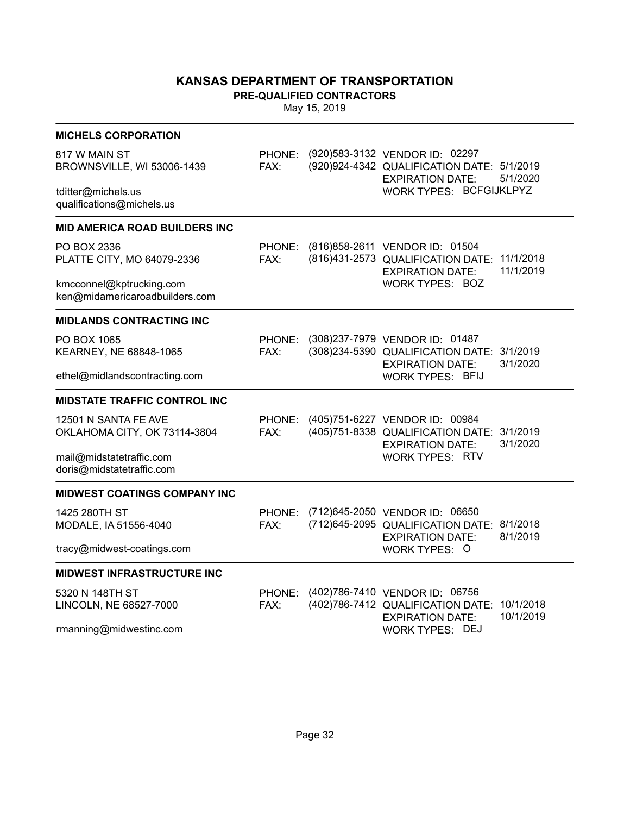**PRE-QUALIFIED CONTRACTORS**

| (920) 583-3132 VENDOR ID: 02297<br>817 W MAIN ST<br>PHONE:<br>(920) 924-4342 QUALIFICATION DATE: 5/1/2019<br>BROWNSVILLE, WI 53006-1439<br>FAX:<br>5/1/2020<br><b>EXPIRATION DATE:</b><br>WORK TYPES: BCFGIJKLPYZ<br>tditter@michels.us<br>qualifications@michels.us<br><b>MID AMERICA ROAD BUILDERS INC</b><br>PO BOX 2336<br>(816) 858-2611 VENDOR ID: 01504<br>PHONE:<br>(816)431-2573 QUALIFICATION DATE:<br>11/1/2018<br>PLATTE CITY, MO 64079-2336<br>FAX:<br>11/1/2019<br><b>EXPIRATION DATE:</b><br><b>WORK TYPES: BOZ</b><br>kmcconnel@kptrucking.com<br>ken@midamericaroadbuilders.com<br><b>MIDLANDS CONTRACTING INC</b><br>(308)237-7979 VENDOR ID: 01487<br>PO BOX 1065<br>PHONE:<br>(308) 234-5390 QUALIFICATION DATE: 3/1/2019<br>FAX:<br>KEARNEY, NE 68848-1065<br>3/1/2020<br><b>EXPIRATION DATE:</b><br>ethel@midlandscontracting.com<br><b>WORK TYPES: BFIJ</b><br><b>MIDSTATE TRAFFIC CONTROL INC</b><br>(405)751-6227 VENDOR ID: 00984<br>12501 N SANTA FE AVE<br>PHONE:<br>(405)751-8338 QUALIFICATION DATE: 3/1/2019<br>OKLAHOMA CITY, OK 73114-3804<br>FAX:<br>3/1/2020<br><b>EXPIRATION DATE:</b><br>mail@midstatetraffic.com<br><b>WORK TYPES: RTV</b><br>doris@midstatetraffic.com<br>MIDWEST COATINGS COMPANY INC<br>(712) 645-2050 VENDOR ID: 06650<br>1425 280TH ST<br>PHONE:<br>(712) 645-2095 QUALIFICATION DATE: 8/1/2018<br>FAX:<br>MODALE, IA 51556-4040<br>8/1/2019<br><b>EXPIRATION DATE:</b><br>tracy@midwest-coatings.com<br><b>WORK TYPES: O</b><br><b>MIDWEST INFRASTRUCTURE INC</b><br>(402)786-7410 VENDOR ID: 06756<br>5320 N 148TH ST<br>PHONE:<br>(402)786-7412 QUALIFICATION DATE:<br>10/1/2018<br>LINCOLN, NE 68527-7000<br>FAX: | <b>MICHELS CORPORATION</b> |  |                         |           |
|----------------------------------------------------------------------------------------------------------------------------------------------------------------------------------------------------------------------------------------------------------------------------------------------------------------------------------------------------------------------------------------------------------------------------------------------------------------------------------------------------------------------------------------------------------------------------------------------------------------------------------------------------------------------------------------------------------------------------------------------------------------------------------------------------------------------------------------------------------------------------------------------------------------------------------------------------------------------------------------------------------------------------------------------------------------------------------------------------------------------------------------------------------------------------------------------------------------------------------------------------------------------------------------------------------------------------------------------------------------------------------------------------------------------------------------------------------------------------------------------------------------------------------------------------------------------------------------------------------------------------------------------------------------------------------|----------------------------|--|-------------------------|-----------|
|                                                                                                                                                                                                                                                                                                                                                                                                                                                                                                                                                                                                                                                                                                                                                                                                                                                                                                                                                                                                                                                                                                                                                                                                                                                                                                                                                                                                                                                                                                                                                                                                                                                                                  |                            |  |                         |           |
|                                                                                                                                                                                                                                                                                                                                                                                                                                                                                                                                                                                                                                                                                                                                                                                                                                                                                                                                                                                                                                                                                                                                                                                                                                                                                                                                                                                                                                                                                                                                                                                                                                                                                  |                            |  |                         |           |
|                                                                                                                                                                                                                                                                                                                                                                                                                                                                                                                                                                                                                                                                                                                                                                                                                                                                                                                                                                                                                                                                                                                                                                                                                                                                                                                                                                                                                                                                                                                                                                                                                                                                                  |                            |  |                         |           |
|                                                                                                                                                                                                                                                                                                                                                                                                                                                                                                                                                                                                                                                                                                                                                                                                                                                                                                                                                                                                                                                                                                                                                                                                                                                                                                                                                                                                                                                                                                                                                                                                                                                                                  |                            |  |                         |           |
|                                                                                                                                                                                                                                                                                                                                                                                                                                                                                                                                                                                                                                                                                                                                                                                                                                                                                                                                                                                                                                                                                                                                                                                                                                                                                                                                                                                                                                                                                                                                                                                                                                                                                  |                            |  |                         |           |
|                                                                                                                                                                                                                                                                                                                                                                                                                                                                                                                                                                                                                                                                                                                                                                                                                                                                                                                                                                                                                                                                                                                                                                                                                                                                                                                                                                                                                                                                                                                                                                                                                                                                                  |                            |  |                         |           |
|                                                                                                                                                                                                                                                                                                                                                                                                                                                                                                                                                                                                                                                                                                                                                                                                                                                                                                                                                                                                                                                                                                                                                                                                                                                                                                                                                                                                                                                                                                                                                                                                                                                                                  |                            |  |                         |           |
|                                                                                                                                                                                                                                                                                                                                                                                                                                                                                                                                                                                                                                                                                                                                                                                                                                                                                                                                                                                                                                                                                                                                                                                                                                                                                                                                                                                                                                                                                                                                                                                                                                                                                  |                            |  |                         |           |
|                                                                                                                                                                                                                                                                                                                                                                                                                                                                                                                                                                                                                                                                                                                                                                                                                                                                                                                                                                                                                                                                                                                                                                                                                                                                                                                                                                                                                                                                                                                                                                                                                                                                                  |                            |  |                         |           |
|                                                                                                                                                                                                                                                                                                                                                                                                                                                                                                                                                                                                                                                                                                                                                                                                                                                                                                                                                                                                                                                                                                                                                                                                                                                                                                                                                                                                                                                                                                                                                                                                                                                                                  |                            |  |                         |           |
|                                                                                                                                                                                                                                                                                                                                                                                                                                                                                                                                                                                                                                                                                                                                                                                                                                                                                                                                                                                                                                                                                                                                                                                                                                                                                                                                                                                                                                                                                                                                                                                                                                                                                  |                            |  |                         |           |
|                                                                                                                                                                                                                                                                                                                                                                                                                                                                                                                                                                                                                                                                                                                                                                                                                                                                                                                                                                                                                                                                                                                                                                                                                                                                                                                                                                                                                                                                                                                                                                                                                                                                                  |                            |  |                         |           |
|                                                                                                                                                                                                                                                                                                                                                                                                                                                                                                                                                                                                                                                                                                                                                                                                                                                                                                                                                                                                                                                                                                                                                                                                                                                                                                                                                                                                                                                                                                                                                                                                                                                                                  |                            |  |                         |           |
|                                                                                                                                                                                                                                                                                                                                                                                                                                                                                                                                                                                                                                                                                                                                                                                                                                                                                                                                                                                                                                                                                                                                                                                                                                                                                                                                                                                                                                                                                                                                                                                                                                                                                  |                            |  |                         |           |
|                                                                                                                                                                                                                                                                                                                                                                                                                                                                                                                                                                                                                                                                                                                                                                                                                                                                                                                                                                                                                                                                                                                                                                                                                                                                                                                                                                                                                                                                                                                                                                                                                                                                                  |                            |  |                         |           |
| rmanning@midwestinc.com<br><b>WORK TYPES: DEJ</b>                                                                                                                                                                                                                                                                                                                                                                                                                                                                                                                                                                                                                                                                                                                                                                                                                                                                                                                                                                                                                                                                                                                                                                                                                                                                                                                                                                                                                                                                                                                                                                                                                                |                            |  | <b>EXPIRATION DATE:</b> | 10/1/2019 |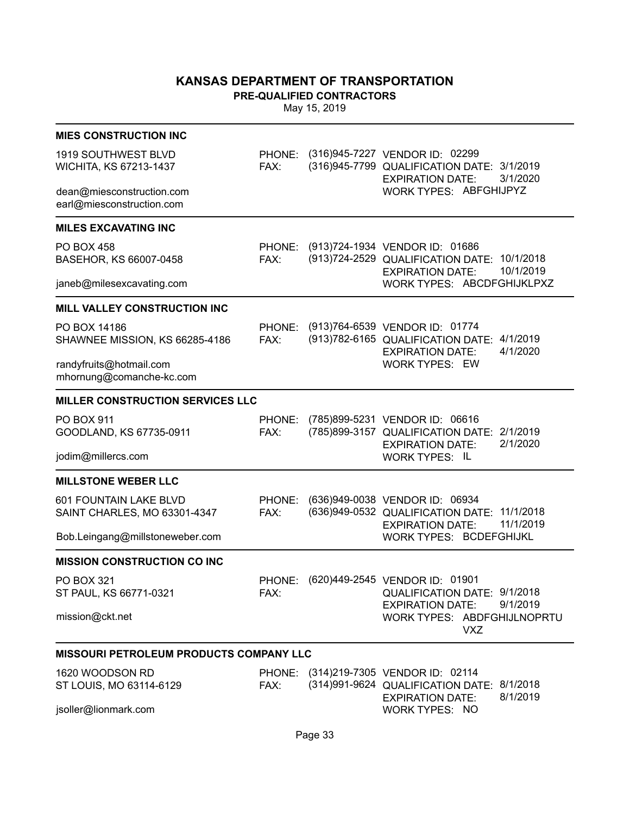**PRE-QUALIFIED CONTRACTORS**

| <b>MIES CONSTRUCTION INC</b>                           |                |                                                                                                                             |
|--------------------------------------------------------|----------------|-----------------------------------------------------------------------------------------------------------------------------|
| 1919 SOUTHWEST BLVD<br>WICHITA, KS 67213-1437          | FAX:           | PHONE: (316)945-7227 VENDOR ID: 02299<br>(316)945-7799 QUALIFICATION DATE: 3/1/2019<br>3/1/2020<br><b>EXPIRATION DATE:</b>  |
| dean@miesconstruction.com<br>earl@miesconstruction.com |                | WORK TYPES: ABFGHIJPYZ                                                                                                      |
| <b>MILES EXCAVATING INC</b>                            |                |                                                                                                                             |
| <b>PO BOX 458</b><br>BASEHOR, KS 66007-0458            | PHONE:<br>FAX: | (913)724-1934 VENDOR ID: 01686<br>(913)724-2529 QUALIFICATION DATE: 10/1/2018<br>10/1/2019<br><b>EXPIRATION DATE:</b>       |
| janeb@milesexcavating.com                              |                | WORK TYPES: ABCDFGHIJKLPXZ                                                                                                  |
| MILL VALLEY CONSTRUCTION INC                           |                |                                                                                                                             |
| PO BOX 14186<br>SHAWNEE MISSION, KS 66285-4186         | FAX:           | PHONE: (913)764-6539 VENDOR ID: 01774<br>(913) 782-6165 QUALIFICATION DATE: 4/1/2019<br>4/1/2020<br><b>EXPIRATION DATE:</b> |
| randyfruits@hotmail.com<br>mhornung@comanche-kc.com    |                | <b>WORK TYPES: EW</b>                                                                                                       |
| <b>MILLER CONSTRUCTION SERVICES LLC</b>                |                |                                                                                                                             |
| <b>PO BOX 911</b><br>GOODLAND, KS 67735-0911           | PHONE:<br>FAX: | (785)899-5231 VENDOR ID: 06616<br>(785)899-3157 QUALIFICATION DATE: 2/1/2019<br>2/1/2020<br><b>EXPIRATION DATE:</b>         |
| jodim@millercs.com                                     |                | <b>WORK TYPES: IL</b>                                                                                                       |
| <b>MILLSTONE WEBER LLC</b>                             |                |                                                                                                                             |
| 601 FOUNTAIN LAKE BLVD<br>SAINT CHARLES, MO 63301-4347 | PHONE:<br>FAX: | (636)949-0038 VENDOR ID: 06934<br>(636)949-0532 QUALIFICATION DATE: 11/1/2018<br>11/1/2019<br><b>EXPIRATION DATE:</b>       |
| Bob.Leingang@millstoneweber.com                        |                | <b>WORK TYPES: BCDEFGHIJKL</b>                                                                                              |
| <b>MISSION CONSTRUCTION CO INC</b>                     |                |                                                                                                                             |
| PO BOX 321<br>ST PAUL, KS 66771-0321                   | PHONE:<br>FAX: | (620)449-2545 VENDOR ID: 01901<br>QUALIFICATION DATE: 9/1/2018<br>9/1/2019<br>EXPIRATION DATE:                              |
| mission@ckt.net                                        |                | WORK TYPES: ABDFGHIJLNOPRTU<br>VXZ                                                                                          |
| <b>MISSOURI PETROLEUM PRODUCTS COMPANY LLC</b>         |                |                                                                                                                             |
| 1620 WOODSON RD<br>ST LOUIS, MO 63114-6129             | FAX:           | PHONE: (314)219-7305 VENDOR ID: 02114<br>(314)991-9624 QUALIFICATION DATE: 8/1/2018<br>8/1/2019<br><b>EXPIRATION DATE:</b>  |
| jsoller@lionmark.com                                   |                | <b>WORK TYPES: NO</b>                                                                                                       |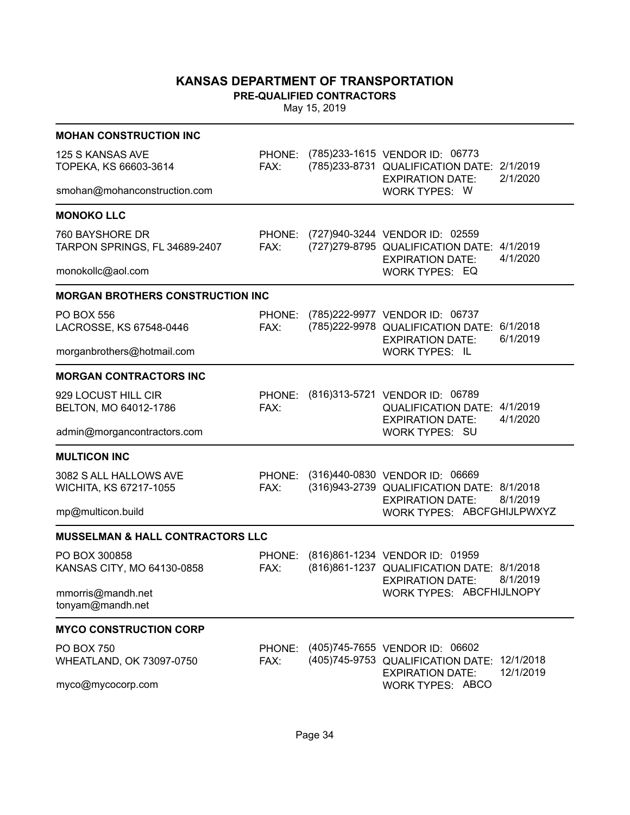**PRE-QUALIFIED CONTRACTORS**

| <b>MOHAN CONSTRUCTION INC</b>                                             |                |                                                                                                                 |                        |
|---------------------------------------------------------------------------|----------------|-----------------------------------------------------------------------------------------------------------------|------------------------|
| 125 S KANSAS AVE<br>TOPEKA, KS 66603-3614<br>smohan@mohanconstruction.com | PHONE:<br>FAX: | (785)233-1615 VENDOR ID: 06773<br>(785)233-8731 QUALIFICATION DATE:<br><b>EXPIRATION DATE:</b><br>WORK TYPES: W | 2/1/2019<br>2/1/2020   |
|                                                                           |                |                                                                                                                 |                        |
| <b>MONOKO LLC</b>                                                         |                |                                                                                                                 |                        |
| 760 BAYSHORE DR<br>TARPON SPRINGS, FL 34689-2407                          | FAX:           | PHONE: (727)940-3244 VENDOR ID: 02559<br>(727) 279-8795 QUALIFICATION DATE: 4/1/2019<br><b>EXPIRATION DATE:</b> | 4/1/2020               |
| monokollc@aol.com                                                         |                | <b>WORK TYPES: EQ</b>                                                                                           |                        |
| <b>MORGAN BROTHERS CONSTRUCTION INC</b>                                   |                |                                                                                                                 |                        |
| <b>PO BOX 556</b><br>LACROSSE, KS 67548-0446                              | PHONE:<br>FAX: | (785) 222-9977 VENDOR ID: 06737<br>(785)222-9978 QUALIFICATION DATE:<br><b>EXPIRATION DATE:</b>                 | 6/1/2018<br>6/1/2019   |
| morganbrothers@hotmail.com                                                |                | <b>WORK TYPES: IL</b>                                                                                           |                        |
| <b>MORGAN CONTRACTORS INC</b>                                             |                |                                                                                                                 |                        |
| 929 LOCUST HILL CIR<br>BELTON, MO 64012-1786                              | PHONE:<br>FAX: | (816)313-5721 VENDOR ID: 06789<br>QUALIFICATION DATE: 4/1/2019<br><b>EXPIRATION DATE:</b>                       | 4/1/2020               |
| admin@morgancontractors.com                                               |                | <b>WORK TYPES: SU</b>                                                                                           |                        |
| <b>MULTICON INC</b>                                                       |                |                                                                                                                 |                        |
| 3082 S ALL HALLOWS AVE                                                    | PHONE:         | (316)440-0830 VENDOR ID: 06669                                                                                  |                        |
| WICHITA, KS 67217-1055                                                    | FAX:           | (316)943-2739 QUALIFICATION DATE: 8/1/2018                                                                      |                        |
| mp@multicon.build                                                         |                | 8/1/2019<br><b>EXPIRATION DATE:</b><br>WORK TYPES: ABCFGHIJLPWXYZ                                               |                        |
| <b>MUSSELMAN &amp; HALL CONTRACTORS LLC</b>                               |                |                                                                                                                 |                        |
| PO BOX 300858                                                             | PHONE:         | (816)861-1234 VENDOR ID: 01959                                                                                  |                        |
| KANSAS CITY, MO 64130-0858                                                | FAX:           | (816) 861-1237 QUALIFICATION DATE: 8/1/2018                                                                     |                        |
| mmorris@mandh.net<br>tonyam@mandh.net                                     |                | 8/1/2019<br><b>EXPIRATION DATE:</b><br>WORK TYPES: ABCFHIJLNOPY                                                 |                        |
| <b>MYCO CONSTRUCTION CORP</b>                                             |                |                                                                                                                 |                        |
| <b>PO BOX 750</b><br>WHEATLAND, OK 73097-0750                             | PHONE:<br>FAX: | (405)745-7655 VENDOR ID: 06602<br>(405)745-9753 QUALIFICATION DATE:                                             | 12/1/2018<br>12/1/2019 |
| myco@mycocorp.com                                                         |                | <b>EXPIRATION DATE:</b><br><b>WORK TYPES: ABCO</b>                                                              |                        |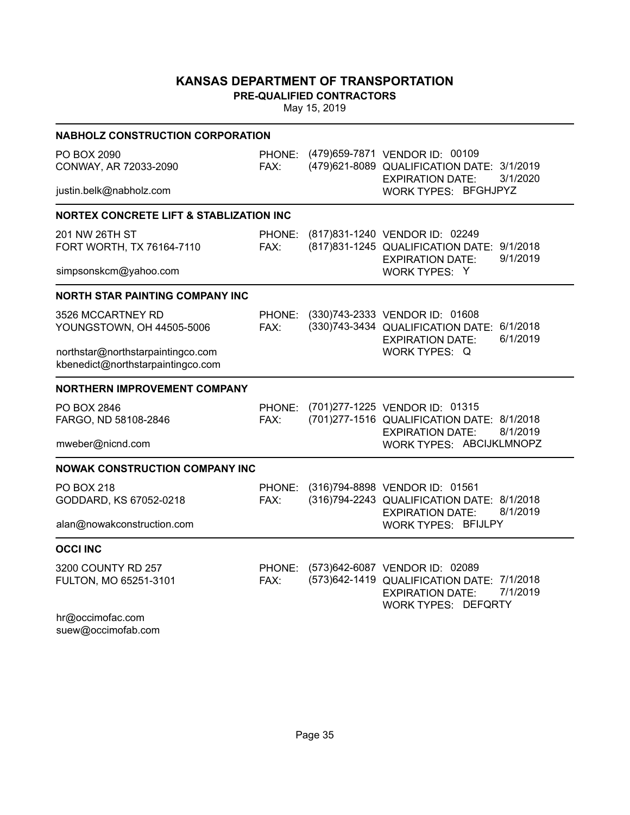**PRE-QUALIFIED CONTRACTORS**

| <b>NABHOLZ CONSTRUCTION CORPORATION</b>                                |                       |  |                                                                                                                                                   |  |  |  |  |  |
|------------------------------------------------------------------------|-----------------------|--|---------------------------------------------------------------------------------------------------------------------------------------------------|--|--|--|--|--|
| PO BOX 2090<br>CONWAY, AR 72033-2090                                   | FAX:                  |  | PHONE: (479)659-7871 VENDOR ID: 00109<br>(479)621-8089 QUALIFICATION DATE: 3/1/2019<br>3/1/2020<br><b>EXPIRATION DATE:</b>                        |  |  |  |  |  |
| justin.belk@nabholz.com                                                |                       |  | WORK TYPES: BFGHJPYZ                                                                                                                              |  |  |  |  |  |
| <b>NORTEX CONCRETE LIFT &amp; STABLIZATION INC</b>                     |                       |  |                                                                                                                                                   |  |  |  |  |  |
| 201 NW 26TH ST<br>FORT WORTH, TX 76164-7110                            | <b>PHONE:</b><br>FAX: |  | (817) 831-1240 VENDOR ID: 02249<br>(817) 831-1245 QUALIFICATION DATE: 9/1/2018<br>9/1/2019<br><b>EXPIRATION DATE:</b>                             |  |  |  |  |  |
| simpsonskcm@yahoo.com                                                  |                       |  | WORK TYPES: Y                                                                                                                                     |  |  |  |  |  |
| <b>NORTH STAR PAINTING COMPANY INC</b>                                 |                       |  |                                                                                                                                                   |  |  |  |  |  |
| 3526 MCCARTNEY RD<br>YOUNGSTOWN, OH 44505-5006                         | PHONE:<br>FAX:        |  | (330)743-2333 VENDOR ID: 01608<br>(330)743-3434 QUALIFICATION DATE: 6/1/2018<br>6/1/2019<br><b>EXPIRATION DATE:</b>                               |  |  |  |  |  |
| northstar@northstarpaintingco.com<br>kbenedict@northstarpaintingco.com |                       |  | <b>WORK TYPES: Q</b>                                                                                                                              |  |  |  |  |  |
| <b>NORTHERN IMPROVEMENT COMPANY</b>                                    |                       |  |                                                                                                                                                   |  |  |  |  |  |
| PO BOX 2846<br>FARGO, ND 58108-2846                                    | PHONE:<br>FAX:        |  | (701)277-1225 VENDOR ID: 01315<br>(701)277-1516 QUALIFICATION DATE: 8/1/2018<br>8/1/2019<br><b>EXPIRATION DATE:</b>                               |  |  |  |  |  |
| mweber@nicnd.com                                                       |                       |  | WORK TYPES: ABCIJKLMNOPZ                                                                                                                          |  |  |  |  |  |
| <b>NOWAK CONSTRUCTION COMPANY INC</b>                                  |                       |  |                                                                                                                                                   |  |  |  |  |  |
| <b>PO BOX 218</b><br>GODDARD, KS 67052-0218                            | PHONE:<br>FAX:        |  | (316)794-8898 VENDOR ID: 01561<br>(316)794-2243 QUALIFICATION DATE: 8/1/2018<br>8/1/2019<br><b>EXPIRATION DATE:</b>                               |  |  |  |  |  |
| alan@nowakconstruction.com                                             |                       |  | <b>WORK TYPES: BFIJLPY</b>                                                                                                                        |  |  |  |  |  |
| <b>OCCI INC</b>                                                        |                       |  |                                                                                                                                                   |  |  |  |  |  |
| 3200 COUNTY RD 257<br>FULTON, MO 65251-3101                            | PHONE:<br>FAX:        |  | (573)642-6087 VENDOR ID: 02089<br>(573)642-1419 QUALIFICATION DATE: 7/1/2018<br>7/1/2019<br><b>EXPIRATION DATE:</b><br><b>WORK TYPES: DEFQRTY</b> |  |  |  |  |  |
| hr@occimofac.com<br>suew@occimofab.com                                 |                       |  |                                                                                                                                                   |  |  |  |  |  |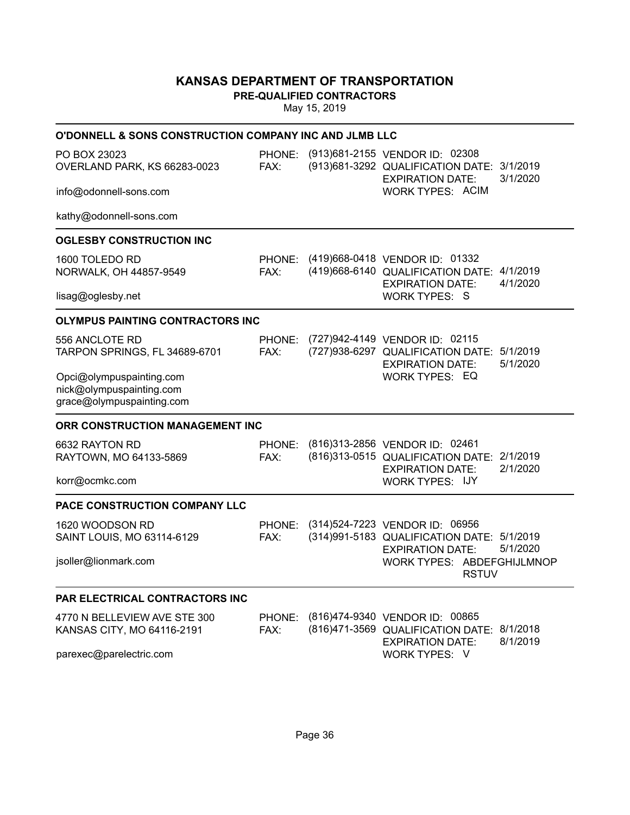**PRE-QUALIFIED CONTRACTORS**

| O'DONNELL & SONS CONSTRUCTION COMPANY INC AND JLMB LLC                            |                |                                                                                                                |          |
|-----------------------------------------------------------------------------------|----------------|----------------------------------------------------------------------------------------------------------------|----------|
| PO BOX 23023<br>OVERLAND PARK, KS 66283-0023                                      | PHONE:<br>FAX: | (913)681-2155 VENDOR ID: 02308<br>(913) 681-3292 QUALIFICATION DATE: 3/1/2019<br><b>EXPIRATION DATE:</b>       | 3/1/2020 |
| info@odonnell-sons.com                                                            |                | WORK TYPES: ACIM                                                                                               |          |
| kathy@odonnell-sons.com                                                           |                |                                                                                                                |          |
| <b>OGLESBY CONSTRUCTION INC</b>                                                   |                |                                                                                                                |          |
| 1600 TOLEDO RD<br>NORWALK, OH 44857-9549                                          | FAX:           | PHONE: (419)668-0418 VENDOR ID: 01332<br>(419)668-6140 QUALIFICATION DATE: 4/1/2019<br><b>EXPIRATION DATE:</b> | 4/1/2020 |
| lisag@oglesby.net                                                                 |                | <b>WORK TYPES: S</b>                                                                                           |          |
| <b>OLYMPUS PAINTING CONTRACTORS INC</b>                                           |                |                                                                                                                |          |
| 556 ANCLOTE RD<br>TARPON SPRINGS, FL 34689-6701                                   | PHONE:<br>FAX: | (727)942-4149 VENDOR ID: 02115<br>(727)938-6297 QUALIFICATION DATE: 5/1/2019<br><b>EXPIRATION DATE:</b>        | 5/1/2020 |
| Opci@olympuspainting.com<br>nick@olympuspainting.com<br>grace@olympuspainting.com |                | WORK TYPES: EQ                                                                                                 |          |
| ORR CONSTRUCTION MANAGEMENT INC                                                   |                |                                                                                                                |          |
| 6632 RAYTON RD<br>RAYTOWN, MO 64133-5869                                          | PHONE:<br>FAX: | (816)313-2856 VENDOR ID: 02461<br>(816)313-0515 QUALIFICATION DATE: 2/1/2019<br><b>EXPIRATION DATE:</b>        | 2/1/2020 |
| korr@ocmkc.com                                                                    |                | <b>WORK TYPES: IJY</b>                                                                                         |          |
| PACE CONSTRUCTION COMPANY LLC                                                     |                |                                                                                                                |          |
| 1620 WOODSON RD<br>SAINT LOUIS, MO 63114-6129                                     | PHONE:<br>FAX: | (314)524-7223 VENDOR ID: 06956<br>(314) 991-5183 QUALIFICATION DATE: 5/1/2019<br><b>EXPIRATION DATE:</b>       | 5/1/2020 |
| jsoller@lionmark.com                                                              |                | WORK TYPES: ABDEFGHIJLMNOP<br><b>RSTUV</b>                                                                     |          |
| <b>PAR ELECTRICAL CONTRACTORS INC</b>                                             |                |                                                                                                                |          |
| 4770 N BELLEVIEW AVE STE 300<br>KANSAS CITY, MO 64116-2191                        | PHONE:<br>FAX: | (816)474-9340 VENDOR ID: 00865<br>(816)471-3569 QUALIFICATION DATE: 8/1/2018<br><b>EXPIRATION DATE:</b>        | 8/1/2019 |
| parexec@parelectric.com                                                           |                | WORK TYPES: V                                                                                                  |          |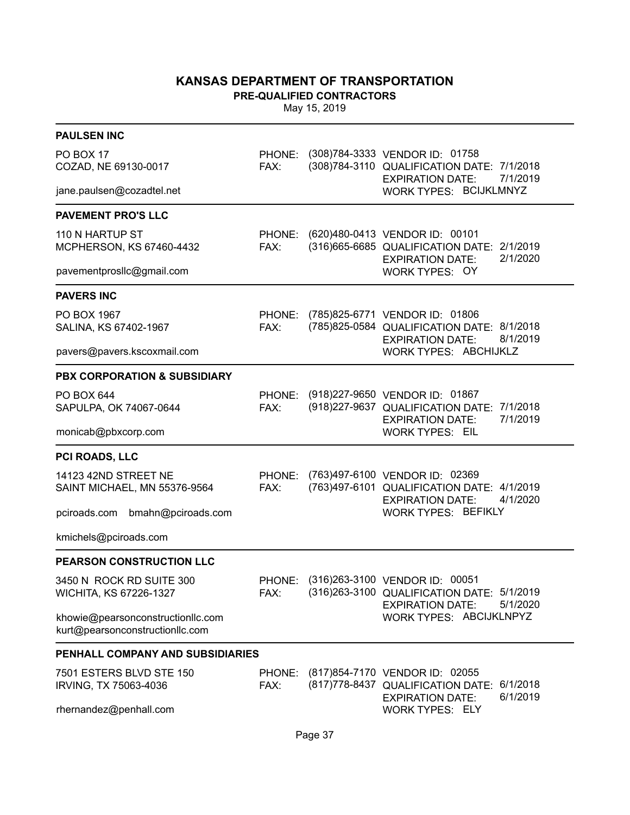**PRE-QUALIFIED CONTRACTORS**

| <b>PAULSEN INC</b>                                                   |                |                                                                                                                             |
|----------------------------------------------------------------------|----------------|-----------------------------------------------------------------------------------------------------------------------------|
| PO BOX 17<br>COZAD, NE 69130-0017                                    | PHONE:<br>FAX: | (308)784-3333 VENDOR ID: 01758<br>(308)784-3110 QUALIFICATION DATE: 7/1/2018<br>7/1/2019<br><b>EXPIRATION DATE:</b>         |
| jane.paulsen@cozadtel.net                                            |                | WORK TYPES: BCIJKLMNYZ                                                                                                      |
| <b>PAVEMENT PRO'S LLC</b>                                            |                |                                                                                                                             |
| 110 N HARTUP ST<br>MCPHERSON, KS 67460-4432                          | PHONE:<br>FAX: | (620)480-0413 VENDOR ID: 00101<br>(316) 665-6685 QUALIFICATION DATE: 2/1/2019<br>2/1/2020<br><b>EXPIRATION DATE:</b>        |
| pavementprosllc@gmail.com                                            |                | WORK TYPES: OY                                                                                                              |
| <b>PAVERS INC</b>                                                    |                |                                                                                                                             |
| PO BOX 1967<br>SALINA, KS 67402-1967                                 | PHONE:<br>FAX: | (785)825-6771 VENDOR ID: 01806<br>(785)825-0584 QUALIFICATION DATE: 8/1/2018<br>8/1/2019<br><b>EXPIRATION DATE:</b>         |
| pavers@pavers.kscoxmail.com                                          |                | WORK TYPES: ABCHIJKLZ                                                                                                       |
| <b>PBX CORPORATION &amp; SUBSIDIARY</b>                              |                |                                                                                                                             |
| PO BOX 644<br>SAPULPA, OK 74067-0644                                 | PHONE:<br>FAX: | (918) 227-9650 VENDOR ID: 01867<br>(918) 227-9637 QUALIFICATION DATE: 7/1/2018<br>7/1/2019<br><b>EXPIRATION DATE:</b>       |
| monicab@pbxcorp.com                                                  |                | <b>WORK TYPES: EIL</b>                                                                                                      |
| PCI ROADS, LLC                                                       |                |                                                                                                                             |
| 14123 42ND STREET NE<br>SAINT MICHAEL, MN 55376-9564                 | PHONE:<br>FAX: | (763)497-6100 VENDOR ID: 02369<br>(763)497-6101 QUALIFICATION DATE: 4/1/2019<br>4/1/2020<br><b>EXPIRATION DATE:</b>         |
| pciroads.com bmahn@pciroads.com                                      |                | <b>WORK TYPES: BEFIKLY</b>                                                                                                  |
| kmichels@pciroads.com                                                |                |                                                                                                                             |
| PEARSON CONSTRUCTION LLC                                             |                |                                                                                                                             |
| 3450 N ROCK RD SUITE 300<br>WICHITA, KS 67226-1327                   | PHONE:<br>FAX: | (316)263-3100 VENDOR ID: 00051<br>(316) 263-3100 QUALIFICATION DATE: 5/1/2019<br>5/1/2020<br><b>EXPIRATION DATE:</b>        |
| khowie@pearsonconstructionllc.com<br>kurt@pearsonconstructionllc.com |                | WORK TYPES: ABCIJKLNPYZ                                                                                                     |
| <b>PENHALL COMPANY AND SUBSIDIARIES</b>                              |                |                                                                                                                             |
| 7501 ESTERS BLVD STE 150<br>IRVING, TX 75063-4036                    | FAX:           | PHONE: (817)854-7170 VENDOR ID: 02055<br>(817) 778-8437 QUALIFICATION DATE: 6/1/2018<br>6/1/2019<br><b>EXPIRATION DATE:</b> |
| rhernandez@penhall.com                                               |                | <b>WORK TYPES: ELY</b>                                                                                                      |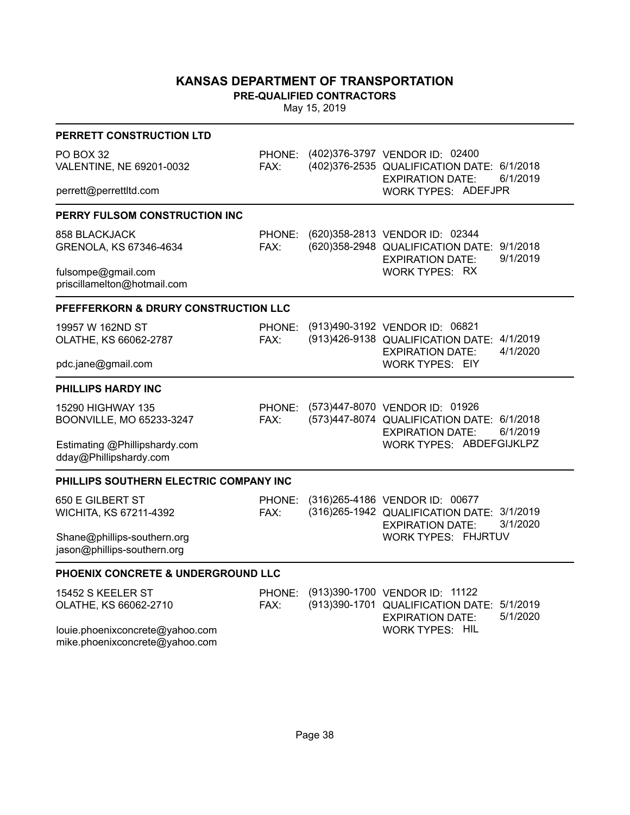**PRE-QUALIFIED CONTRACTORS**

| PERRETT CONSTRUCTION LTD                                          |                |                                                                                                                                              |
|-------------------------------------------------------------------|----------------|----------------------------------------------------------------------------------------------------------------------------------------------|
| PO BOX 32<br>VALENTINE, NE 69201-0032<br>perrett@perrettltd.com   | PHONE:<br>FAX: | (402) 376-3797 VENDOR ID: 02400<br>(402) 376-2535 QUALIFICATION DATE: 6/1/2018<br>6/1/2019<br><b>EXPIRATION DATE:</b><br>WORK TYPES: ADEFJPR |
|                                                                   |                |                                                                                                                                              |
| PERRY FULSOM CONSTRUCTION INC                                     |                |                                                                                                                                              |
| 858 BLACKJACK<br>GRENOLA, KS 67346-4634                           | PHONE:<br>FAX: | (620) 358-2813 VENDOR ID: 02344<br>(620) 358-2948 QUALIFICATION DATE: 9/1/2018<br>9/1/2019<br><b>EXPIRATION DATE:</b>                        |
| fulsompe@gmail.com<br>priscillamelton@hotmail.com                 |                | <b>WORK TYPES: RX</b>                                                                                                                        |
| PFEFFERKORN & DRURY CONSTRUCTION LLC                              |                |                                                                                                                                              |
| 19957 W 162ND ST<br>OLATHE, KS 66062-2787                         | PHONE:<br>FAX: | (913)490-3192 VENDOR ID: 06821<br>(913)426-9138 QUALIFICATION DATE: 4/1/2019<br>4/1/2020<br><b>EXPIRATION DATE:</b>                          |
| pdc.jane@gmail.com                                                |                | <b>WORK TYPES: EIY</b>                                                                                                                       |
| PHILLIPS HARDY INC                                                |                |                                                                                                                                              |
| 15290 HIGHWAY 135<br>BOONVILLE, MO 65233-3247                     | PHONE:<br>FAX: | (573)447-8070 VENDOR ID: 01926<br>(573)447-8074 QUALIFICATION DATE: 6/1/2018<br>6/1/2019<br><b>EXPIRATION DATE:</b>                          |
| Estimating @Phillipshardy.com<br>dday@Phillipshardy.com           |                | WORK TYPES: ABDEFGIJKLPZ                                                                                                                     |
| PHILLIPS SOUTHERN ELECTRIC COMPANY INC                            |                |                                                                                                                                              |
| 650 E GILBERT ST<br>WICHITA, KS 67211-4392                        | PHONE:<br>FAX: | (316) 265-4186 VENDOR ID: 00677<br>(316) 265-1942 QUALIFICATION DATE: 3/1/2019<br>3/1/2020<br><b>EXPIRATION DATE:</b>                        |
| Shane@phillips-southern.org<br>jason@phillips-southern.org        |                | WORK TYPES: FHJRTUV                                                                                                                          |
| PHOENIX CONCRETE & UNDERGROUND LLC                                |                |                                                                                                                                              |
| 15452 S KEELER ST<br>OLATHE, KS 66062-2710                        | PHONE:<br>FAX: | (913)390-1700 VENDOR ID: 11122<br>(913)390-1701 QUALIFICATION DATE:<br>5/1/2019<br>5/1/2020<br><b>EXPIRATION DATE:</b>                       |
| louie.phoenixconcrete@yahoo.com<br>mike.phoenixconcrete@yahoo.com |                | <b>WORK TYPES: HIL</b>                                                                                                                       |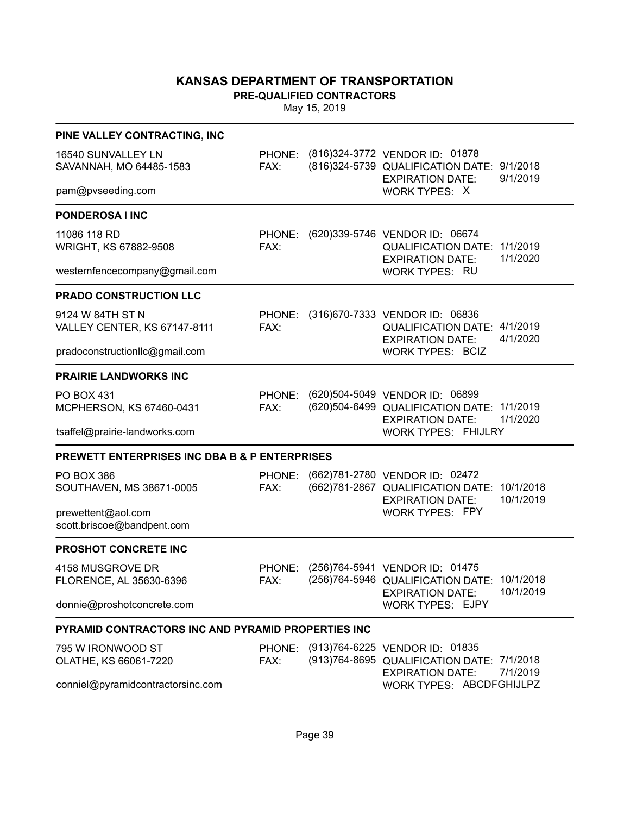**PRE-QUALIFIED CONTRACTORS**

| PINE VALLEY CONTRACTING, INC                              |                       |                                                                                                                             |  |
|-----------------------------------------------------------|-----------------------|-----------------------------------------------------------------------------------------------------------------------------|--|
| 16540 SUNVALLEY LN<br>SAVANNAH, MO 64485-1583             | PHONE:<br>FAX:        | (816) 324-3772 VENDOR ID: 01878<br>(816) 324-5739 QUALIFICATION DATE: 9/1/2018<br>9/1/2019<br><b>EXPIRATION DATE:</b>       |  |
| pam@pvseeding.com                                         |                       | WORK TYPES: X                                                                                                               |  |
| PONDEROSA I INC                                           |                       |                                                                                                                             |  |
| 11086 118 RD<br>WRIGHT, KS 67882-9508                     | PHONE:<br>FAX:        | (620)339-5746 VENDOR ID: 06674<br>QUALIFICATION DATE: 1/1/2019<br>1/1/2020<br><b>EXPIRATION DATE:</b>                       |  |
| westernfencecompany@gmail.com                             |                       | <b>WORK TYPES: RU</b>                                                                                                       |  |
| <b>PRADO CONSTRUCTION LLC</b>                             |                       |                                                                                                                             |  |
| 9124 W 84TH ST N<br><b>VALLEY CENTER, KS 67147-8111</b>   | PHONE:<br>FAX:        | (316)670-7333 VENDOR ID: 06836<br>QUALIFICATION DATE: 4/1/2019<br>4/1/2020<br><b>EXPIRATION DATE:</b>                       |  |
| pradoconstructionllc@gmail.com                            |                       | <b>WORK TYPES: BCIZ</b>                                                                                                     |  |
| <b>PRAIRIE LANDWORKS INC</b>                              |                       |                                                                                                                             |  |
| <b>PO BOX 431</b><br>MCPHERSON, KS 67460-0431             | PHONE:<br>FAX:        | (620)504-5049 VENDOR ID: 06899<br>(620)504-6499 QUALIFICATION DATE: 1/1/2019<br>1/1/2020<br><b>EXPIRATION DATE:</b>         |  |
| tsaffel@prairie-landworks.com                             |                       | <b>WORK TYPES: FHIJLRY</b>                                                                                                  |  |
| <b>PREWETT ENTERPRISES INC DBA B &amp; P ENTERPRISES</b>  |                       |                                                                                                                             |  |
| <b>PO BOX 386</b><br>SOUTHAVEN, MS 38671-0005             | PHONE:<br>FAX:        | (662)781-2780 VENDOR ID: 02472<br>(662)781-2867 QUALIFICATION DATE: 10/1/2018<br>10/1/2019<br><b>EXPIRATION DATE:</b>       |  |
| prewettent@aol.com<br>scott.briscoe@bandpent.com          |                       | <b>WORK TYPES: FPY</b>                                                                                                      |  |
| PROSHOT CONCRETE INC                                      |                       |                                                                                                                             |  |
| 4158 MUSGROVE DR<br>FLORENCE, AL 35630-6396               | <b>PHONE:</b><br>FAX: | (256)764-5941 VENDOR ID: 01475<br>(256)764-5946 QUALIFICATION DATE: 10/1/2018<br>10/1/2019<br><b>EXPIRATION DATE:</b>       |  |
| donnie@proshotconcrete.com                                |                       | <b>WORK TYPES: EJPY</b>                                                                                                     |  |
| <b>PYRAMID CONTRACTORS INC AND PYRAMID PROPERTIES INC</b> |                       |                                                                                                                             |  |
| 795 W IRONWOOD ST<br>OLATHE, KS 66061-7220                | FAX:                  | PHONE: (913)764-6225 VENDOR ID: 01835<br>(913) 764-8695 QUALIFICATION DATE: 7/1/2018<br>7/1/2019<br><b>EXPIRATION DATE:</b> |  |
| conniel@pyramidcontractorsinc.com                         |                       | WORK TYPES: ABCDFGHIJLPZ                                                                                                    |  |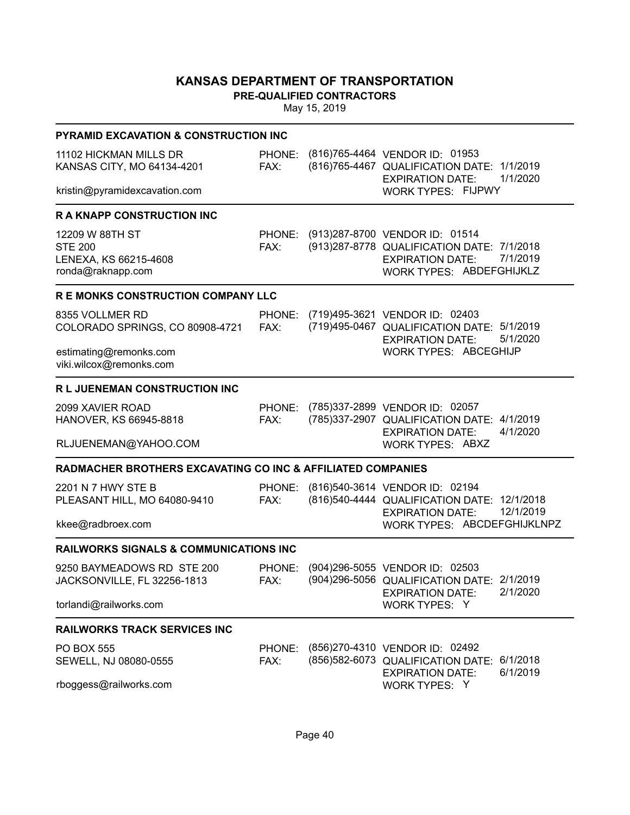**PRE-QUALIFIED CONTRACTORS**

| <b>PYRAMID EXCAVATION &amp; CONSTRUCTION INC</b>                                |                |                                                                                                                                      |                      |
|---------------------------------------------------------------------------------|----------------|--------------------------------------------------------------------------------------------------------------------------------------|----------------------|
| 11102 HICKMAN MILLS DR<br>KANSAS CITY, MO 64134-4201                            | PHONE:<br>FAX: | (816)765-4464 VENDOR ID: 01953<br>(816)765-4467 QUALIFICATION DATE: 1/1/2019<br><b>EXPIRATION DATE:</b>                              | 1/1/2020             |
| kristin@pyramidexcavation.com                                                   |                | <b>WORK TYPES: FIJPWY</b>                                                                                                            |                      |
| <b>RAKNAPP CONSTRUCTION INC</b>                                                 |                |                                                                                                                                      |                      |
| 12209 W 88TH ST<br><b>STE 200</b><br>LENEXA, KS 66215-4608<br>ronda@raknapp.com | PHONE:<br>FAX: | (913)287-8700 VENDOR ID: 01514<br>(913) 287-8778 QUALIFICATION DATE: 7/1/2018<br><b>EXPIRATION DATE:</b><br>WORK TYPES: ABDEFGHIJKLZ | 7/1/2019             |
| <b>R E MONKS CONSTRUCTION COMPANY LLC</b>                                       |                |                                                                                                                                      |                      |
| 8355 VOLLMER RD<br>COLORADO SPRINGS, CO 80908-4721                              | PHONE:<br>FAX: | (719)495-3621 VENDOR ID: 02403<br>(719)495-0467 QUALIFICATION DATE: 5/1/2019<br><b>EXPIRATION DATE:</b>                              | 5/1/2020             |
| estimating@remonks.com<br>viki.wilcox@remonks.com                               |                | WORK TYPES: ABCEGHIJP                                                                                                                |                      |
| R L JUENEMAN CONSTRUCTION INC                                                   |                |                                                                                                                                      |                      |
| 2099 XAVIER ROAD<br>HANOVER, KS 66945-8818                                      | PHONE:<br>FAX: | (785)337-2899 VENDOR ID: 02057<br>(785)337-2907 QUALIFICATION DATE: 4/1/2019<br><b>EXPIRATION DATE:</b>                              | 4/1/2020             |
| RLJUENEMAN@YAHOO.COM                                                            |                | <b>WORK TYPES: ABXZ</b>                                                                                                              |                      |
| <b>RADMACHER BROTHERS EXCAVATING CO INC &amp; AFFILIATED COMPANIES</b>          |                |                                                                                                                                      |                      |
| 2201 N 7 HWY STE B<br>PLEASANT HILL, MO 64080-9410                              | PHONE:<br>FAX: | (816)540-3614 VENDOR ID: 02194<br>(816)540-4444 QUALIFICATION DATE: 12/1/2018<br><b>EXPIRATION DATE:</b>                             | 12/1/2019            |
| kkee@radbroex.com                                                               |                | WORK TYPES: ABCDEFGHIJKLNPZ                                                                                                          |                      |
| <b>RAILWORKS SIGNALS &amp; COMMUNICATIONS INC</b>                               |                |                                                                                                                                      |                      |
| 9250 BAYMEADOWS RD STE 200<br>JACKSONVILLE, FL 32256-1813                       | PHONE:<br>FAX: | (904) 296-5055 VENDOR ID: 02503<br>(904) 296-5056 QUALIFICATION DATE: 2/1/2019<br><b>EXPIRATION DATE:</b>                            | 2/1/2020             |
| torlandi@railworks.com                                                          |                | WORK TYPES: Y                                                                                                                        |                      |
| <b>RAILWORKS TRACK SERVICES INC</b>                                             |                |                                                                                                                                      |                      |
| <b>PO BOX 555</b><br>SEWELL, NJ 08080-0555                                      | PHONE:<br>FAX: | (856) 270-4310 VENDOR ID: 02492<br>(856) 582-6073 QUALIFICATION DATE:<br><b>EXPIRATION DATE:</b>                                     | 6/1/2018<br>6/1/2019 |
| rboggess@railworks.com                                                          |                | WORK TYPES: Y                                                                                                                        |                      |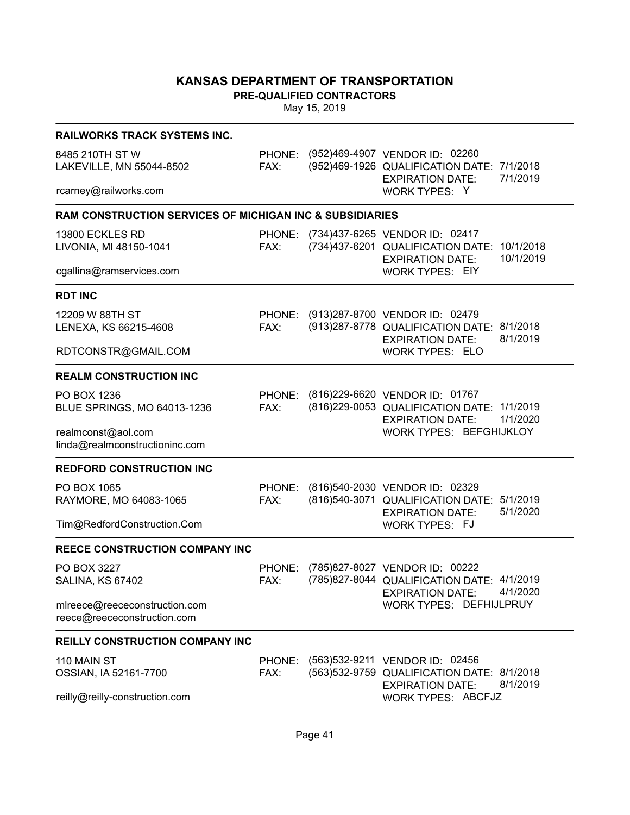**PRE-QUALIFIED CONTRACTORS**

| <b>RAILWORKS TRACK SYSTEMS INC.</b>                                 |                |                                                                                                                 |           |
|---------------------------------------------------------------------|----------------|-----------------------------------------------------------------------------------------------------------------|-----------|
| 8485 210TH ST W<br>LAKEVILLE, MN 55044-8502                         | FAX:           | PHONE: (952)469-4907 VENDOR ID: 02260<br>(952)469-1926 QUALIFICATION DATE: 7/1/2018<br><b>EXPIRATION DATE:</b>  | 7/1/2019  |
| rcarney@railworks.com                                               |                | <b>WORK TYPES: Y</b>                                                                                            |           |
| <b>RAM CONSTRUCTION SERVICES OF MICHIGAN INC &amp; SUBSIDIARIES</b> |                |                                                                                                                 |           |
| 13800 ECKLES RD<br>LIVONIA, MI 48150-1041                           | PHONE:<br>FAX: | (734)437-6265 VENDOR ID: 02417<br>(734) 437-6201 QUALIFICATION DATE: 10/1/2018<br><b>EXPIRATION DATE:</b>       | 10/1/2019 |
| cgallina@ramservices.com                                            |                | <b>WORK TYPES: EIY</b>                                                                                          |           |
| <b>RDT INC</b>                                                      |                |                                                                                                                 |           |
| 12209 W 88TH ST<br>LENEXA, KS 66215-4608                            | FAX:           | PHONE: (913)287-8700 VENDOR ID: 02479<br>(913) 287-8778 QUALIFICATION DATE: 8/1/2018<br><b>EXPIRATION DATE:</b> | 8/1/2019  |
| RDTCONSTR@GMAIL.COM                                                 |                | WORK TYPES: ELO                                                                                                 |           |
| <b>REALM CONSTRUCTION INC</b>                                       |                |                                                                                                                 |           |
| PO BOX 1236<br>BLUE SPRINGS, MO 64013-1236                          | PHONE:<br>FAX: | (816) 229-6620 VENDOR ID: 01767<br>(816) 229-0053 QUALIFICATION DATE: 1/1/2019<br><b>EXPIRATION DATE:</b>       | 1/1/2020  |
| realmconst@aol.com<br>linda@realmconstructioninc.com                |                | WORK TYPES: BEFGHIJKLOY                                                                                         |           |
| <b>REDFORD CONSTRUCTION INC</b>                                     |                |                                                                                                                 |           |
| PO BOX 1065<br>RAYMORE, MO 64083-1065                               | PHONE:<br>FAX: | (816)540-2030 VENDOR ID: 02329<br>(816) 540-3071 QUALIFICATION DATE: 5/1/2019<br><b>EXPIRATION DATE:</b>        | 5/1/2020  |
| Tim@RedfordConstruction.Com                                         |                | <b>WORK TYPES: FJ</b>                                                                                           |           |
| <b>REECE CONSTRUCTION COMPANY INC</b>                               |                |                                                                                                                 |           |
| PO BOX 3227<br>SALINA, KS 67402                                     | PHONE:<br>FAX: | (785)827-8027 VENDOR ID: 00222<br>(785) 827-8044 QUALIFICATION DATE: 4/1/2019<br><b>EXPIRATION DATE:</b>        | 4/1/2020  |
| mlreece@reececonstruction.com<br>reece@reececonstruction.com        |                | <b>WORK TYPES: DEFHIJLPRUY</b>                                                                                  |           |
| <b>REILLY CONSTRUCTION COMPANY INC</b>                              |                |                                                                                                                 |           |
| 110 MAIN ST<br>OSSIAN, IA 52161-7700                                | PHONE:<br>FAX: | (563) 532-9211 VENDOR ID: 02456<br>(563) 532-9759 QUALIFICATION DATE: 8/1/2018<br><b>EXPIRATION DATE:</b>       | 8/1/2019  |
| reilly@reilly-construction.com                                      |                | WORK TYPES: ABCFJZ                                                                                              |           |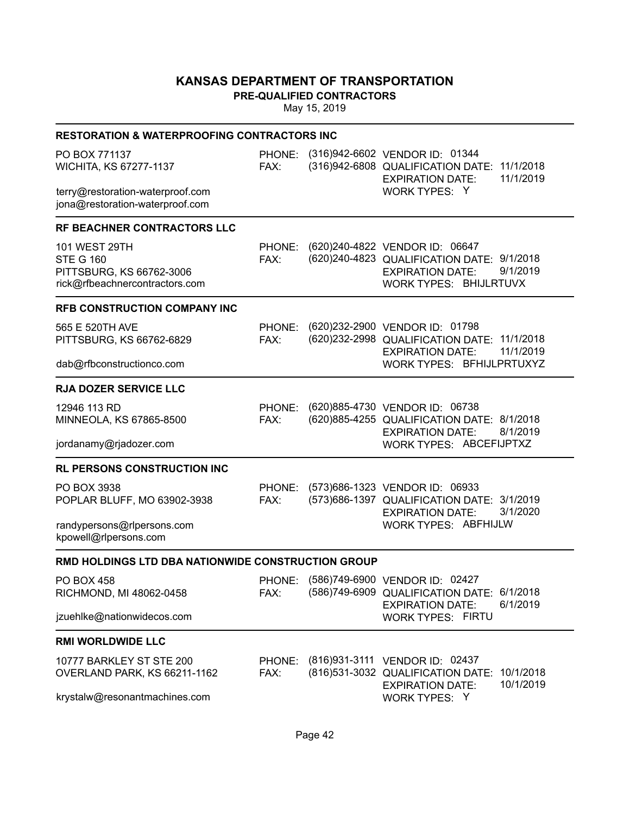**PRE-QUALIFIED CONTRACTORS**

| <b>RESTORATION &amp; WATERPROOFING CONTRACTORS INC</b>                                                 |                |                                                                                                                                                 |
|--------------------------------------------------------------------------------------------------------|----------------|-------------------------------------------------------------------------------------------------------------------------------------------------|
| PO BOX 771137<br>WICHITA, KS 67277-1137                                                                | FAX:           | PHONE: (316)942-6602 VENDOR ID: 01344<br>(316)942-6808 QUALIFICATION DATE: 11/1/2018<br>11/1/2019<br><b>EXPIRATION DATE:</b>                    |
| terry@restoration-waterproof.com<br>jona@restoration-waterproof.com                                    |                | WORK TYPES: Y                                                                                                                                   |
| RF BEACHNER CONTRACTORS LLC                                                                            |                |                                                                                                                                                 |
| <b>101 WEST 29TH</b><br><b>STE G 160</b><br>PITTSBURG, KS 66762-3006<br>rick@rfbeachnercontractors.com | PHONE:<br>FAX: | (620) 240-4822 VENDOR ID: 06647<br>(620) 240-4823 QUALIFICATION DATE: 9/1/2018<br>9/1/2019<br><b>EXPIRATION DATE:</b><br>WORK TYPES: BHIJLRTUVX |
| RFB CONSTRUCTION COMPANY INC                                                                           |                |                                                                                                                                                 |
| 565 E 520TH AVE<br>PITTSBURG, KS 66762-6829                                                            | PHONE:<br>FAX: | (620)232-2900 VENDOR ID: 01798<br>(620) 232-2998 QUALIFICATION DATE: 11/1/2018<br>11/1/2019<br><b>EXPIRATION DATE:</b>                          |
| dab@rfbconstructionco.com                                                                              |                | WORK TYPES: BFHIJLPRTUXYZ                                                                                                                       |
| <b>RJA DOZER SERVICE LLC</b>                                                                           |                |                                                                                                                                                 |
| 12946 113 RD<br>MINNEOLA, KS 67865-8500                                                                | PHONE:<br>FAX: | (620)885-4730 VENDOR ID: 06738<br>(620) 885-4255 QUALIFICATION DATE: 8/1/2018<br>8/1/2019<br><b>EXPIRATION DATE:</b>                            |
| jordanamy@rjadozer.com                                                                                 |                | WORK TYPES: ABCEFIJPTXZ                                                                                                                         |
| <b>RL PERSONS CONSTRUCTION INC</b>                                                                     |                |                                                                                                                                                 |
| PO BOX 3938<br>POPLAR BLUFF, MO 63902-3938                                                             | PHONE:<br>FAX: | (573) 686-1323 VENDOR ID: 06933<br>(573)686-1397 QUALIFICATION DATE: 3/1/2019<br><b>EXPIRATION DATE:</b><br>3/1/2020                            |
| randypersons@rlpersons.com<br>kpowell@rlpersons.com                                                    |                | WORK TYPES: ABFHIJLW                                                                                                                            |
| RMD HOLDINGS LTD DBA NATIONWIDE CONSTRUCTION GROUP                                                     |                |                                                                                                                                                 |
| <b>PO BOX 458</b><br>RICHMOND, MI 48062-0458                                                           |                | PHONE: (586)749-6900 VENDOR ID: 02427<br>FAX: (586)749-6909 QUALIFICATION DATE: 6/1/2018<br>6/1/2019<br><b>EXPIRATION DATE:</b>                 |
| jzuehlke@nationwidecos.com                                                                             |                | <b>WORK TYPES: FIRTU</b>                                                                                                                        |
| <b>RMI WORLDWIDE LLC</b>                                                                               |                |                                                                                                                                                 |
| 10777 BARKLEY ST STE 200<br>OVERLAND PARK, KS 66211-1162                                               | PHONE:<br>FAX: | (816) 931-3111 VENDOR ID: 02437<br>(816)531-3032 QUALIFICATION DATE:<br>10/1/2018<br>10/1/2019<br><b>EXPIRATION DATE:</b>                       |
| krystalw@resonantmachines.com                                                                          |                | WORK TYPES: Y                                                                                                                                   |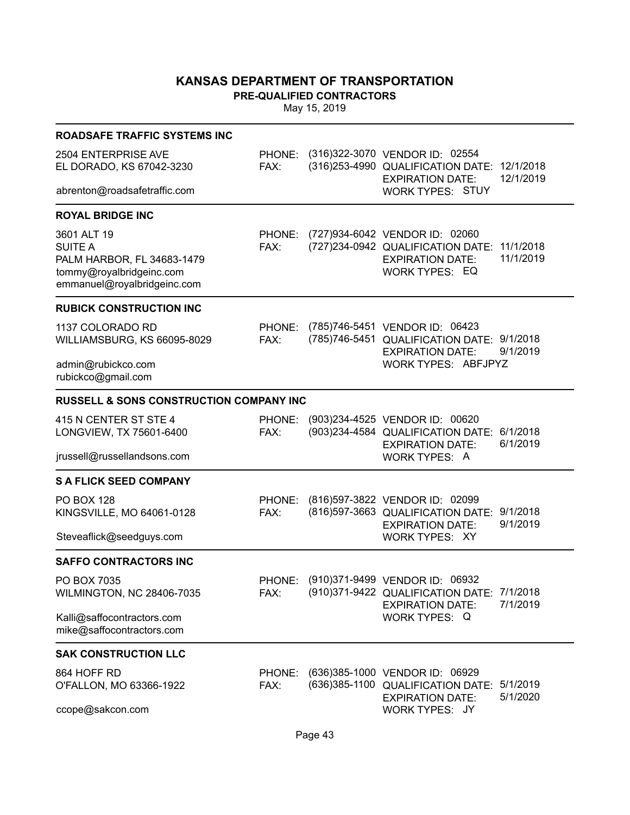**PRE-QUALIFIED CONTRACTORS**

| <b>ROADSAFE TRAFFIC SYSTEMS INC</b>                                                                     |                |                                                                                                                                             |                      |
|---------------------------------------------------------------------------------------------------------|----------------|---------------------------------------------------------------------------------------------------------------------------------------------|----------------------|
| 2504 ENTERPRISE AVE<br>EL DORADO, KS 67042-3230<br>abrenton@roadsafetraffic.com                         | FAX:           | PHONE: (316)322-3070 VENDOR ID: 02554<br>(316) 253-4990 QUALIFICATION DATE: 12/1/2018<br><b>EXPIRATION DATE:</b><br><b>WORK TYPES: STUY</b> | 12/1/2019            |
|                                                                                                         |                |                                                                                                                                             |                      |
| <b>ROYAL BRIDGE INC</b><br>3601 ALT 19                                                                  | PHONE:         | (727)934-6042 VENDOR ID: 02060                                                                                                              |                      |
| <b>SUITE A</b><br>PALM HARBOR, FL 34683-1479<br>tommy@royalbridgeinc.com<br>emmanuel@royalbridgeinc.com | FAX:           | (727) 234-0942 QUALIFICATION DATE: 11/1/2018<br><b>EXPIRATION DATE:</b><br><b>WORK TYPES: EQ</b>                                            | 11/1/2019            |
| <b>RUBICK CONSTRUCTION INC</b>                                                                          |                |                                                                                                                                             |                      |
| 1137 COLORADO RD<br>WILLIAMSBURG, KS 66095-8029                                                         | PHONE:<br>FAX: | (785)746-5451 VENDOR ID: 06423<br>(785)746-5451 QUALIFICATION DATE: 9/1/2018<br><b>EXPIRATION DATE:</b>                                     | 9/1/2019             |
| admin@rubickco.com<br>rubickco@gmail.com                                                                |                | <b>WORK TYPES: ABFJPYZ</b>                                                                                                                  |                      |
| <b>RUSSELL &amp; SONS CONSTRUCTION COMPANY INC</b>                                                      |                |                                                                                                                                             |                      |
| 415 N CENTER ST STE 4<br>LONGVIEW, TX 75601-6400                                                        | PHONE:<br>FAX: | (903) 234-4525 VENDOR ID: 00620<br>(903)234-4584 QUALIFICATION DATE:<br><b>EXPIRATION DATE:</b>                                             | 6/1/2018<br>6/1/2019 |
| jrussell@russellandsons.com                                                                             |                | WORK TYPES: A                                                                                                                               |                      |
| <b>S A FLICK SEED COMPANY</b>                                                                           |                |                                                                                                                                             |                      |
| <b>PO BOX 128</b><br>KINGSVILLE, MO 64061-0128                                                          | PHONE:<br>FAX: | (816)597-3822 VENDOR ID: 02099<br>(816) 597-3663 QUALIFICATION DATE: 9/1/2018<br><b>EXPIRATION DATE:</b>                                    | 9/1/2019             |
| Steveaflick@seedguys.com                                                                                |                | WORK TYPES: XY                                                                                                                              |                      |
| <b>SAFFO CONTRACTORS INC</b>                                                                            |                |                                                                                                                                             |                      |
| PO BOX 7035<br>WILMINGTON, NC 28406-7035                                                                | PHONE:<br>FAX: | (910) 371-9499 VENDOR ID: 06932<br>(910)371-9422 QUALIFICATION DATE: 7/1/2018<br><b>EXPIRATION DATE:</b>                                    | 7/1/2019             |
| Kalli@saffocontractors.com<br>mike@saffocontractors.com                                                 |                | WORK TYPES: Q                                                                                                                               |                      |
| <b>SAK CONSTRUCTION LLC</b>                                                                             |                |                                                                                                                                             |                      |
| 864 HOFF RD<br>O'FALLON, MO 63366-1922                                                                  | PHONE:<br>FAX: | (636)385-1000 VENDOR ID: 06929<br>(636)385-1100 QUALIFICATION DATE:<br><b>EXPIRATION DATE:</b>                                              | 5/1/2019<br>5/1/2020 |
| ccope@sakcon.com                                                                                        |                | WORK TYPES: JY                                                                                                                              |                      |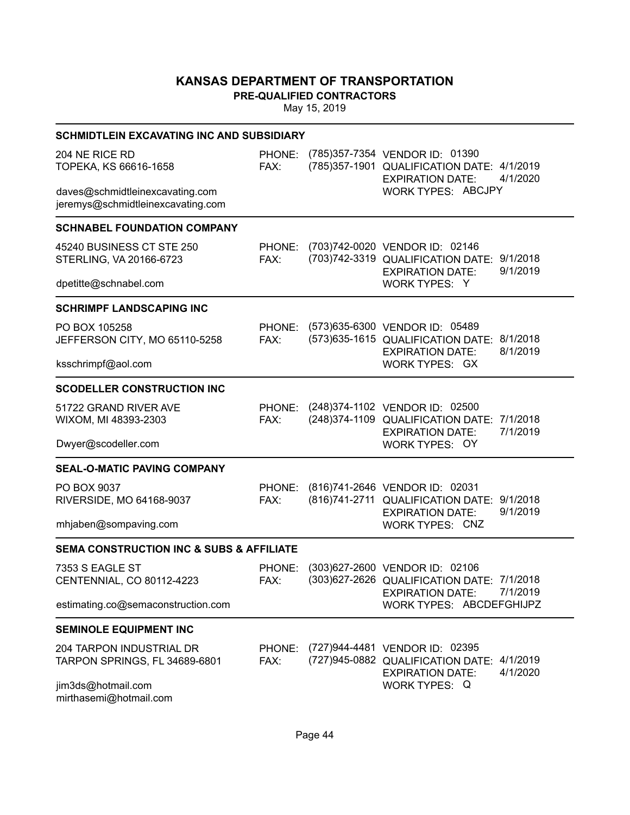**PRE-QUALIFIED CONTRACTORS**

| <b>SCHMIDTLEIN EXCAVATING INC AND SUBSIDIARY</b>                     |                |                                                                                                                        |
|----------------------------------------------------------------------|----------------|------------------------------------------------------------------------------------------------------------------------|
| 204 NE RICE RD<br>TOPEKA, KS 66616-1658                              | PHONE:<br>FAX: | (785)357-7354 VENDOR ID: 01390<br>(785)357-1901 QUALIFICATION DATE: 4/1/2019<br>4/1/2020<br><b>EXPIRATION DATE:</b>    |
| daves@schmidtleinexcavating.com<br>jeremys@schmidtleinexcavating.com |                | WORK TYPES: ABCJPY                                                                                                     |
| <b>SCHNABEL FOUNDATION COMPANY</b>                                   |                |                                                                                                                        |
| 45240 BUSINESS CT STE 250<br>STERLING, VA 20166-6723                 | PHONE:<br>FAX: | (703)742-0020 VENDOR ID: 02146<br>(703)742-3319 QUALIFICATION DATE:<br>9/1/2018<br>9/1/2019<br><b>EXPIRATION DATE:</b> |
| dpetitte@schnabel.com                                                |                | WORK TYPES: Y                                                                                                          |
| <b>SCHRIMPF LANDSCAPING INC</b>                                      |                |                                                                                                                        |
| PO BOX 105258<br>JEFFERSON CITY, MO 65110-5258                       | PHONE:<br>FAX: | (573) 635-6300 VENDOR ID: 05489<br>(573) 635-1615 QUALIFICATION DATE: 8/1/2018<br>8/1/2019<br><b>EXPIRATION DATE:</b>  |
| ksschrimpf@aol.com                                                   |                | <b>WORK TYPES: GX</b>                                                                                                  |
| <b>SCODELLER CONSTRUCTION INC</b>                                    |                |                                                                                                                        |
| 51722 GRAND RIVER AVE<br>WIXOM, MI 48393-2303                        | PHONE:<br>FAX: | (248) 374-1102 VENDOR ID: 02500<br>(248) 374-1109 QUALIFICATION DATE: 7/1/2018<br><b>EXPIRATION DATE:</b><br>7/1/2019  |
| Dwyer@scodeller.com                                                  |                | WORK TYPES: OY                                                                                                         |
| <b>SEAL-O-MATIC PAVING COMPANY</b>                                   |                |                                                                                                                        |
| PO BOX 9037<br>RIVERSIDE, MO 64168-9037                              | PHONE:<br>FAX: | (816)741-2646 VENDOR ID: 02031<br>(816)741-2711 QUALIFICATION DATE: 9/1/2018<br><b>EXPIRATION DATE:</b><br>9/1/2019    |
| mhjaben@sompaving.com                                                |                | <b>WORK TYPES: CNZ</b>                                                                                                 |
| <b>SEMA CONSTRUCTION INC &amp; SUBS &amp; AFFILIATE</b>              |                |                                                                                                                        |
| 7353 S EAGLE ST<br>CENTENNIAL, CO 80112-4223                         | PHONE:<br>FAX: | (303)627-2600 VENDOR ID: 02106<br>(303) 627-2626 QUALIFICATION DATE: 7/1/2018<br><b>EXPIRATION DATE:</b><br>7/1/2019   |
| estimating.co@semaconstruction.com                                   |                | WORK TYPES: ABCDEFGHIJPZ                                                                                               |
| <b>SEMINOLE EQUIPMENT INC</b>                                        |                |                                                                                                                        |
| 204 TARPON INDUSTRIAL DR<br>TARPON SPRINGS, FL 34689-6801            | PHONE:<br>FAX: | (727)944-4481 VENDOR ID: 02395<br>(727)945-0882 QUALIFICATION DATE:<br>4/1/2019<br><b>EXPIRATION DATE:</b><br>4/1/2020 |
| jim3ds@hotmail.com<br>mirthasemi@hotmail.com                         |                | WORK TYPES: Q                                                                                                          |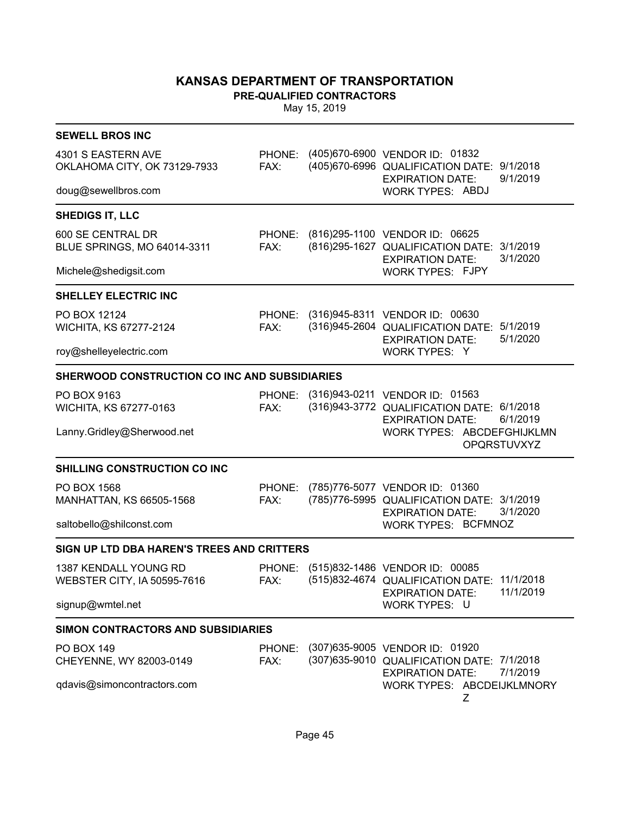**PRE-QUALIFIED CONTRACTORS**

| <b>SEWELL BROS INC</b>                               |                |                                                                                                                             |
|------------------------------------------------------|----------------|-----------------------------------------------------------------------------------------------------------------------------|
| 4301 S EASTERN AVE<br>OKLAHOMA CITY, OK 73129-7933   | FAX:           | PHONE: (405)670-6900 VENDOR ID: 01832<br>(405)670-6996 QUALIFICATION DATE: 9/1/2018<br>9/1/2019<br><b>EXPIRATION DATE:</b>  |
| doug@sewellbros.com                                  |                | <b>WORK TYPES: ABDJ</b>                                                                                                     |
| <b>SHEDIGS IT, LLC</b>                               |                |                                                                                                                             |
| 600 SE CENTRAL DR<br>BLUE SPRINGS, MO 64014-3311     | FAX:           | PHONE: (816)295-1100 VENDOR ID: 06625<br>(816) 295-1627 QUALIFICATION DATE: 3/1/2019<br>3/1/2020<br><b>EXPIRATION DATE:</b> |
| Michele@shedigsit.com                                |                | WORK TYPES: FJPY                                                                                                            |
| <b>SHELLEY ELECTRIC INC</b>                          |                |                                                                                                                             |
| PO BOX 12124<br>WICHITA, KS 67277-2124               | FAX:           | PHONE: (316)945-8311 VENDOR ID: 00630<br>(316)945-2604 QUALIFICATION DATE: 5/1/2019<br>5/1/2020<br><b>EXPIRATION DATE:</b>  |
| roy@shelleyelectric.com                              |                | WORK TYPES: Y                                                                                                               |
| SHERWOOD CONSTRUCTION CO INC AND SUBSIDIARIES        |                |                                                                                                                             |
| PO BOX 9163<br>WICHITA, KS 67277-0163                | FAX:           | PHONE: (316)943-0211 VENDOR ID: 01563<br>(316)943-3772 QUALIFICATION DATE: 6/1/2018<br>6/1/2019<br><b>EXPIRATION DATE:</b>  |
| Lanny.Gridley@Sherwood.net                           |                | WORK TYPES: ABCDEFGHIJKLMN<br>OPQRSTUVXYZ                                                                                   |
| SHILLING CONSTRUCTION CO INC                         |                |                                                                                                                             |
| PO BOX 1568<br>MANHATTAN, KS 66505-1568              | PHONE:<br>FAX: | (785)776-5077 VENDOR ID: 01360<br>(785)776-5995 QUALIFICATION DATE: 3/1/2019<br>3/1/2020<br><b>EXPIRATION DATE:</b>         |
| saltobello@shilconst.com                             |                | WORK TYPES: BCFMNOZ                                                                                                         |
| SIGN UP LTD DBA HAREN'S TREES AND CRITTERS           |                |                                                                                                                             |
| 1387 KENDALL YOUNG RD<br>WEBSTER CITY, IA 50595-7616 | PHONE:<br>FAX: | (515)832-1486 VENDOR ID: 00085<br>(515)832-4674 QUALIFICATION DATE: 11/1/2018<br>11/1/2019<br><b>EXPIRATION DATE:</b>       |
| signup@wmtel.net                                     |                | WORK TYPES: U                                                                                                               |
| <b>SIMON CONTRACTORS AND SUBSIDIARIES</b>            |                |                                                                                                                             |
| <b>PO BOX 149</b><br>CHEYENNE, WY 82003-0149         | PHONE:<br>FAX: | (307) 635-9005 VENDOR ID: 01920<br>(307) 635-9010 QUALIFICATION DATE: 7/1/2018<br>7/1/2019<br><b>EXPIRATION DATE:</b>       |
| qdavis@simoncontractors.com                          |                | WORK TYPES: ABCDEIJKLMNORY<br>Ζ                                                                                             |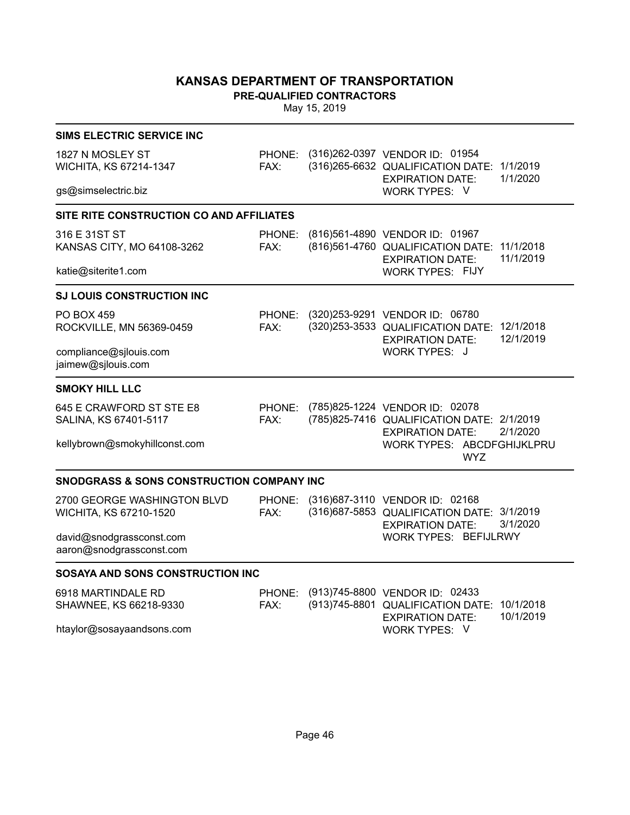**PRE-QUALIFIED CONTRACTORS**

| <b>SIMS ELECTRIC SERVICE INC</b>                      |                |                                                                                                            |                        |
|-------------------------------------------------------|----------------|------------------------------------------------------------------------------------------------------------|------------------------|
| 1827 N MOSLEY ST<br>WICHITA, KS 67214-1347            | PHONE:<br>FAX: | (316)262-0397 VENDOR ID: 01954<br>(316)265-6632 QUALIFICATION DATE:<br><b>EXPIRATION DATE:</b>             | 1/1/2019<br>1/1/2020   |
| gs@simselectric.biz                                   |                | WORK TYPES: V                                                                                              |                        |
| SITE RITE CONSTRUCTION CO AND AFFILIATES              |                |                                                                                                            |                        |
| 316 E 31ST ST<br>KANSAS CITY, MO 64108-3262           | PHONE:<br>FAX: | (816)561-4890 VENDOR ID: 01967<br>(816)561-4760 QUALIFICATION DATE:<br><b>EXPIRATION DATE:</b>             | 11/1/2018<br>11/1/2019 |
| katie@siterite1.com                                   |                | <b>WORK TYPES: FIJY</b>                                                                                    |                        |
| <b>SJ LOUIS CONSTRUCTION INC</b>                      |                |                                                                                                            |                        |
| <b>PO BOX 459</b><br>ROCKVILLE, MN 56369-0459         | PHONE:<br>FAX: | (320) 253-9291 VENDOR ID: 06780<br>(320) 253-3533 QUALIFICATION DATE: 12/1/2018<br><b>EXPIRATION DATE:</b> | 12/1/2019              |
| compliance@sjlouis.com<br>jaimew@sjlouis.com          |                | WORK TYPES: J                                                                                              |                        |
| <b>SMOKY HILL LLC</b>                                 |                |                                                                                                            |                        |
| 645 E CRAWFORD ST STE E8<br>SALINA, KS 67401-5117     | PHONE:<br>FAX: | (785)825-1224 VENDOR ID: 02078<br>(785)825-7416 QUALIFICATION DATE: 2/1/2019<br><b>EXPIRATION DATE:</b>    | 2/1/2020               |
| kellybrown@smokyhillconst.com                         |                | WORK TYPES: ABCDFGHIJKLPRU<br><b>WYZ</b>                                                                   |                        |
| <b>SNODGRASS &amp; SONS CONSTRUCTION COMPANY INC</b>  |                |                                                                                                            |                        |
| 2700 GEORGE WASHINGTON BLVD<br>WICHITA, KS 67210-1520 | PHONE:<br>FAX: | (316) 687-3110 VENDOR ID: 02168<br>(316) 687-5853 QUALIFICATION DATE: 3/1/2019<br><b>EXPIRATION DATE:</b>  | 3/1/2020               |
| david@snodgrassconst.com<br>aaron@snodgrassconst.com  |                | WORK TYPES: BEFIJLRWY                                                                                      |                        |
| SOSAYA AND SONS CONSTRUCTION INC                      |                |                                                                                                            |                        |
| 6918 MARTINDALE RD                                    | PHONE:         | (913)745-8800 VENDOR ID: 02433                                                                             |                        |
| SHAWNEE, KS 66218-9330<br>htaylor@sosayaandsons.com   | FAX:           | (913)745-8801 QUALIFICATION DATE:<br><b>EXPIRATION DATE:</b><br>WORK TYPES: V                              | 10/1/2018<br>10/1/2019 |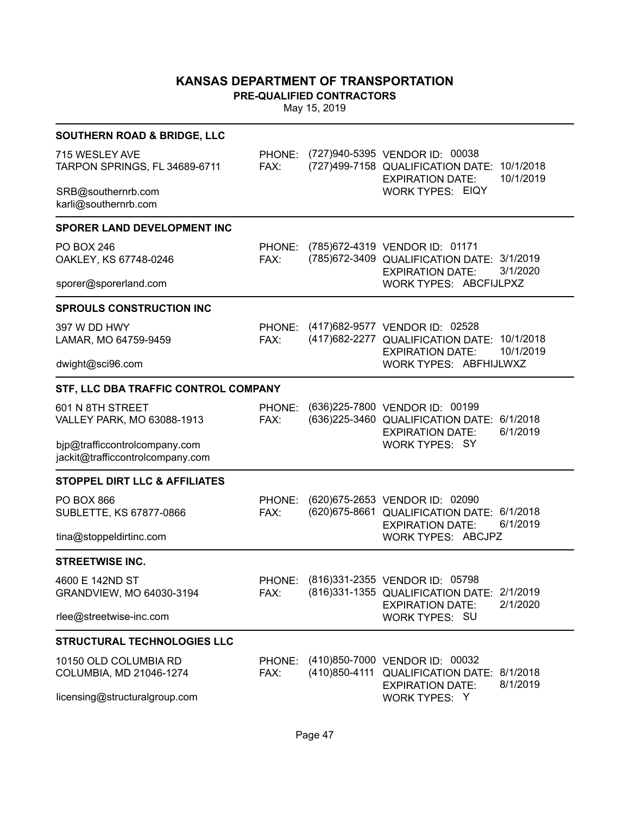**PRE-QUALIFIED CONTRACTORS**

| <b>SOUTHERN ROAD &amp; BRIDGE, LLC</b>                            |                |                                                                                                                               |
|-------------------------------------------------------------------|----------------|-------------------------------------------------------------------------------------------------------------------------------|
| 715 WESLEY AVE<br>TARPON SPRINGS, FL 34689-6711                   | PHONE:<br>FAX: | (727)940-5395 VENDOR ID: 00038<br>(727) 499-7158 QUALIFICATION DATE: 10/1/2018<br>10/1/2019<br><b>EXPIRATION DATE:</b>        |
| SRB@southernrb.com<br>karli@southernrb.com                        |                | <b>WORK TYPES: EIQY</b>                                                                                                       |
| <b>SPORER LAND DEVELOPMENT INC</b>                                |                |                                                                                                                               |
| <b>PO BOX 246</b><br>OAKLEY, KS 67748-0246                        | PHONE:<br>FAX: | (785) 672-4319 VENDOR ID: 01171<br>(785) 672-3409 QUALIFICATION DATE: 3/1/2019<br>3/1/2020<br><b>EXPIRATION DATE:</b>         |
| sporer@sporerland.com                                             |                | WORK TYPES: ABCFIJLPXZ                                                                                                        |
| <b>SPROULS CONSTRUCTION INC</b>                                   |                |                                                                                                                               |
| 397 W DD HWY<br>LAMAR, MO 64759-9459                              | FAX:           | PHONE: (417)682-9577 VENDOR ID: 02528<br>(417) 682-2277 QUALIFICATION DATE: 10/1/2018<br>10/1/2019<br><b>EXPIRATION DATE:</b> |
| dwight@sci96.com                                                  |                | WORK TYPES: ABFHIJLWXZ                                                                                                        |
| STF, LLC DBA TRAFFIC CONTROL COMPANY                              |                |                                                                                                                               |
| 601 N 8TH STREET<br>VALLEY PARK, MO 63088-1913                    | PHONE:<br>FAX: | (636) 225-7800 VENDOR ID: 00199<br>(636) 225-3460 QUALIFICATION DATE: 6/1/2018<br>6/1/2019<br><b>EXPIRATION DATE:</b>         |
| bjp@trafficcontrolcompany.com<br>jackit@trafficcontrolcompany.com |                | <b>WORK TYPES: SY</b>                                                                                                         |
| <b>STOPPEL DIRT LLC &amp; AFFILIATES</b>                          |                |                                                                                                                               |
| <b>PO BOX 866</b><br>SUBLETTE, KS 67877-0866                      | PHONE:<br>FAX: | (620) 675-2653 VENDOR ID: 02090<br>(620) 675-8661 QUALIFICATION DATE: 6/1/2018<br>6/1/2019<br><b>EXPIRATION DATE:</b>         |
| tina@stoppeldirtinc.com                                           |                | <b>WORK TYPES: ABCJPZ</b>                                                                                                     |
| <b>STREETWISE INC.</b>                                            |                |                                                                                                                               |
| 4600 E 142ND ST<br>GRANDVIEW, MO 64030-3194                       | FAX:           | PHONE: (816)331-2355 VENDOR ID: 05798<br>(816) 331-1355 QUALIFICATION DATE: 2/1/2019<br>2/1/2020<br><b>EXPIRATION DATE:</b>   |
| rlee@streetwise-inc.com                                           |                | WORK TYPES: SU                                                                                                                |
| <b>STRUCTURAL TECHNOLOGIES LLC</b>                                |                |                                                                                                                               |
| 10150 OLD COLUMBIA RD<br>COLUMBIA, MD 21046-1274                  | PHONE:<br>FAX: | (410)850-7000 VENDOR ID: 00032<br>(410)850-4111 QUALIFICATION DATE: 8/1/2018<br>8/1/2019<br><b>EXPIRATION DATE:</b>           |
| licensing@structuralgroup.com                                     |                | WORK TYPES: Y                                                                                                                 |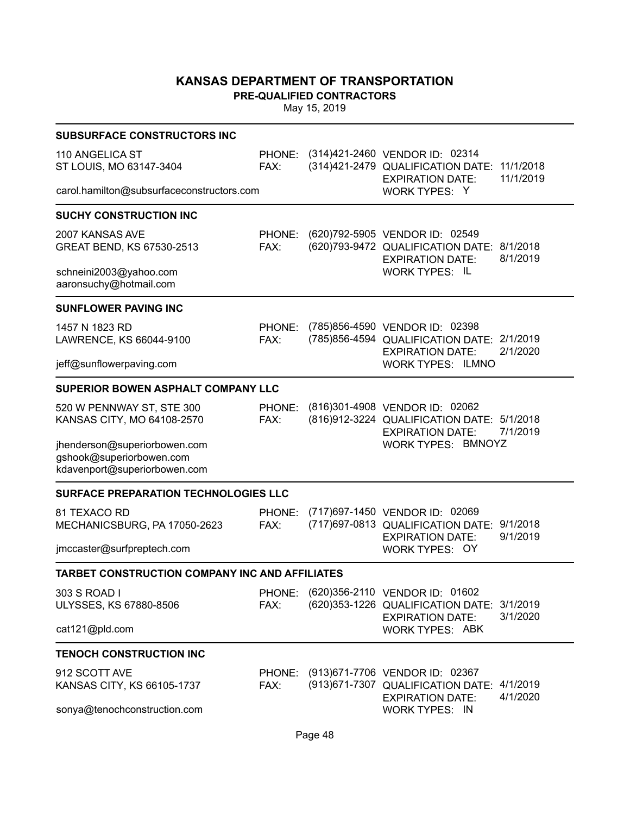**PRE-QUALIFIED CONTRACTORS**

| <b>SUBSURFACE CONSTRUCTORS INC</b>                                                       |                |                                                                                                                 |                        |
|------------------------------------------------------------------------------------------|----------------|-----------------------------------------------------------------------------------------------------------------|------------------------|
| 110 ANGELICA ST<br>ST LOUIS, MO 63147-3404                                               | PHONE:<br>FAX: | (314)421-2460 VENDOR ID: 02314<br>(314)421-2479 QUALIFICATION DATE:<br><b>EXPIRATION DATE:</b>                  | 11/1/2018<br>11/1/2019 |
| carol.hamilton@subsurfaceconstructors.com                                                |                | WORK TYPES: Y                                                                                                   |                        |
| <b>SUCHY CONSTRUCTION INC</b>                                                            |                |                                                                                                                 |                        |
| 2007 KANSAS AVE<br>GREAT BEND, KS 67530-2513                                             | PHONE:<br>FAX: | (620)792-5905 VENDOR ID: 02549<br>(620) 793-9472 QUALIFICATION DATE: 8/1/2018<br><b>EXPIRATION DATE:</b>        | 8/1/2019               |
| schneini2003@yahoo.com<br>aaronsuchy@hotmail.com                                         |                | <b>WORK TYPES: IL</b>                                                                                           |                        |
| <b>SUNFLOWER PAVING INC</b>                                                              |                |                                                                                                                 |                        |
| 1457 N 1823 RD<br>LAWRENCE, KS 66044-9100                                                | PHONE:<br>FAX: | (785)856-4590 VENDOR ID: 02398<br>(785) 856-4594 QUALIFICATION DATE: 2/1/2019<br><b>EXPIRATION DATE:</b>        | 2/1/2020               |
| jeff@sunflowerpaving.com                                                                 |                | <b>WORK TYPES: ILMNO</b>                                                                                        |                        |
| <b>SUPERIOR BOWEN ASPHALT COMPANY LLC</b>                                                |                |                                                                                                                 |                        |
| 520 W PENNWAY ST, STE 300<br>KANSAS CITY, MO 64108-2570                                  | PHONE:<br>FAX: | (816)301-4908 VENDOR ID: 02062<br>(816)912-3224 QUALIFICATION DATE: 5/1/2018<br><b>EXPIRATION DATE:</b>         | 7/1/2019               |
| jhenderson@superiorbowen.com<br>gshook@superiorbowen.com<br>kdavenport@superiorbowen.com |                | WORK TYPES: BMNOYZ                                                                                              |                        |
| SURFACE PREPARATION TECHNOLOGIES LLC                                                     |                |                                                                                                                 |                        |
| 81 TEXACO RD<br>MECHANICSBURG, PA 17050-2623                                             | PHONE:<br>FAX: | (717)697-1450 VENDOR ID: 02069<br>(717) 697-0813 QUALIFICATION DATE: 9/1/2018<br><b>EXPIRATION DATE:</b>        | 9/1/2019               |
| jmccaster@surfpreptech.com                                                               |                | <b>WORK TYPES: OY</b>                                                                                           |                        |
| <b>TARBET CONSTRUCTION COMPANY INC AND AFFILIATES</b>                                    |                |                                                                                                                 |                        |
| 303 S ROAD I<br><b>ULYSSES, KS 67880-8506</b>                                            | FAX:           | PHONE: (620)356-2110 VENDOR ID: 01602<br>(620) 353-1226 QUALIFICATION DATE: 3/1/2019<br><b>EXPIRATION DATE:</b> | 3/1/2020               |
| cat121@pld.com                                                                           |                | <b>WORK TYPES: ABK</b>                                                                                          |                        |
| <b>TENOCH CONSTRUCTION INC</b>                                                           |                |                                                                                                                 |                        |
| 912 SCOTT AVE<br>KANSAS CITY, KS 66105-1737                                              | PHONE:<br>FAX: | (913) 671-7706 VENDOR ID: 02367<br>(913) 671-7307 QUALIFICATION DATE:<br><b>EXPIRATION DATE:</b>                | 4/1/2019<br>4/1/2020   |
| sonya@tenochconstruction.com                                                             |                | <b>WORK TYPES: IN</b>                                                                                           |                        |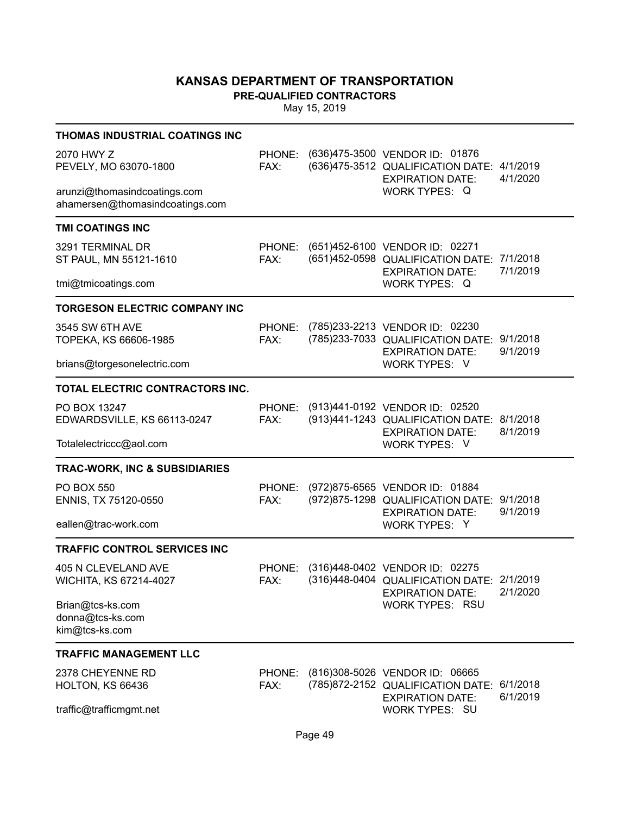**PRE-QUALIFIED CONTRACTORS**

| THOMAS INDUSTRIAL COATINGS INC                                  |                |                                                                                                                          |                      |
|-----------------------------------------------------------------|----------------|--------------------------------------------------------------------------------------------------------------------------|----------------------|
| 2070 HWY Z<br>PEVELY, MO 63070-1800                             | PHONE:<br>FAX: | (636)475-3500 VENDOR ID: 01876<br>(636)475-3512 QUALIFICATION DATE: 4/1/2019<br><b>EXPIRATION DATE:</b><br>WORK TYPES: Q | 4/1/2020             |
| arunzi@thomasindcoatings.com<br>ahamersen@thomasindcoatings.com |                |                                                                                                                          |                      |
| <b>TMI COATINGS INC</b>                                         |                |                                                                                                                          |                      |
| 3291 TERMINAL DR<br>ST PAUL, MN 55121-1610                      | PHONE:<br>FAX: | (651)452-6100 VENDOR ID: 02271<br>(651)452-0598 QUALIFICATION DATE: 7/1/2018<br><b>EXPIRATION DATE:</b>                  | 7/1/2019             |
| tmi@tmicoatings.com                                             |                | WORK TYPES: Q                                                                                                            |                      |
| <b>TORGESON ELECTRIC COMPANY INC</b>                            |                |                                                                                                                          |                      |
| 3545 SW 6TH AVE<br>TOPEKA, KS 66606-1985                        | PHONE:<br>FAX: | (785)233-2213 VENDOR ID: 02230<br>(785)233-7033 QUALIFICATION DATE: 9/1/2018<br><b>EXPIRATION DATE:</b>                  | 9/1/2019             |
| brians@torgesonelectric.com                                     |                | WORK TYPES: V                                                                                                            |                      |
| TOTAL ELECTRIC CONTRACTORS INC.                                 |                |                                                                                                                          |                      |
| PO BOX 13247<br>EDWARDSVILLE, KS 66113-0247                     | PHONE:<br>FAX: | (913)441-0192 VENDOR ID: 02520<br>(913)441-1243 QUALIFICATION DATE:<br><b>EXPIRATION DATE:</b>                           | 8/1/2018<br>8/1/2019 |
| Totalelectriccc@aol.com                                         |                | WORK TYPES: V                                                                                                            |                      |
| <b>TRAC-WORK, INC &amp; SUBSIDIARIES</b>                        |                |                                                                                                                          |                      |
| <b>PO BOX 550</b><br>ENNIS, TX 75120-0550                       | PHONE:<br>FAX: | (972)875-6565 VENDOR ID: 01884<br>(972) 875-1298 QUALIFICATION DATE: 9/1/2018<br><b>EXPIRATION DATE:</b>                 | 9/1/2019             |
| eallen@trac-work.com                                            |                | WORK TYPES: Y                                                                                                            |                      |
| <b>TRAFFIC CONTROL SERVICES INC</b>                             |                |                                                                                                                          |                      |
| 405 N CLEVELAND AVE<br>WICHITA, KS 67214-4027                   | PHONE:<br>FAX: | (316)448-0402 VENDOR ID: 02275<br>(316)448-0404 QUALIFICATION DATE: 2/1/2019<br><b>EXPIRATION DATE:</b>                  | 2/1/2020             |
| Brian@tcs-ks.com<br>donna@tcs-ks.com<br>kim@tcs-ks.com          |                | WORK TYPES: RSU                                                                                                          |                      |
| <b>TRAFFIC MANAGEMENT LLC</b>                                   |                |                                                                                                                          |                      |
| 2378 CHEYENNE RD<br>HOLTON, KS 66436                            | PHONE:<br>FAX: | (816)308-5026 VENDOR ID: 06665<br>(785)872-2152 QUALIFICATION DATE:<br><b>EXPIRATION DATE:</b>                           | 6/1/2018<br>6/1/2019 |
| traffic@trafficmgmt.net                                         |                | <b>WORK TYPES: SU</b>                                                                                                    |                      |
|                                                                 |                |                                                                                                                          |                      |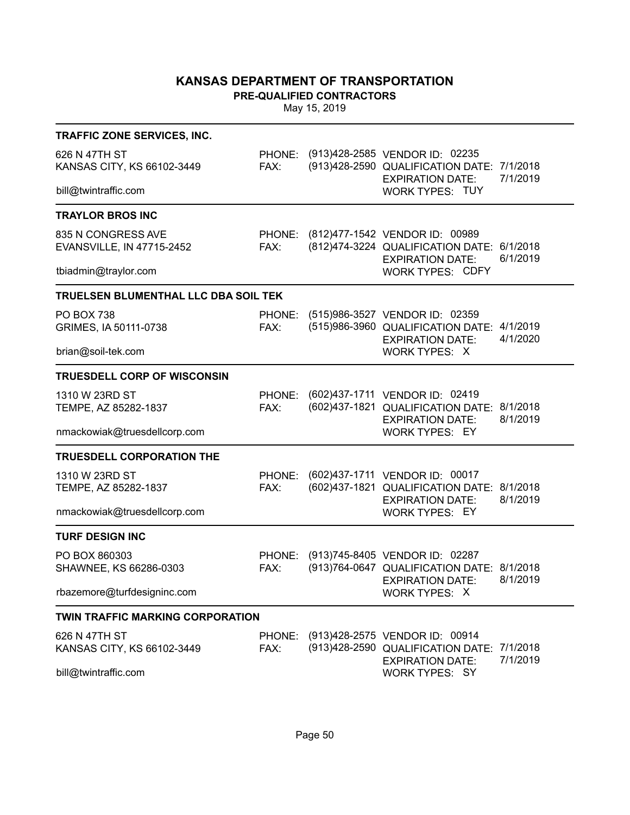**PRE-QUALIFIED CONTRACTORS**

| TRAFFIC ZONE SERVICES, INC.                                         |                |  |                                                                                                                                |                      |  |
|---------------------------------------------------------------------|----------------|--|--------------------------------------------------------------------------------------------------------------------------------|----------------------|--|
| 626 N 47TH ST<br>KANSAS CITY, KS 66102-3449                         | FAX:           |  | PHONE: (913)428-2585 VENDOR ID: 02235<br>(913)428-2590 QUALIFICATION DATE: 7/1/2018<br><b>EXPIRATION DATE:</b>                 | 7/1/2019             |  |
| bill@twintraffic.com                                                |                |  | <b>WORK TYPES: TUY</b>                                                                                                         |                      |  |
| <b>TRAYLOR BROS INC</b>                                             |                |  |                                                                                                                                |                      |  |
| 835 N CONGRESS AVE<br>EVANSVILLE, IN 47715-2452                     | FAX:           |  | PHONE: (812)477-1542 VENDOR ID: 00989<br>(812)474-3224 QUALIFICATION DATE: 6/1/2018<br><b>EXPIRATION DATE:</b>                 | 6/1/2019             |  |
| tbiadmin@traylor.com                                                |                |  | <b>WORK TYPES: CDFY</b>                                                                                                        |                      |  |
| TRUELSEN BLUMENTHAL LLC DBA SOIL TEK                                |                |  |                                                                                                                                |                      |  |
| <b>PO BOX 738</b><br>GRIMES, IA 50111-0738                          | FAX:           |  | PHONE: (515)986-3527 VENDOR ID: 02359<br>(515)986-3960 QUALIFICATION DATE: 4/1/2019<br><b>EXPIRATION DATE:</b>                 | 4/1/2020             |  |
| brian@soil-tek.com                                                  |                |  | WORK TYPES: X                                                                                                                  |                      |  |
| <b>TRUESDELL CORP OF WISCONSIN</b>                                  |                |  |                                                                                                                                |                      |  |
| 1310 W 23RD ST<br>TEMPE, AZ 85282-1837                              | PHONE:<br>FAX: |  | (602)437-1711 VENDOR ID: 02419<br>(602)437-1821 QUALIFICATION DATE: 8/1/2018<br><b>EXPIRATION DATE:</b>                        | 8/1/2019             |  |
| nmackowiak@truesdellcorp.com                                        |                |  | <b>WORK TYPES: EY</b>                                                                                                          |                      |  |
| <b>TRUESDELL CORPORATION THE</b>                                    |                |  |                                                                                                                                |                      |  |
| 1310 W 23RD ST<br>TEMPE, AZ 85282-1837                              | PHONE:<br>FAX: |  | (602)437-1711 VENDOR ID: 00017<br>(602)437-1821 QUALIFICATION DATE: 8/1/2018<br><b>EXPIRATION DATE:</b>                        | 8/1/2019             |  |
| nmackowiak@truesdellcorp.com                                        |                |  | <b>WORK TYPES: EY</b>                                                                                                          |                      |  |
| <b>TURF DESIGN INC</b>                                              |                |  |                                                                                                                                |                      |  |
| PO BOX 860303<br>SHAWNEE, KS 66286-0303                             | FAX:           |  | PHONE: (913)745-8405 VENDOR ID: 02287<br>(913)764-0647 QUALIFICATION DATE: 8/1/2018<br><b>EXPIRATION DATE:</b>                 | 8/1/2019             |  |
| rbazemore@turfdesigninc.com                                         |                |  | WORK TYPES: X                                                                                                                  |                      |  |
| <b>TWIN TRAFFIC MARKING CORPORATION</b>                             |                |  |                                                                                                                                |                      |  |
| 626 N 47TH ST<br>KANSAS CITY, KS 66102-3449<br>bill@twintraffic.com | FAX:           |  | PHONE: (913)428-2575 VENDOR ID: 00914<br>(913)428-2590 QUALIFICATION DATE:<br><b>EXPIRATION DATE:</b><br><b>WORK TYPES: SY</b> | 7/1/2018<br>7/1/2019 |  |
|                                                                     |                |  |                                                                                                                                |                      |  |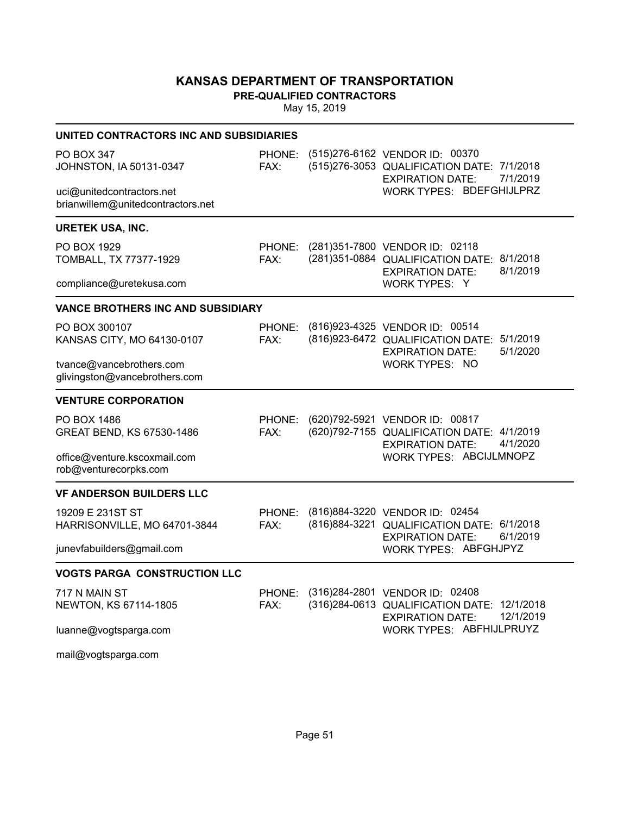**PRE-QUALIFIED CONTRACTORS**

| UNITED CONTRACTORS INC AND SUBSIDIARIES                        |                |  |                                                                                                                               |  |  |
|----------------------------------------------------------------|----------------|--|-------------------------------------------------------------------------------------------------------------------------------|--|--|
| PO BOX 347<br>JOHNSTON, IA 50131-0347                          | PHONE:<br>FAX: |  | (515)276-6162 VENDOR ID: 00370<br>(515)276-3053 QUALIFICATION DATE: 7/1/2018<br>7/1/2019<br><b>EXPIRATION DATE:</b>           |  |  |
| uci@unitedcontractors.net<br>brianwillem@unitedcontractors.net |                |  | WORK TYPES: BDEFGHIJLPRZ                                                                                                      |  |  |
| <b>URETEK USA, INC.</b>                                        |                |  |                                                                                                                               |  |  |
| PO BOX 1929<br>TOMBALL, TX 77377-1929                          | PHONE:<br>FAX: |  | (281)351-7800 VENDOR ID: 02118<br>(281) 351-0884 QUALIFICATION DATE: 8/1/2018<br>8/1/2019<br><b>EXPIRATION DATE:</b>          |  |  |
| compliance@uretekusa.com                                       |                |  | WORK TYPES: Y                                                                                                                 |  |  |
| <b>VANCE BROTHERS INC AND SUBSIDIARY</b>                       |                |  |                                                                                                                               |  |  |
| PO BOX 300107<br>KANSAS CITY, MO 64130-0107                    | FAX:           |  | PHONE: (816)923-4325 VENDOR ID: 00514<br>(816)923-6472 QUALIFICATION DATE:<br>5/1/2019<br><b>EXPIRATION DATE:</b><br>5/1/2020 |  |  |
| tvance@vancebrothers.com<br>glivingston@vancebrothers.com      |                |  | <b>WORK TYPES: NO</b>                                                                                                         |  |  |
| <b>VENTURE CORPORATION</b>                                     |                |  |                                                                                                                               |  |  |
| PO BOX 1486<br>GREAT BEND, KS 67530-1486                       | PHONE:<br>FAX: |  | (620)792-5921 VENDOR ID: 00817<br>(620)792-7155 QUALIFICATION DATE: 4/1/2019<br><b>EXPIRATION DATE:</b><br>4/1/2020           |  |  |
| office@venture.kscoxmail.com<br>rob@venturecorpks.com          |                |  | WORK TYPES: ABCIJLMNOPZ                                                                                                       |  |  |
| <b>VF ANDERSON BUILDERS LLC</b>                                |                |  |                                                                                                                               |  |  |
| 19209 E 231ST ST<br>HARRISONVILLE, MO 64701-3844               | PHONE:<br>FAX: |  | (816) 884-3220 VENDOR ID: 02454<br>(816) 884-3221 QUALIFICATION DATE: 6/1/2018<br>6/1/2019<br><b>EXPIRATION DATE:</b>         |  |  |
| junevfabuilders@gmail.com                                      |                |  | WORK TYPES: ABFGHJPYZ                                                                                                         |  |  |
| <b>VOGTS PARGA CONSTRUCTION LLC</b>                            |                |  |                                                                                                                               |  |  |
| 717 N MAIN ST<br>NEWTON, KS 67114-1805                         | PHONE:<br>FAX: |  | (316)284-2801 VENDOR ID: 02408<br>(316) 284-0613 QUALIFICATION DATE: 12/1/2018<br><b>EXPIRATION DATE:</b><br>12/1/2019        |  |  |
| luanne@vogtsparga.com                                          |                |  | WORK TYPES: ABFHIJLPRUYZ                                                                                                      |  |  |
| mail@vogtsparga.com                                            |                |  |                                                                                                                               |  |  |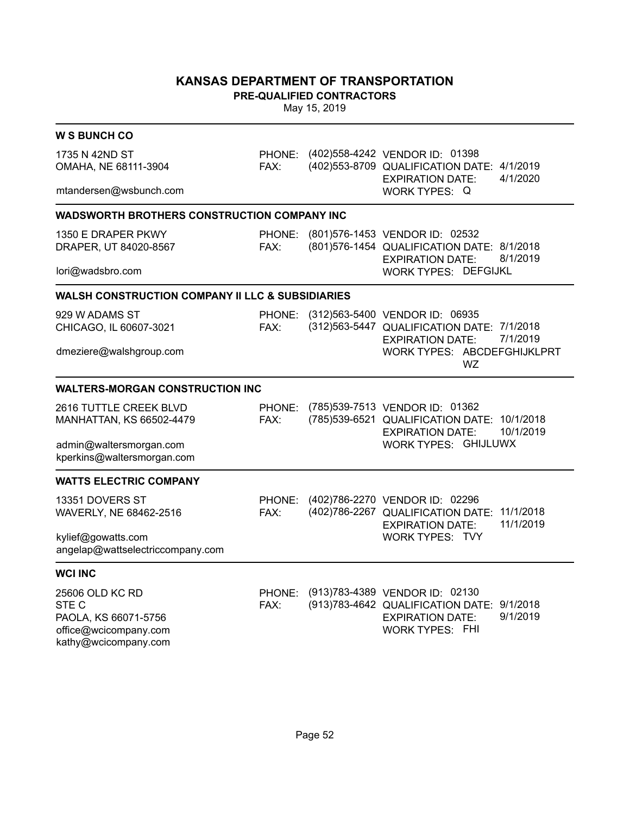**PRE-QUALIFIED CONTRACTORS**

| <b>W S BUNCH CO</b>                                         |                |                                                                                                                       |
|-------------------------------------------------------------|----------------|-----------------------------------------------------------------------------------------------------------------------|
| 1735 N 42ND ST<br>OMAHA, NE 68111-3904                      | PHONE:<br>FAX: | (402) 558-4242 VENDOR ID: 01398<br>(402) 553-8709 QUALIFICATION DATE: 4/1/2019<br>4/1/2020<br><b>EXPIRATION DATE:</b> |
| mtandersen@wsbunch.com                                      |                | WORK TYPES: Q                                                                                                         |
| <b>WADSWORTH BROTHERS CONSTRUCTION COMPANY INC</b>          |                |                                                                                                                       |
| 1350 E DRAPER PKWY                                          | PHONE:         | (801)576-1453 VENDOR ID: 02532                                                                                        |
| DRAPER, UT 84020-8567                                       | FAX:           | (801)576-1454 QUALIFICATION DATE: 8/1/2018<br>8/1/2019<br><b>EXPIRATION DATE:</b>                                     |
| lori@wadsbro.com                                            |                | <b>WORK TYPES: DEFGIJKL</b>                                                                                           |
| <b>WALSH CONSTRUCTION COMPANY II LLC &amp; SUBSIDIARIES</b> |                |                                                                                                                       |
| 929 W ADAMS ST                                              | PHONE:         | (312)563-5400 VENDOR ID: 06935                                                                                        |
| CHICAGO, IL 60607-3021                                      | FAX:           | (312) 563-5447 QUALIFICATION DATE: 7/1/2018<br>7/1/2019<br><b>EXPIRATION DATE:</b>                                    |
| dmeziere@walshgroup.com                                     |                | WORK TYPES: ABCDEFGHIJKLPRT<br><b>WZ</b>                                                                              |
| <b>WALTERS-MORGAN CONSTRUCTION INC</b>                      |                |                                                                                                                       |
| 2616 TUTTLE CREEK BLVD                                      | PHONE:         | (785)539-7513 VENDOR ID: 01362                                                                                        |
| MANHATTAN, KS 66502-4479                                    | FAX:           | (785) 539-6521 QUALIFICATION DATE: 10/1/2018<br>10/1/2019<br><b>EXPIRATION DATE:</b>                                  |
| admin@waltersmorgan.com                                     |                | WORK TYPES: GHIJLUWX                                                                                                  |
| kperkins@waltersmorgan.com                                  |                |                                                                                                                       |
| <b>WATTS ELECTRIC COMPANY</b>                               |                |                                                                                                                       |
| 13351 DOVERS ST                                             | PHONE:         | (402)786-2270 VENDOR ID: 02296                                                                                        |
| WAVERLY, NE 68462-2516                                      | FAX:           | (402)786-2267 QUALIFICATION DATE:<br>11/1/2018<br>11/1/2019                                                           |
| kylief@gowatts.com                                          |                | <b>EXPIRATION DATE:</b><br><b>WORK TYPES: TVY</b>                                                                     |
| angelap@wattselectriccompany.com                            |                |                                                                                                                       |
| <b>WCI INC</b>                                              |                |                                                                                                                       |
| 25606 OLD KC RD                                             | PHONE:         | (913)783-4389 VENDOR ID: 02130                                                                                        |
| STE C                                                       | FAX:           | (913) 783-4642 QUALIFICATION DATE: 9/1/2018                                                                           |
| PAOLA, KS 66071-5756<br>office@wcicompany.com               |                | <b>EXPIRATION DATE:</b><br>9/1/2019<br><b>WORK TYPES: FHI</b>                                                         |
| kathy@wcicompany.com                                        |                |                                                                                                                       |